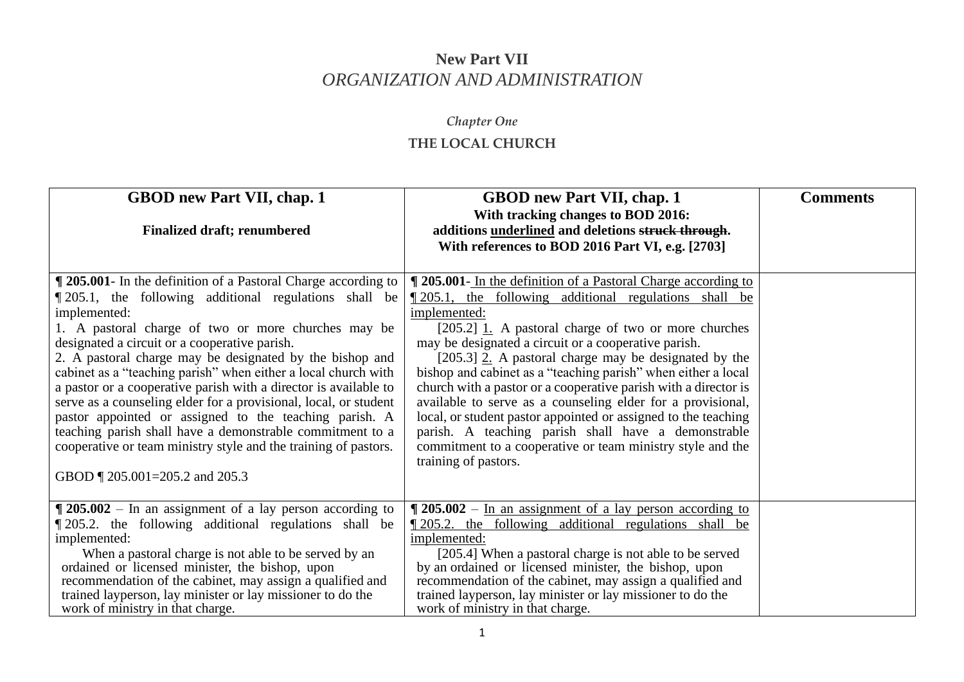## **New Part VII** *ORGANIZATION AND ADMINISTRATION*

## *Chapter One*

## **THE LOCAL CHURCH**

| <b>GBOD</b> new Part VII, chap. 1<br><b>Finalized draft; renumbered</b>                                                                                                                                                                                                                                                                                                                                                                                                                                                                                                                                                                                                                                                                                  | <b>GBOD</b> new Part VII, chap. 1<br>With tracking changes to BOD 2016:<br>additions underlined and deletions struck through.<br>With references to BOD 2016 Part VI, e.g. [2703]                                                                                                                                                                                                                                                                                                                                                                                                                                                                                                                                                                           | <b>Comments</b> |
|----------------------------------------------------------------------------------------------------------------------------------------------------------------------------------------------------------------------------------------------------------------------------------------------------------------------------------------------------------------------------------------------------------------------------------------------------------------------------------------------------------------------------------------------------------------------------------------------------------------------------------------------------------------------------------------------------------------------------------------------------------|-------------------------------------------------------------------------------------------------------------------------------------------------------------------------------------------------------------------------------------------------------------------------------------------------------------------------------------------------------------------------------------------------------------------------------------------------------------------------------------------------------------------------------------------------------------------------------------------------------------------------------------------------------------------------------------------------------------------------------------------------------------|-----------------|
| <b>T</b> 205.001- In the definition of a Pastoral Charge according to<br>1205.1, the following additional regulations shall be<br>implemented:<br>1. A pastoral charge of two or more churches may be<br>designated a circuit or a cooperative parish.<br>2. A pastoral charge may be designated by the bishop and<br>cabinet as a "teaching parish" when either a local church with<br>a pastor or a cooperative parish with a director is available to<br>serve as a counseling elder for a provisional, local, or student<br>pastor appointed or assigned to the teaching parish. A<br>teaching parish shall have a demonstrable commitment to a<br>cooperative or team ministry style and the training of pastors.<br>GBOD   205.001=205.2 and 205.3 | <b>T</b> 205.001- In the definition of a Pastoral Charge according to<br>1205.1, the following additional regulations shall be<br>implemented:<br>[205.2] $\underline{1}$ . A pastoral charge of two or more churches<br>may be designated a circuit or a cooperative parish.<br>[205.3] $2$ . A pastoral charge may be designated by the<br>bishop and cabinet as a "teaching parish" when either a local<br>church with a pastor or a cooperative parish with a director is<br>available to serve as a counseling elder for a provisional,<br>local, or student pastor appointed or assigned to the teaching<br>parish. A teaching parish shall have a demonstrable<br>commitment to a cooperative or team ministry style and the<br>training of pastors. |                 |
| $\P$ 205.002 – In an assignment of a lay person according to<br>1205.2. the following additional regulations shall be<br>implemented:<br>When a pastoral charge is not able to be served by an<br>ordained or licensed minister, the bishop, upon<br>recommendation of the cabinet, may assign a qualified and<br>trained layperson, lay minister or lay missioner to do the<br>work of ministry in that charge.                                                                                                                                                                                                                                                                                                                                         | $\sqrt{\ }$ 205.002 – In an assignment of a lay person according to<br>1205.2. the following additional regulations shall be<br>implemented:<br>[205.4] When a pastoral charge is not able to be served<br>by an ordained or licensed minister, the bishop, upon<br>recommendation of the cabinet, may assign a qualified and<br>trained layperson, lay minister or lay missioner to do the<br>work of ministry in that charge.                                                                                                                                                                                                                                                                                                                             |                 |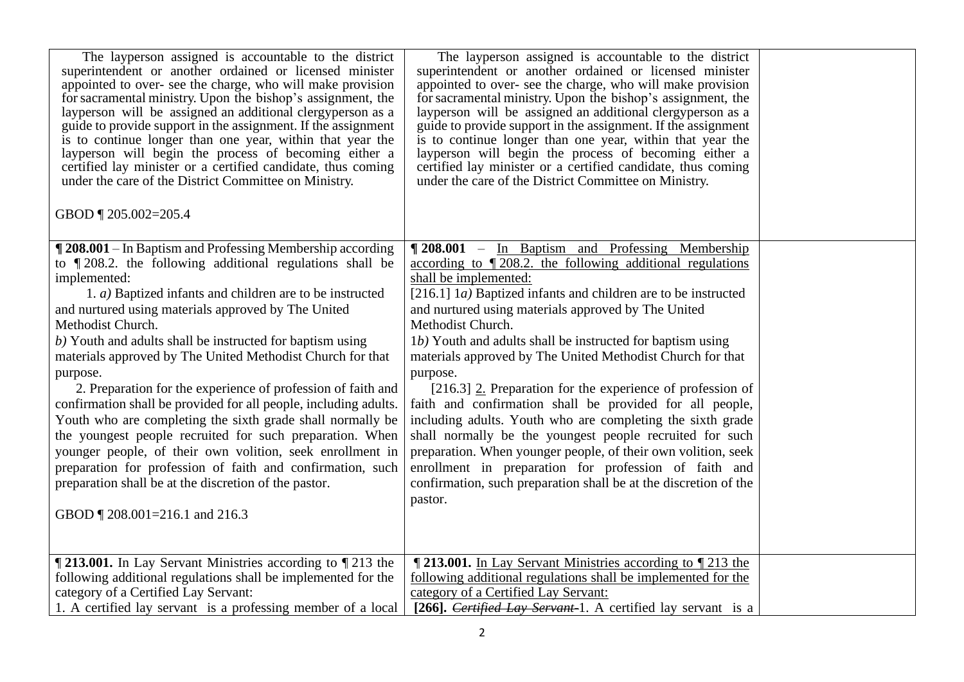| The layperson assigned is accountable to the district<br>superintendent or another ordained or licensed minister<br>appointed to over- see the charge, who will make provision<br>for sacramental ministry. Upon the bishop's assignment, the<br>layperson will be assigned an additional clergyperson as a<br>guide to provide support in the assignment. If the assignment<br>is to continue longer than one year, within that year the<br>layperson will begin the process of becoming either a<br>certified lay minister or a certified candidate, thus coming<br>under the care of the District Committee on Ministry.<br>GBOD ¶ 205.002=205.4 | The layperson assigned is accountable to the district<br>superintendent or another ordained or licensed minister<br>appointed to over- see the charge, who will make provision<br>for sacramental ministry. Upon the bishop's assignment, the<br>layperson will be assigned an additional clergyperson as a<br>guide to provide support in the assignment. If the assignment<br>is to continue longer than one year, within that year the<br>layperson will begin the process of becoming either a<br>certified lay minister or a certified candidate, thus coming<br>under the care of the District Committee on Ministry. |  |
|-----------------------------------------------------------------------------------------------------------------------------------------------------------------------------------------------------------------------------------------------------------------------------------------------------------------------------------------------------------------------------------------------------------------------------------------------------------------------------------------------------------------------------------------------------------------------------------------------------------------------------------------------------|-----------------------------------------------------------------------------------------------------------------------------------------------------------------------------------------------------------------------------------------------------------------------------------------------------------------------------------------------------------------------------------------------------------------------------------------------------------------------------------------------------------------------------------------------------------------------------------------------------------------------------|--|
| ¶ 208.001 – In Baptism and Professing Membership according                                                                                                                                                                                                                                                                                                                                                                                                                                                                                                                                                                                          | $\P$ 208.001 – In Baptism and Professing Membership                                                                                                                                                                                                                                                                                                                                                                                                                                                                                                                                                                         |  |
| to $\P$ 208.2. the following additional regulations shall be                                                                                                                                                                                                                                                                                                                                                                                                                                                                                                                                                                                        | according to $\P$ 208.2. the following additional regulations                                                                                                                                                                                                                                                                                                                                                                                                                                                                                                                                                               |  |
| implemented:                                                                                                                                                                                                                                                                                                                                                                                                                                                                                                                                                                                                                                        | shall be implemented:                                                                                                                                                                                                                                                                                                                                                                                                                                                                                                                                                                                                       |  |
| 1. $a)$ Baptized infants and children are to be instructed                                                                                                                                                                                                                                                                                                                                                                                                                                                                                                                                                                                          | [216.1] $1a$ ) Baptized infants and children are to be instructed                                                                                                                                                                                                                                                                                                                                                                                                                                                                                                                                                           |  |
| and nurtured using materials approved by The United<br>Methodist Church.                                                                                                                                                                                                                                                                                                                                                                                                                                                                                                                                                                            | and nurtured using materials approved by The United<br>Methodist Church.                                                                                                                                                                                                                                                                                                                                                                                                                                                                                                                                                    |  |
|                                                                                                                                                                                                                                                                                                                                                                                                                                                                                                                                                                                                                                                     |                                                                                                                                                                                                                                                                                                                                                                                                                                                                                                                                                                                                                             |  |
| b) Youth and adults shall be instructed for baptism using<br>materials approved by The United Methodist Church for that                                                                                                                                                                                                                                                                                                                                                                                                                                                                                                                             | 1b) Youth and adults shall be instructed for baptism using<br>materials approved by The United Methodist Church for that                                                                                                                                                                                                                                                                                                                                                                                                                                                                                                    |  |
| purpose.                                                                                                                                                                                                                                                                                                                                                                                                                                                                                                                                                                                                                                            | purpose.                                                                                                                                                                                                                                                                                                                                                                                                                                                                                                                                                                                                                    |  |
| 2. Preparation for the experience of profession of faith and                                                                                                                                                                                                                                                                                                                                                                                                                                                                                                                                                                                        | [216.3] $2$ . Preparation for the experience of profession of                                                                                                                                                                                                                                                                                                                                                                                                                                                                                                                                                               |  |
| confirmation shall be provided for all people, including adults.                                                                                                                                                                                                                                                                                                                                                                                                                                                                                                                                                                                    | faith and confirmation shall be provided for all people,                                                                                                                                                                                                                                                                                                                                                                                                                                                                                                                                                                    |  |
| Youth who are completing the sixth grade shall normally be                                                                                                                                                                                                                                                                                                                                                                                                                                                                                                                                                                                          | including adults. Youth who are completing the sixth grade                                                                                                                                                                                                                                                                                                                                                                                                                                                                                                                                                                  |  |
| the youngest people recruited for such preparation. When                                                                                                                                                                                                                                                                                                                                                                                                                                                                                                                                                                                            | shall normally be the youngest people recruited for such                                                                                                                                                                                                                                                                                                                                                                                                                                                                                                                                                                    |  |
| younger people, of their own volition, seek enrollment in                                                                                                                                                                                                                                                                                                                                                                                                                                                                                                                                                                                           | preparation. When younger people, of their own volition, seek                                                                                                                                                                                                                                                                                                                                                                                                                                                                                                                                                               |  |
| preparation for profession of faith and confirmation, such                                                                                                                                                                                                                                                                                                                                                                                                                                                                                                                                                                                          | enrollment in preparation for profession of faith and                                                                                                                                                                                                                                                                                                                                                                                                                                                                                                                                                                       |  |
| preparation shall be at the discretion of the pastor.                                                                                                                                                                                                                                                                                                                                                                                                                                                                                                                                                                                               | confirmation, such preparation shall be at the discretion of the                                                                                                                                                                                                                                                                                                                                                                                                                                                                                                                                                            |  |
|                                                                                                                                                                                                                                                                                                                                                                                                                                                                                                                                                                                                                                                     | pastor.                                                                                                                                                                                                                                                                                                                                                                                                                                                                                                                                                                                                                     |  |
| GBOD   208.001=216.1 and 216.3                                                                                                                                                                                                                                                                                                                                                                                                                                                                                                                                                                                                                      |                                                                                                                                                                                                                                                                                                                                                                                                                                                                                                                                                                                                                             |  |
|                                                                                                                                                                                                                                                                                                                                                                                                                                                                                                                                                                                                                                                     |                                                                                                                                                                                                                                                                                                                                                                                                                                                                                                                                                                                                                             |  |
|                                                                                                                                                                                                                                                                                                                                                                                                                                                                                                                                                                                                                                                     |                                                                                                                                                                                                                                                                                                                                                                                                                                                                                                                                                                                                                             |  |
| <b>T</b> 213.001. In Lay Servant Ministries according to T 213 the                                                                                                                                                                                                                                                                                                                                                                                                                                                                                                                                                                                  | <b>1213.001.</b> In Lay Servant Ministries according to 1213 the                                                                                                                                                                                                                                                                                                                                                                                                                                                                                                                                                            |  |
| following additional regulations shall be implemented for the                                                                                                                                                                                                                                                                                                                                                                                                                                                                                                                                                                                       | following additional regulations shall be implemented for the                                                                                                                                                                                                                                                                                                                                                                                                                                                                                                                                                               |  |
| category of a Certified Lay Servant:<br>1. A certified lay servant is a professing member of a local                                                                                                                                                                                                                                                                                                                                                                                                                                                                                                                                                | category of a Certified Lay Servant:<br>[266]. Certified Lay Servant-1. A certified lay servant is a                                                                                                                                                                                                                                                                                                                                                                                                                                                                                                                        |  |
|                                                                                                                                                                                                                                                                                                                                                                                                                                                                                                                                                                                                                                                     |                                                                                                                                                                                                                                                                                                                                                                                                                                                                                                                                                                                                                             |  |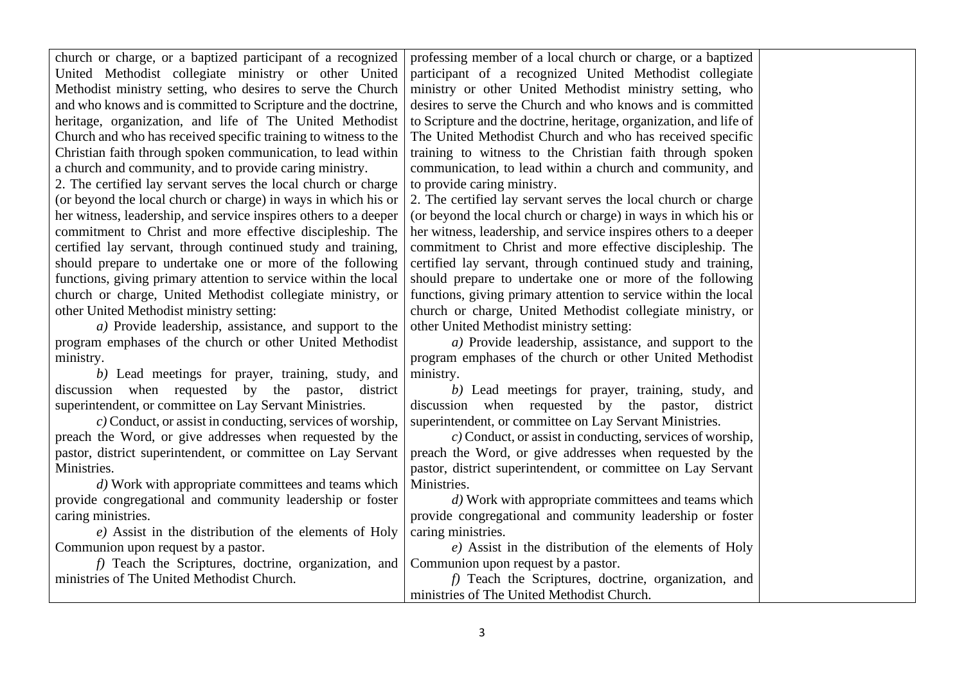church or charge, or a baptized participant of a recognized United Methodist collegiate ministry or other United Methodist ministry setting, who desires to serve the Church and who knows and is committed to Scripture and the doctrine, heritage, organization, and life of The United Methodist Church and who has received specific training to witness to the Christian faith through spoken communication, to lead within a church and community, and to provide caring ministry.

2. The certified lay servant serves the local church or charge (or beyond the local church or charge) in ways in which his or her witness, leadership, and service inspires others to a deeper commitment to Christ and more effective discipleship. The certified lay servant, through continued study and training, should prepare to undertake one or more of the following functions, giving primary attention to service within the local church or charge, United Methodist collegiate ministry, or other United Methodist ministry setting:

*a)* Provide leadership, assistance, and support to the program emphases of the church or other United Methodist ministry.

*b)* Lead meetings for prayer, training, study, and discussion when requested by the pastor, district superintendent, or committee on Lay Servant Ministries.

*c)* Conduct, or assist in conducting, services of worship, preach the Word, or give addresses when requested by the pastor, district superintendent, or committee on Lay Servant Ministries.

*d*) Work with appropriate committees and teams which provide congregational and community leadership or foster caring ministries.

*e)* Assist in the distribution of the elements of Holy Communion upon request by a pastor.

*f)* Teach the Scriptures, doctrine, organization, and ministries of The United Methodist Church.

professing member of a local church or charge, or a baptized participant of a recognized United Methodist collegiate ministry or other United Methodist ministry setting, who desires to serve the Church and who knows and is committed to Scripture and the doctrine, heritage, organization, and life of The United Methodist Church and who has received specific training to witness to the Christian faith through spoken communication, to lead within a church and community, and to provide caring ministry.

2. The certified lay servant serves the local church or charge (or beyond the local church or charge) in ways in which his or her witness, leadership, and service inspires others to a deeper commitment to Christ and more effective discipleship. The certified lay servant, through continued study and training, should prepare to undertake one or more of the following functions, giving primary attention to service within the local church or charge, United Methodist collegiate ministry, or other United Methodist ministry setting:

*a)* Provide leadership, assistance, and support to the program emphases of the church or other United Methodist ministry.

*b)* Lead meetings for prayer, training, study, and discussion when requested by the pastor, district superintendent, or committee on Lay Servant Ministries.

*c)* Conduct, or assist in conducting, services of worship, preach the Word, or give addresses when requested by the pastor, district superintendent, or committee on Lay Servant Ministries.

*d*) Work with appropriate committees and teams which provide congregational and community leadership or foster caring ministries.

*e)* Assist in the distribution of the elements of Holy Communion upon request by a pastor.

*f)* Teach the Scriptures, doctrine, organization, and ministries of The United Methodist Church.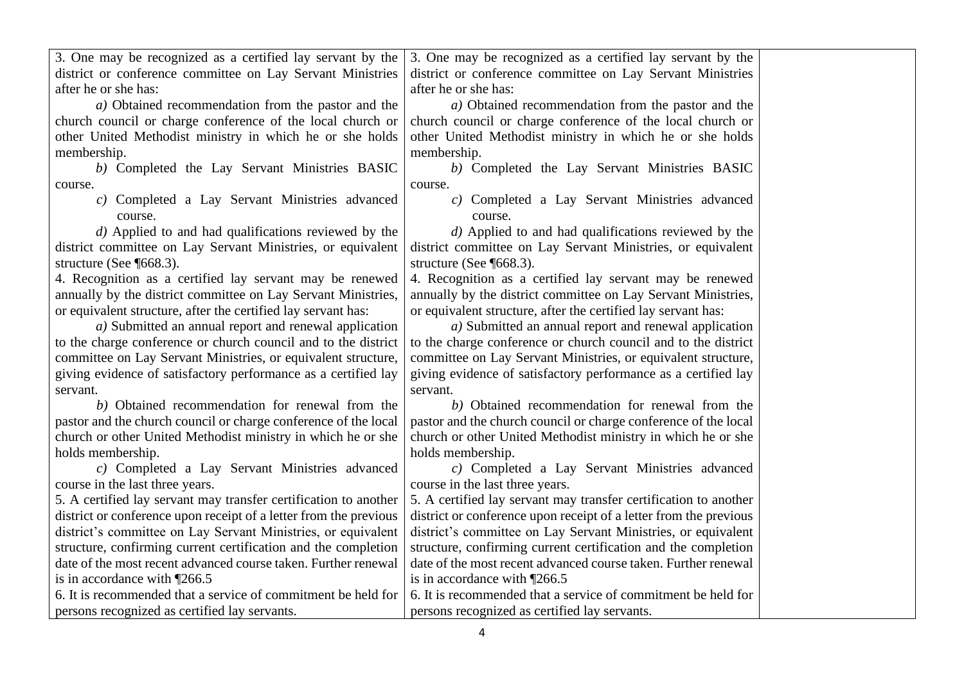| 3. One may be recognized as a certified lay servant by the        | 3. One may be recognized as a certified lay servant by the        |  |
|-------------------------------------------------------------------|-------------------------------------------------------------------|--|
| district or conference committee on Lay Servant Ministries        | district or conference committee on Lay Servant Ministries        |  |
| after he or she has:                                              | after he or she has:                                              |  |
| a) Obtained recommendation from the pastor and the                | a) Obtained recommendation from the pastor and the                |  |
| church council or charge conference of the local church or        | church council or charge conference of the local church or        |  |
| other United Methodist ministry in which he or she holds          | other United Methodist ministry in which he or she holds          |  |
| membership.                                                       | membership.                                                       |  |
| b) Completed the Lay Servant Ministries BASIC                     | b) Completed the Lay Servant Ministries BASIC                     |  |
| course.                                                           | course.                                                           |  |
| c) Completed a Lay Servant Ministries advanced                    | c) Completed a Lay Servant Ministries advanced                    |  |
| course.                                                           | course.                                                           |  |
| d) Applied to and had qualifications reviewed by the              | d) Applied to and had qualifications reviewed by the              |  |
| district committee on Lay Servant Ministries, or equivalent       | district committee on Lay Servant Ministries, or equivalent       |  |
| structure (See $\sqrt{668.3}$ ).                                  | structure (See ¶668.3).                                           |  |
| 4. Recognition as a certified lay servant may be renewed          | 4. Recognition as a certified lay servant may be renewed          |  |
| annually by the district committee on Lay Servant Ministries,     | annually by the district committee on Lay Servant Ministries,     |  |
| or equivalent structure, after the certified lay servant has:     | or equivalent structure, after the certified lay servant has:     |  |
| $a)$ Submitted an annual report and renewal application           | $a)$ Submitted an annual report and renewal application           |  |
| to the charge conference or church council and to the district    | to the charge conference or church council and to the district    |  |
| committee on Lay Servant Ministries, or equivalent structure,     | committee on Lay Servant Ministries, or equivalent structure,     |  |
| giving evidence of satisfactory performance as a certified lay    | giving evidence of satisfactory performance as a certified lay    |  |
| servant.                                                          | servant.                                                          |  |
| b) Obtained recommendation for renewal from the                   | b) Obtained recommendation for renewal from the                   |  |
| pastor and the church council or charge conference of the local   | pastor and the church council or charge conference of the local   |  |
| church or other United Methodist ministry in which he or she      | church or other United Methodist ministry in which he or she      |  |
| holds membership.                                                 | holds membership.                                                 |  |
| c) Completed a Lay Servant Ministries advanced                    | c) Completed a Lay Servant Ministries advanced                    |  |
| course in the last three years.                                   | course in the last three years.                                   |  |
| 5. A certified lay servant may transfer certification to another  | 5. A certified lay servant may transfer certification to another  |  |
| district or conference upon receipt of a letter from the previous | district or conference upon receipt of a letter from the previous |  |
| district's committee on Lay Servant Ministries, or equivalent     | district's committee on Lay Servant Ministries, or equivalent     |  |
| structure, confirming current certification and the completion    | structure, confirming current certification and the completion    |  |
| date of the most recent advanced course taken. Further renewal    | date of the most recent advanced course taken. Further renewal    |  |
| is in accordance with $\P$ 266.5                                  | is in accordance with $\P$ 266.5                                  |  |
| 6. It is recommended that a service of commitment be held for     | 6. It is recommended that a service of commitment be held for     |  |
| persons recognized as certified lay servants.                     | persons recognized as certified lay servants.                     |  |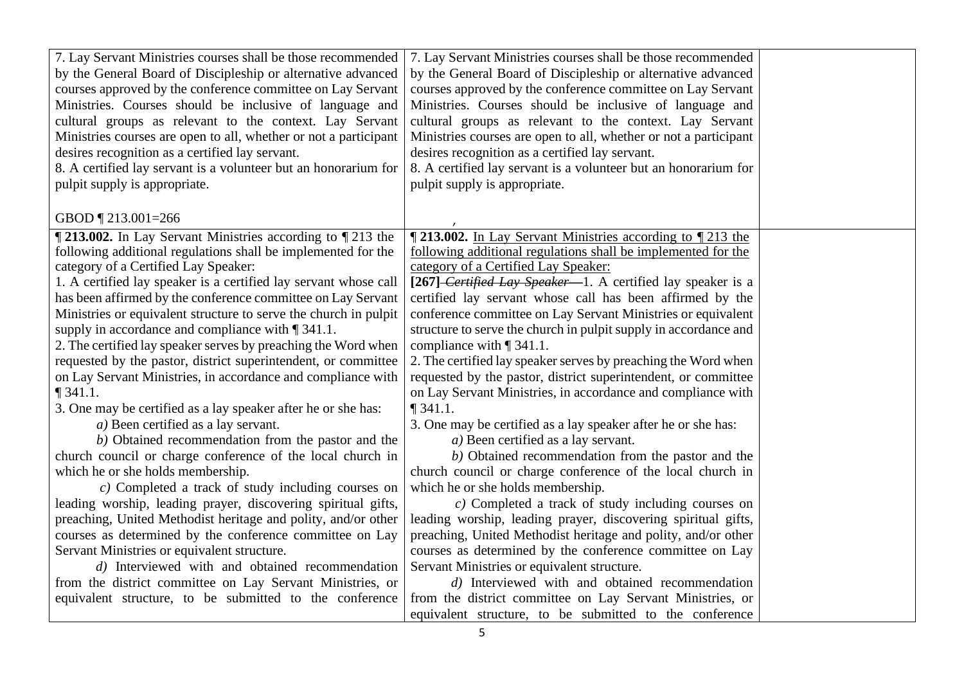| 7. Lay Servant Ministries courses shall be those recommended     | 7. Lay Servant Ministries courses shall be those recommended     |  |
|------------------------------------------------------------------|------------------------------------------------------------------|--|
| by the General Board of Discipleship or alternative advanced     | by the General Board of Discipleship or alternative advanced     |  |
| courses approved by the conference committee on Lay Servant      | courses approved by the conference committee on Lay Servant      |  |
| Ministries. Courses should be inclusive of language and          | Ministries. Courses should be inclusive of language and          |  |
| cultural groups as relevant to the context. Lay Servant          | cultural groups as relevant to the context. Lay Servant          |  |
| Ministries courses are open to all, whether or not a participant | Ministries courses are open to all, whether or not a participant |  |
| desires recognition as a certified lay servant.                  | desires recognition as a certified lay servant.                  |  |
| 8. A certified lay servant is a volunteer but an honorarium for  | 8. A certified lay servant is a volunteer but an honorarium for  |  |
| pulpit supply is appropriate.                                    | pulpit supply is appropriate.                                    |  |
|                                                                  |                                                                  |  |
| GBOD 1213.001=266                                                |                                                                  |  |
| ¶ 213.002. In Lay Servant Ministries according to ¶ 213 the      | ¶ 213.002. In Lay Servant Ministries according to ¶ 213 the      |  |
| following additional regulations shall be implemented for the    | following additional regulations shall be implemented for the    |  |
| category of a Certified Lay Speaker:                             | category of a Certified Lay Speaker:                             |  |
| 1. A certified lay speaker is a certified lay servant whose call | [267] Certified Lay Speaker -1. A certified lay speaker is a     |  |
| has been affirmed by the conference committee on Lay Servant     | certified lay servant whose call has been affirmed by the        |  |
| Ministries or equivalent structure to serve the church in pulpit | conference committee on Lay Servant Ministries or equivalent     |  |
| supply in accordance and compliance with $\P$ 341.1.             | structure to serve the church in pulpit supply in accordance and |  |
| 2. The certified lay speaker serves by preaching the Word when   | compliance with $\P$ 341.1.                                      |  |
| requested by the pastor, district superintendent, or committee   | 2. The certified lay speaker serves by preaching the Word when   |  |
| on Lay Servant Ministries, in accordance and compliance with     | requested by the pastor, district superintendent, or committee   |  |
| $\P$ 341.1.                                                      | on Lay Servant Ministries, in accordance and compliance with     |  |
| 3. One may be certified as a lay speaker after he or she has:    | $\P$ 341.1.                                                      |  |
| a) Been certified as a lay servant.                              | 3. One may be certified as a lay speaker after he or she has:    |  |
| b) Obtained recommendation from the pastor and the               | $a)$ Been certified as a lay servant.                            |  |
| church council or charge conference of the local church in       | b) Obtained recommendation from the pastor and the               |  |
| which he or she holds membership.                                | church council or charge conference of the local church in       |  |
| $c)$ Completed a track of study including courses on             | which he or she holds membership.                                |  |
| leading worship, leading prayer, discovering spiritual gifts,    | $c)$ Completed a track of study including courses on             |  |
| preaching, United Methodist heritage and polity, and/or other    | leading worship, leading prayer, discovering spiritual gifts,    |  |
| courses as determined by the conference committee on Lay         | preaching, United Methodist heritage and polity, and/or other    |  |
| Servant Ministries or equivalent structure.                      | courses as determined by the conference committee on Lay         |  |
| d) Interviewed with and obtained recommendation                  | Servant Ministries or equivalent structure.                      |  |
| from the district committee on Lay Servant Ministries, or        | d) Interviewed with and obtained recommendation                  |  |
| equivalent structure, to be submitted to the conference          | from the district committee on Lay Servant Ministries, or        |  |
|                                                                  | equivalent structure, to be submitted to the conference          |  |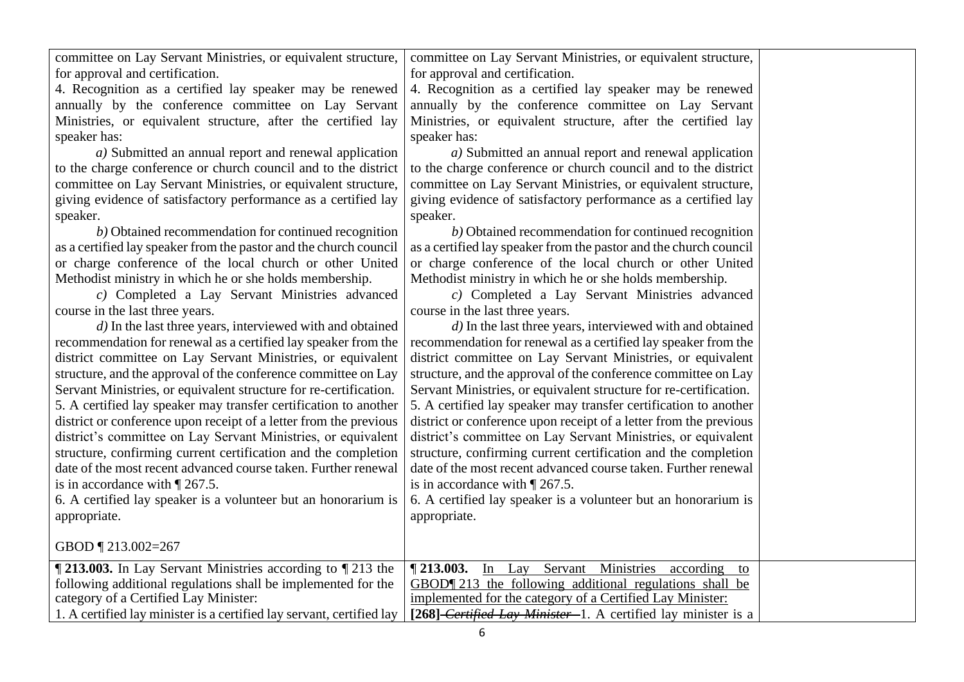| committee on Lay Servant Ministries, or equivalent structure,         | committee on Lay Servant Ministries, or equivalent structure,     |  |
|-----------------------------------------------------------------------|-------------------------------------------------------------------|--|
| for approval and certification.                                       | for approval and certification.                                   |  |
| 4. Recognition as a certified lay speaker may be renewed              | 4. Recognition as a certified lay speaker may be renewed          |  |
| annually by the conference committee on Lay Servant                   | annually by the conference committee on Lay Servant               |  |
| Ministries, or equivalent structure, after the certified lay          | Ministries, or equivalent structure, after the certified lay      |  |
| speaker has:                                                          | speaker has:                                                      |  |
| $a)$ Submitted an annual report and renewal application               | a) Submitted an annual report and renewal application             |  |
| to the charge conference or church council and to the district        | to the charge conference or church council and to the district    |  |
| committee on Lay Servant Ministries, or equivalent structure,         | committee on Lay Servant Ministries, or equivalent structure,     |  |
| giving evidence of satisfactory performance as a certified lay        | giving evidence of satisfactory performance as a certified lay    |  |
| speaker.                                                              | speaker.                                                          |  |
| b) Obtained recommendation for continued recognition                  | b) Obtained recommendation for continued recognition              |  |
| as a certified lay speaker from the pastor and the church council     | as a certified lay speaker from the pastor and the church council |  |
| or charge conference of the local church or other United              | or charge conference of the local church or other United          |  |
| Methodist ministry in which he or she holds membership.               | Methodist ministry in which he or she holds membership.           |  |
| c) Completed a Lay Servant Ministries advanced                        | c) Completed a Lay Servant Ministries advanced                    |  |
| course in the last three years.                                       | course in the last three years.                                   |  |
| $d$ ) In the last three years, interviewed with and obtained          | $d$ ) In the last three years, interviewed with and obtained      |  |
| recommendation for renewal as a certified lay speaker from the        | recommendation for renewal as a certified lay speaker from the    |  |
| district committee on Lay Servant Ministries, or equivalent           | district committee on Lay Servant Ministries, or equivalent       |  |
| structure, and the approval of the conference committee on Lay        | structure, and the approval of the conference committee on Lay    |  |
| Servant Ministries, or equivalent structure for re-certification.     | Servant Ministries, or equivalent structure for re-certification. |  |
| 5. A certified lay speaker may transfer certification to another      | 5. A certified lay speaker may transfer certification to another  |  |
| district or conference upon receipt of a letter from the previous     | district or conference upon receipt of a letter from the previous |  |
| district's committee on Lay Servant Ministries, or equivalent         | district's committee on Lay Servant Ministries, or equivalent     |  |
| structure, confirming current certification and the completion        | structure, confirming current certification and the completion    |  |
| date of the most recent advanced course taken. Further renewal        | date of the most recent advanced course taken. Further renewal    |  |
| is in accordance with $\S$ 267.5.                                     | is in accordance with $\P$ 267.5.                                 |  |
| 6. A certified lay speaker is a volunteer but an honorarium is        | 6. A certified lay speaker is a volunteer but an honorarium is    |  |
| appropriate.                                                          | appropriate.                                                      |  |
|                                                                       |                                                                   |  |
| GBOD 1213.002=267                                                     |                                                                   |  |
| 1213.003. In Lay Servant Ministries according to 1213 the             | Servant Ministries<br>213.003.<br>In Lay<br>according<br>to       |  |
| following additional regulations shall be implemented for the         | GBOD¶ 213 the following additional regulations shall be           |  |
| category of a Certified Lay Minister:                                 | implemented for the category of a Certified Lay Minister:         |  |
| 1. A certified lay minister is a certified lay servant, certified lay | [268] Certified Lay Minister-1. A certified lay minister is a     |  |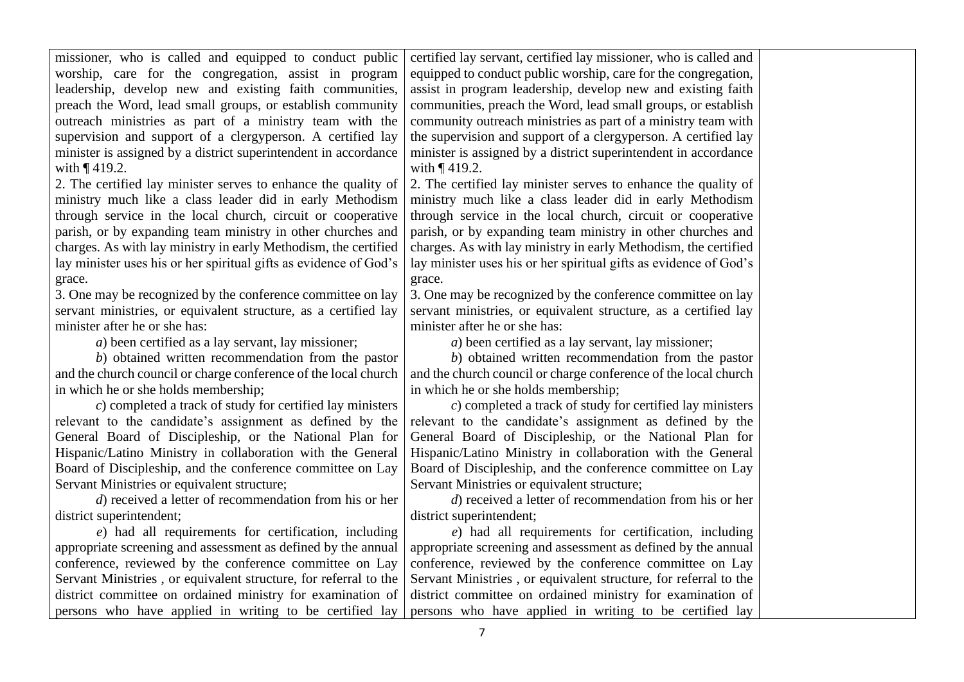missioner, who is called and equipped to conduct public worship, care for the congregation, assist in program leadership, develop new and existing faith communities, preach the Word, lead small groups, or establish community outreach ministries as part of a ministry team with the supervision and support of a clergyperson. A certified lay minister is assigned by a district superintendent in accordance with ¶ 419.2.

2. The certified lay minister serves to enhance the quality of ministry much like a class leader did in early Methodism through service in the local church, circuit or cooperative parish, or by expanding team ministry in other churches and charges. As with lay ministry in early Methodism, the certified lay minister uses his or her spiritual gifts as evidence of God's grace.

3. One may be recognized by the conference committee on lay servant ministries, or equivalent structure, as a certified lay minister after he or she has:

*a*) been certified as a lay servant, lay missioner;

*b*) obtained written recommendation from the pastor and the church council or charge conference of the local church in which he or she holds membership;

*c*) completed a track of study for certified lay ministers relevant to the candidate's assignment as defined by the General Board of Discipleship, or the National Plan for Hispanic/Latino Ministry in collaboration with the General Board of Discipleship, and the conference committee on Lay Servant Ministries or equivalent structure;

*d*) received a letter of recommendation from his or her district superintendent;

*e*) had all requirements for certification, including appropriate screening and assessment as defined by the annual conference, reviewed by the conference committee on Lay Servant Ministries , or equivalent structure, for referral to the district committee on ordained ministry for examination of persons who have applied in writing to be certified lay

certified lay servant, certified lay missioner, who is called and equipped to conduct public worship, care for the congregation, assist in program leadership, develop new and existing faith communities, preach the Word, lead small groups, or establish community outreach ministries as part of a ministry team with the supervision and support of a clergyperson. A certified lay minister is assigned by a district superintendent in accordance with ¶ 419.2.

2. The certified lay minister serves to enhance the quality of ministry much like a class leader did in early Methodism through service in the local church, circuit or cooperative parish, or by expanding team ministry in other churches and charges. As with lay ministry in early Methodism, the certified lay minister uses his or her spiritual gifts as evidence of God's grace.

3. One may be recognized by the conference committee on lay servant ministries, or equivalent structure, as a certified lay minister after he or she has:

*a*) been certified as a lay servant, lay missioner;

*b*) obtained written recommendation from the pastor and the church council or charge conference of the local church in which he or she holds membership;

*c*) completed a track of study for certified lay ministers relevant to the candidate's assignment as defined by the General Board of Discipleship, or the National Plan for Hispanic/Latino Ministry in collaboration with the General Board of Discipleship, and the conference committee on Lay Servant Ministries or equivalent structure;

*d*) received a letter of recommendation from his or her district superintendent;

*e*) had all requirements for certification, including appropriate screening and assessment as defined by the annual conference, reviewed by the conference committee on Lay Servant Ministries , or equivalent structure, for referral to the district committee on ordained ministry for examination of persons who have applied in writing to be certified lay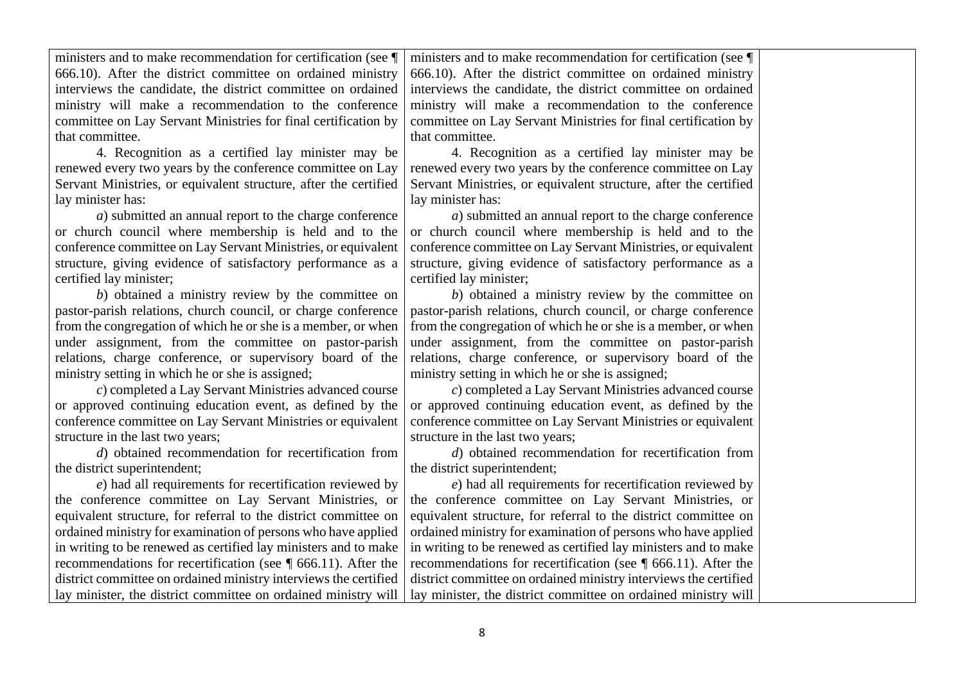ministers and to make recommendation for certification (see ¶ 666.10). After the district committee on ordained ministry interviews the candidate, the district committee on ordained ministry will make a recommendation to the conference committee on Lay Servant Ministries for final certification by that committee.

4. Recognition as a certified lay minister may be renewed every two years by the conference committee on Lay Servant Ministries, or equivalent structure, after the certified lay minister has:

*a*) submitted an annual report to the charge conference or church council where membership is held and to the conference committee on Lay Servant Ministries, or equivalent structure, giving evidence of satisfactory performance as a certified lay minister;

*b*) obtained a ministry review by the committee on pastor-parish relations, church council, or charge conference from the congregation of which he or she is a member, or when under assignment, from the committee on pastor-parish relations, charge conference, or supervisory board of the ministry setting in which he or she is assigned;

*c*) completed a Lay Servant Ministries advanced course or approved continuing education event, as defined by the conference committee on Lay Servant Ministries or equivalent structure in the last two years;

*d*) obtained recommendation for recertification from the district superintendent;

*e*) had all requirements for recertification reviewed by the conference committee on Lay Servant Ministries, or equivalent structure, for referral to the district committee on ordained ministry for examination of persons who have applied in writing to be renewed as certified lay ministers and to make recommendations for recertification (see ¶ 666.11). After the district committee on ordained ministry interviews the certified lay minister, the district committee on ordained ministry will

ministers and to make recommendation for certification (see ¶ 666.10). After the district committee on ordained ministry interviews the candidate, the district committee on ordained ministry will make a recommendation to the conference committee on Lay Servant Ministries for final certification by that committee.

4. Recognition as a certified lay minister may be renewed every two years by the conference committee on Lay Servant Ministries, or equivalent structure, after the certified lay minister has:

*a*) submitted an annual report to the charge conference or church council where membership is held and to the conference committee on Lay Servant Ministries, or equivalent structure, giving evidence of satisfactory performance as a certified lay minister;

*b*) obtained a ministry review by the committee on pastor-parish relations, church council, or charge conference from the congregation of which he or she is a member, or when under assignment, from the committee on pastor-parish relations, charge conference, or supervisory board of the ministry setting in which he or she is assigned;

*c*) completed a Lay Servant Ministries advanced course or approved continuing education event, as defined by the conference committee on Lay Servant Ministries or equivalent structure in the last two years;

*d*) obtained recommendation for recertification from the district superintendent;

*e*) had all requirements for recertification reviewed by the conference committee on Lay Servant Ministries, or equivalent structure, for referral to the district committee on ordained ministry for examination of persons who have applied in writing to be renewed as certified lay ministers and to make recommendations for recertification (see ¶ 666.11). After the district committee on ordained ministry interviews the certified lay minister, the district committee on ordained ministry will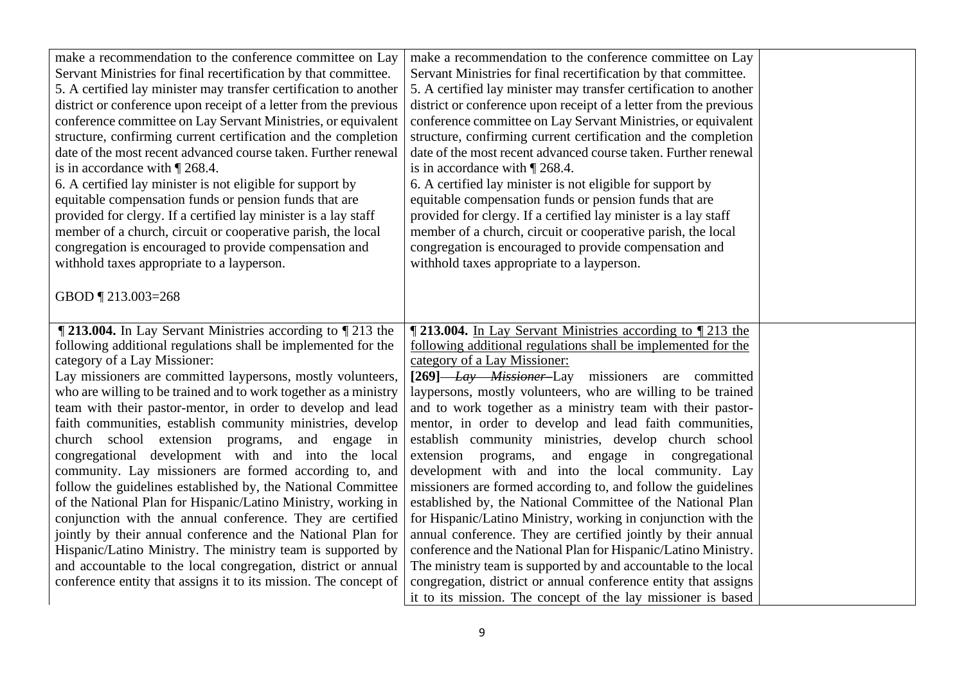| make a recommendation to the conference committee on Lay<br>Servant Ministries for final recertification by that committee.<br>5. A certified lay minister may transfer certification to another<br>district or conference upon receipt of a letter from the previous<br>conference committee on Lay Servant Ministries, or equivalent<br>structure, confirming current certification and the completion<br>date of the most recent advanced course taken. Further renewal<br>is in accordance with $\P$ 268.4.<br>6. A certified lay minister is not eligible for support by<br>equitable compensation funds or pension funds that are<br>provided for clergy. If a certified lay minister is a lay staff<br>member of a church, circuit or cooperative parish, the local<br>congregation is encouraged to provide compensation and<br>withhold taxes appropriate to a layperson.                                                                                                                                                                                      | make a recommendation to the conference committee on Lay<br>Servant Ministries for final recertification by that committee.<br>5. A certified lay minister may transfer certification to another<br>district or conference upon receipt of a letter from the previous<br>conference committee on Lay Servant Ministries, or equivalent<br>structure, confirming current certification and the completion<br>date of the most recent advanced course taken. Further renewal<br>is in accordance with $\P$ 268.4.<br>6. A certified lay minister is not eligible for support by<br>equitable compensation funds or pension funds that are<br>provided for clergy. If a certified lay minister is a lay staff<br>member of a church, circuit or cooperative parish, the local<br>congregation is encouraged to provide compensation and<br>withhold taxes appropriate to a layperson.                                                                                                                                                                                                                                               |  |
|-------------------------------------------------------------------------------------------------------------------------------------------------------------------------------------------------------------------------------------------------------------------------------------------------------------------------------------------------------------------------------------------------------------------------------------------------------------------------------------------------------------------------------------------------------------------------------------------------------------------------------------------------------------------------------------------------------------------------------------------------------------------------------------------------------------------------------------------------------------------------------------------------------------------------------------------------------------------------------------------------------------------------------------------------------------------------|----------------------------------------------------------------------------------------------------------------------------------------------------------------------------------------------------------------------------------------------------------------------------------------------------------------------------------------------------------------------------------------------------------------------------------------------------------------------------------------------------------------------------------------------------------------------------------------------------------------------------------------------------------------------------------------------------------------------------------------------------------------------------------------------------------------------------------------------------------------------------------------------------------------------------------------------------------------------------------------------------------------------------------------------------------------------------------------------------------------------------------|--|
| GBOD 1213.003=268                                                                                                                                                                                                                                                                                                                                                                                                                                                                                                                                                                                                                                                                                                                                                                                                                                                                                                                                                                                                                                                       |                                                                                                                                                                                                                                                                                                                                                                                                                                                                                                                                                                                                                                                                                                                                                                                                                                                                                                                                                                                                                                                                                                                                  |  |
| <b>T213.004.</b> In Lay Servant Ministries according to T213 the<br>following additional regulations shall be implemented for the<br>category of a Lay Missioner:<br>Lay missioners are committed laypersons, mostly volunteers,<br>who are willing to be trained and to work together as a ministry<br>team with their pastor-mentor, in order to develop and lead<br>faith communities, establish community ministries, develop<br>church school extension programs, and engage in<br>congregational development with and into the local<br>community. Lay missioners are formed according to, and<br>follow the guidelines established by, the National Committee<br>of the National Plan for Hispanic/Latino Ministry, working in<br>conjunction with the annual conference. They are certified<br>jointly by their annual conference and the National Plan for<br>Hispanic/Latino Ministry. The ministry team is supported by<br>and accountable to the local congregation, district or annual<br>conference entity that assigns it to its mission. The concept of | <b>T213.004.</b> In Lay Servant Ministries according to T213 the<br>following additional regulations shall be implemented for the<br>category of a Lay Missioner:<br>[269]—Lay—Missioner-Lay missioners are committed<br>laypersons, mostly volunteers, who are willing to be trained<br>and to work together as a ministry team with their pastor-<br>mentor, in order to develop and lead faith communities,<br>establish community ministries, develop church school<br>extension<br>programs,<br>and engage in congregational<br>development with and into the local community. Lay<br>missioners are formed according to, and follow the guidelines<br>established by, the National Committee of the National Plan<br>for Hispanic/Latino Ministry, working in conjunction with the<br>annual conference. They are certified jointly by their annual<br>conference and the National Plan for Hispanic/Latino Ministry.<br>The ministry team is supported by and accountable to the local<br>congregation, district or annual conference entity that assigns<br>it to its mission. The concept of the lay missioner is based |  |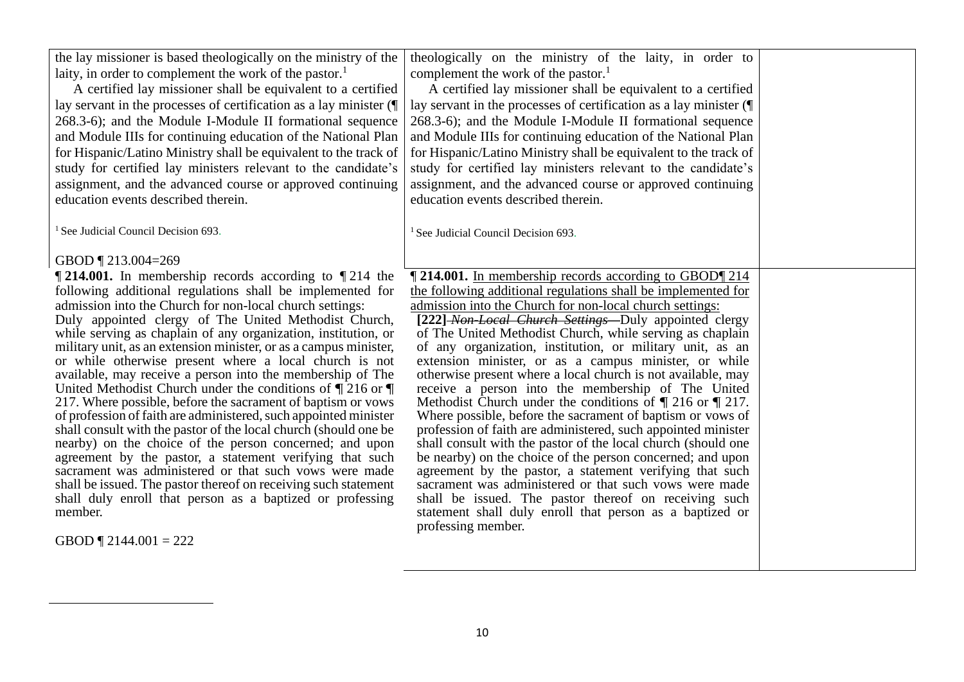| the lay missioner is based theologically on the ministry of the<br>laity, in order to complement the work of the pastor. <sup>1</sup><br>A certified lay missioner shall be equivalent to a certified<br>lay servant in the processes of certification as a lay minister (<br>268.3-6); and the Module I-Module II formational sequence<br>and Module IIIs for continuing education of the National Plan<br>for Hispanic/Latino Ministry shall be equivalent to the track of<br>study for certified lay ministers relevant to the candidate's<br>assignment, and the advanced course or approved continuing<br>education events described therein.                                                                                                                                                                                                                                                                                                                                                                                                                                                                                                                                                                             | theologically on the ministry of the laity, in order to<br>complement the work of the pastor. <sup>1</sup><br>A certified lay missioner shall be equivalent to a certified<br>lay servant in the processes of certification as a lay minister (<br>268.3-6); and the Module I-Module II formational sequence<br>and Module IIIs for continuing education of the National Plan<br>for Hispanic/Latino Ministry shall be equivalent to the track of<br>study for certified lay ministers relevant to the candidate's<br>assignment, and the advanced course or approved continuing<br>education events described therein.                                                                                                                                                                                                                                                                                                                                                                                                                                                                                                                                                                                          |  |
|--------------------------------------------------------------------------------------------------------------------------------------------------------------------------------------------------------------------------------------------------------------------------------------------------------------------------------------------------------------------------------------------------------------------------------------------------------------------------------------------------------------------------------------------------------------------------------------------------------------------------------------------------------------------------------------------------------------------------------------------------------------------------------------------------------------------------------------------------------------------------------------------------------------------------------------------------------------------------------------------------------------------------------------------------------------------------------------------------------------------------------------------------------------------------------------------------------------------------------|------------------------------------------------------------------------------------------------------------------------------------------------------------------------------------------------------------------------------------------------------------------------------------------------------------------------------------------------------------------------------------------------------------------------------------------------------------------------------------------------------------------------------------------------------------------------------------------------------------------------------------------------------------------------------------------------------------------------------------------------------------------------------------------------------------------------------------------------------------------------------------------------------------------------------------------------------------------------------------------------------------------------------------------------------------------------------------------------------------------------------------------------------------------------------------------------------------------|--|
| <sup>1</sup> See Judicial Council Decision 693.<br>GBOD 1213.004=269<br><b>T</b> 214.001. In membership records according to $\P$ 214 the<br>following additional regulations shall be implemented for<br>admission into the Church for non-local church settings:<br>Duly appointed clergy of The United Methodist Church,<br>while serving as chaplain of any organization, institution, or<br>military unit, as an extension minister, or as a campus minister,<br>or while otherwise present where a local church is not<br>available, may receive a person into the membership of The<br>United Methodist Church under the conditions of $\P$ 216 or $\P$<br>217. Where possible, before the sacrament of baptism or vows<br>of profession of faith are administered, such appointed minister<br>shall consult with the pastor of the local church (should one be<br>nearby) on the choice of the person concerned; and upon<br>agreement by the pastor, a statement verifying that such<br>sacrament was administered or that such vows were made<br>shall be issued. The pastor thereof on receiving such statement<br>shall duly enroll that person as a baptized or professing<br>member.<br>GBOD $\P$ 2144.001 = 222 | <sup>1</sup> See Judicial Council Decision 693.<br><b>1214.001.</b> In membership records according to GBOD1 214<br>the following additional regulations shall be implemented for<br>admission into the Church for non-local church settings:<br>[222]-Non-Local Church Settings-Duly appointed clergy<br>of The United Methodist Church, while serving as chaplain<br>of any organization, institution, or military unit, as an<br>extension minister, or as a campus minister, or while<br>otherwise present where a local church is not available, may<br>receive a person into the membership of The United<br>Methodist Church under the conditions of $\P$ 216 or $\P$ 217.<br>Where possible, before the sacrament of baptism or vows of<br>profession of faith are administered, such appointed minister<br>shall consult with the pastor of the local church (should one<br>be nearby) on the choice of the person concerned; and upon<br>agreement by the pastor, a statement verifying that such<br>sacrament was administered or that such vows were made<br>shall be issued. The pastor thereof on receiving such<br>statement shall duly enroll that person as a baptized or<br>professing member. |  |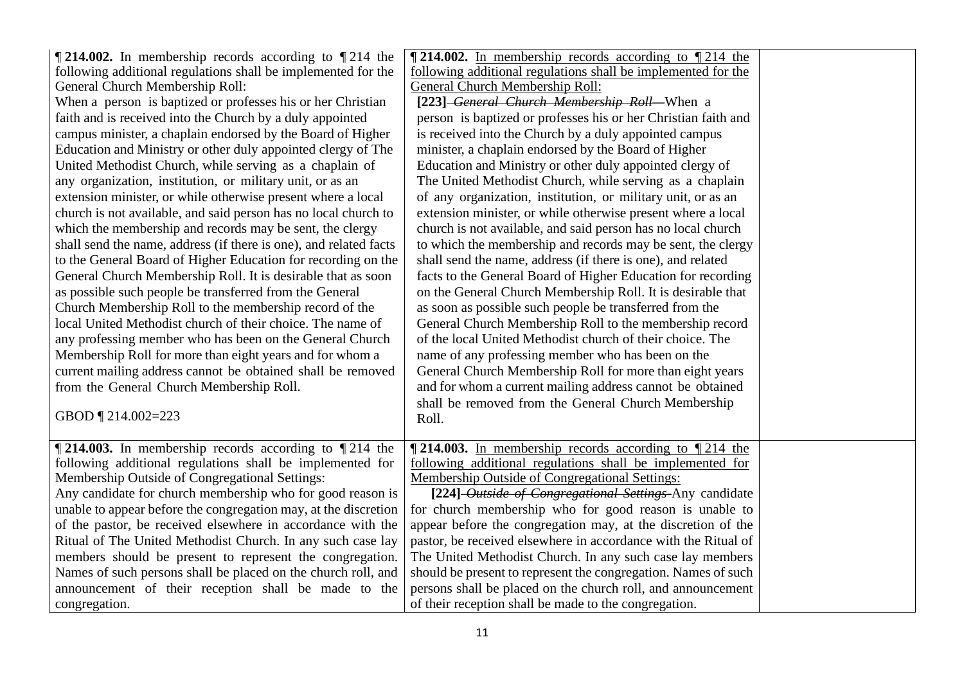| $\parallel$ 214.002. In membership records according to $\parallel$ 214 the |
|-----------------------------------------------------------------------------|
| following additional regulations shall be implemented for the               |
| <b>General Church Membership Roll:</b>                                      |

When a person is baptized or professes his or her Christian faith and is received into the Church by a duly appointed campus minister, a chaplain endorsed by the Board of Higher Education and Ministry or other duly appointed clergy of The United Methodist Church, while serving as a chaplain of any organization, institution, or military unit, or as an extension minister, or while otherwise present where a local church is not available, and said person has no local church to which the membership and records may be sent, the clergy shall send the name, address (if there is one), and related facts to the General Board of Higher Education for recording on the General Church Membership Roll. It is desirable that as soon as possible such people be transferred from the General Church Membership Roll to the membership record of the local United Methodist church of their choice. The name of any professing member who has been on the General Church Membership Roll for more than eight years and for whom a current mailing address cannot be obtained shall be removed from the General Church Membership Roll.

GBOD ¶ 214.002=223

| $\P$ 214.003. In membership records according to $\P$ 214 the   |  |  |
|-----------------------------------------------------------------|--|--|
| following additional regulations shall be implemented for       |  |  |
| Membership Outside of Congregational Settings:                  |  |  |
| Any candidate for church membership who for good reason is      |  |  |
| unable to appear before the congregation may, at the discretion |  |  |
| of the pastor, be received elsewhere in accordance with the     |  |  |
| Ritual of The United Methodist Church. In any such case lay     |  |  |
| members should be present to represent the congregation.        |  |  |
| Names of such persons shall be placed on the church roll, and   |  |  |
| announcement of their reception shall be made to the            |  |  |
| congregation.                                                   |  |  |
|                                                                 |  |  |

**T214.002.** In membership records according to 1214 the following additional regulations shall be implemented for the General Church Membership Roll: **[223]** *General Church Membership Roll—*When a person is baptized or professes his or her Christian faith and is received into the Church by a duly appointed campus minister, a chaplain endorsed by the Board of Higher Education and Ministry or other duly appointed clergy of The United Methodist Church, while serving as a chaplain of any organization, institution, or military unit, or as an extension minister, or while otherwise present where a local church is not available, and said person has no local church to which the membership and records may be sent, the clergy shall send the name, address (if there is one), and related facts to the General Board of Higher Education for recording on the General Church Membership Roll. It is desirable that as soon as possible such people be transferred from the General Church Membership Roll to the membership record of the local United Methodist church of their choice. The name of any professing member who has been on the General Church Membership Roll for more than eight years and for whom a current mailing address cannot be obtained shall be removed from the General Church Membership Roll.

¶ **214.003.** In membership records according to ¶ 214 the following additional regulations shall be implemented for Membership Outside of Congregational Settings:

**[224]** *Outside of Congregational Settings-*Any candidate for church membership who for good reason is unable to appear before the congregation may, at the discretion of the pastor, be received elsewhere in accordance with the Ritual of The United Methodist Church. In any such case lay members should be present to represent the congregation. Names of such persons shall be placed on the church roll, and announcement of their reception shall be made to the congregation.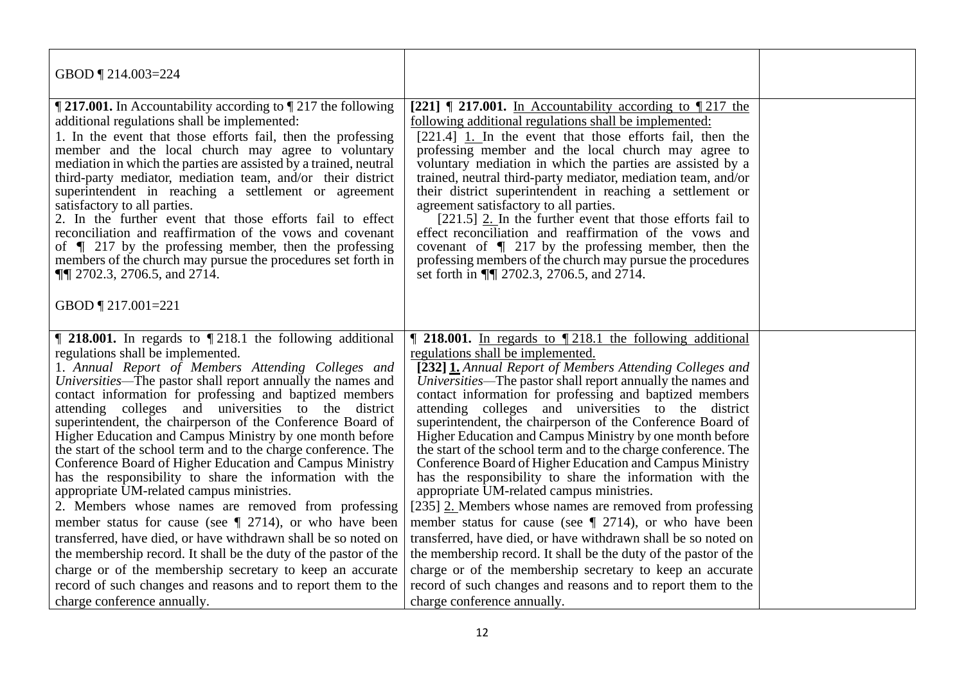| GBOD $\P$ 214.003=224                                                                                                                                                                                                                                                                                                                                                                                                                                                                                                                                                                                                                                                                                                                                                                                                                                                                                                                                                                                                                                                                                                             |                                                                                                                                                                                                                                                                                                                                                                                                                                                                                                                                                                                                                                                                                                                                                                                                                                                                                                                                                                                                                                                                                                                                               |  |
|-----------------------------------------------------------------------------------------------------------------------------------------------------------------------------------------------------------------------------------------------------------------------------------------------------------------------------------------------------------------------------------------------------------------------------------------------------------------------------------------------------------------------------------------------------------------------------------------------------------------------------------------------------------------------------------------------------------------------------------------------------------------------------------------------------------------------------------------------------------------------------------------------------------------------------------------------------------------------------------------------------------------------------------------------------------------------------------------------------------------------------------|-----------------------------------------------------------------------------------------------------------------------------------------------------------------------------------------------------------------------------------------------------------------------------------------------------------------------------------------------------------------------------------------------------------------------------------------------------------------------------------------------------------------------------------------------------------------------------------------------------------------------------------------------------------------------------------------------------------------------------------------------------------------------------------------------------------------------------------------------------------------------------------------------------------------------------------------------------------------------------------------------------------------------------------------------------------------------------------------------------------------------------------------------|--|
| <b>1217.001.</b> In Accountability according to 1217 the following<br>additional regulations shall be implemented:<br>1. In the event that those efforts fail, then the professing<br>member and the local church may agree to voluntary<br>mediation in which the parties are assisted by a trained, neutral<br>third-party mediator, mediation team, and/or their district<br>superintendent in reaching a settlement or agreement<br>satisfactory to all parties.<br>2. In the further event that those efforts fail to effect<br>reconciliation and reaffirmation of the vows and covenant<br>of $\P$ 217 by the professing member, then the professing<br>members of the church may pursue the procedures set forth in<br>$\P\P$ 2702.3, 2706.5, and 2714.                                                                                                                                                                                                                                                                                                                                                                   | [221] $\parallel$ 217.001. In Accountability according to $\parallel$ 217 the<br>following additional regulations shall be implemented:<br>$[221.4]$ 1. In the event that those efforts fail, then the<br>professing member and the local church may agree to<br>voluntary mediation in which the parties are assisted by a<br>trained, neutral third-party mediator, mediation team, and/or<br>their district superintendent in reaching a settlement or<br>agreement satisfactory to all parties.<br>$[221.5]$ 2. In the further event that those efforts fail to<br>effect reconciliation and reaffirmation of the vows and<br>covenant of $\P$ 217 by the professing member, then the<br>professing members of the church may pursue the procedures<br>set forth in $\P\P$ 2702.3, 2706.5, and 2714.                                                                                                                                                                                                                                                                                                                                      |  |
| GBOD 1217.001=221                                                                                                                                                                                                                                                                                                                                                                                                                                                                                                                                                                                                                                                                                                                                                                                                                                                                                                                                                                                                                                                                                                                 |                                                                                                                                                                                                                                                                                                                                                                                                                                                                                                                                                                                                                                                                                                                                                                                                                                                                                                                                                                                                                                                                                                                                               |  |
| 1 218.001. In regards to 1218.1 the following additional<br>regulations shall be implemented.<br>1. Annual Report of Members Attending Colleges and<br>Universities—The pastor shall report annually the names and<br>contact information for professing and baptized members<br>attending colleges and universities to the district<br>superintendent, the chairperson of the Conference Board of<br>Higher Education and Campus Ministry by one month before<br>the start of the school term and to the charge conference. The<br>Conference Board of Higher Education and Campus Ministry<br>has the responsibility to share the information with the<br>appropriate UM-related campus ministries.<br>2. Members whose names are removed from professing<br>member status for cause (see $\parallel$ 2714), or who have been<br>transferred, have died, or have withdrawn shall be so noted on<br>the membership record. It shall be the duty of the pastor of the<br>charge or of the membership secretary to keep an accurate<br>record of such changes and reasons and to report them to the<br>charge conference annually. | 1 218.001. In regards to 1218.1 the following additional<br>regulations shall be implemented.<br>[232] 1. Annual Report of Members Attending Colleges and<br>Universities—The pastor shall report annually the names and<br>contact information for professing and baptized members<br>attending colleges and universities to the district<br>superintendent, the chairperson of the Conference Board of<br>Higher Education and Campus Ministry by one month before<br>the start of the school term and to the charge conference. The<br>Conference Board of Higher Education and Campus Ministry<br>has the responsibility to share the information with the<br>appropriate UM-related campus ministries.<br>[235] 2. Members whose names are removed from professing<br>member status for cause (see $\parallel$ 2714), or who have been<br>transferred, have died, or have withdrawn shall be so noted on<br>the membership record. It shall be the duty of the pastor of the<br>charge or of the membership secretary to keep an accurate<br>record of such changes and reasons and to report them to the<br>charge conference annually. |  |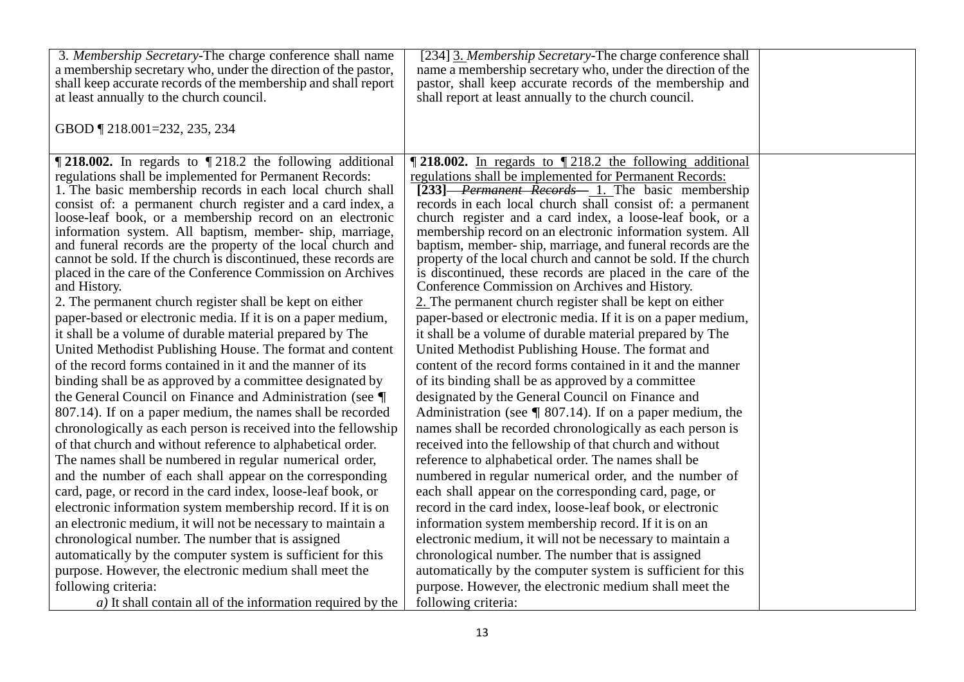| 3. Membership Secretary-The charge conference shall name                                                                         | [234] 3. Membership Secretary-The charge conference shall                                                                     |  |
|----------------------------------------------------------------------------------------------------------------------------------|-------------------------------------------------------------------------------------------------------------------------------|--|
| a membership secretary who, under the direction of the pastor,<br>shall keep accurate records of the membership and shall report | name a membership secretary who, under the direction of the<br>pastor, shall keep accurate records of the membership and      |  |
| at least annually to the church council.                                                                                         | shall report at least annually to the church council.                                                                         |  |
|                                                                                                                                  |                                                                                                                               |  |
| GBOD   218.001=232, 235, 234                                                                                                     |                                                                                                                               |  |
|                                                                                                                                  |                                                                                                                               |  |
| <b>1218.002.</b> In regards to 1218.2 the following additional                                                                   | <b>1218.002.</b> In regards to 1218.2 the following additional                                                                |  |
| regulations shall be implemented for Permanent Records:                                                                          | regulations shall be implemented for Permanent Records:                                                                       |  |
| 1. The basic membership records in each local church shall                                                                       | [233] Permanent Records 1. The basic membership                                                                               |  |
| consist of: a permanent church register and a card index, a                                                                      | records in each local church shall consist of: a permanent                                                                    |  |
| loose-leaf book, or a membership record on an electronic                                                                         | church register and a card index, a loose-leaf book, or a                                                                     |  |
| information system. All baptism, member-ship, marriage,                                                                          | membership record on an electronic information system. All                                                                    |  |
| and funeral records are the property of the local church and<br>cannot be sold. If the church is discontinued, these records are | baptism, member-ship, marriage, and funeral records are the<br>property of the local church and cannot be sold. If the church |  |
| placed in the care of the Conference Commission on Archives                                                                      | is discontinued, these records are placed in the care of the                                                                  |  |
| and History.                                                                                                                     | Conference Commission on Archives and History.                                                                                |  |
| 2. The permanent church register shall be kept on either                                                                         | 2. The permanent church register shall be kept on either                                                                      |  |
| paper-based or electronic media. If it is on a paper medium,                                                                     | paper-based or electronic media. If it is on a paper medium,                                                                  |  |
| it shall be a volume of durable material prepared by The                                                                         | it shall be a volume of durable material prepared by The                                                                      |  |
| United Methodist Publishing House. The format and content                                                                        | United Methodist Publishing House. The format and                                                                             |  |
| of the record forms contained in it and the manner of its                                                                        | content of the record forms contained in it and the manner                                                                    |  |
| binding shall be as approved by a committee designated by                                                                        | of its binding shall be as approved by a committee                                                                            |  |
| the General Council on Finance and Administration (see ¶                                                                         | designated by the General Council on Finance and                                                                              |  |
| 807.14). If on a paper medium, the names shall be recorded                                                                       | Administration (see $\P$ 807.14). If on a paper medium, the                                                                   |  |
| chronologically as each person is received into the fellowship                                                                   | names shall be recorded chronologically as each person is                                                                     |  |
| of that church and without reference to alphabetical order.                                                                      | received into the fellowship of that church and without                                                                       |  |
| The names shall be numbered in regular numerical order,                                                                          | reference to alphabetical order. The names shall be                                                                           |  |
| and the number of each shall appear on the corresponding                                                                         | numbered in regular numerical order, and the number of                                                                        |  |
| card, page, or record in the card index, loose-leaf book, or                                                                     | each shall appear on the corresponding card, page, or                                                                         |  |
| electronic information system membership record. If it is on                                                                     | record in the card index, loose-leaf book, or electronic                                                                      |  |
| an electronic medium, it will not be necessary to maintain a                                                                     | information system membership record. If it is on an                                                                          |  |
| chronological number. The number that is assigned                                                                                | electronic medium, it will not be necessary to maintain a                                                                     |  |
| automatically by the computer system is sufficient for this                                                                      | chronological number. The number that is assigned                                                                             |  |
| purpose. However, the electronic medium shall meet the                                                                           | automatically by the computer system is sufficient for this                                                                   |  |
| following criteria:                                                                                                              | purpose. However, the electronic medium shall meet the                                                                        |  |
| $a)$ It shall contain all of the information required by the                                                                     | following criteria:                                                                                                           |  |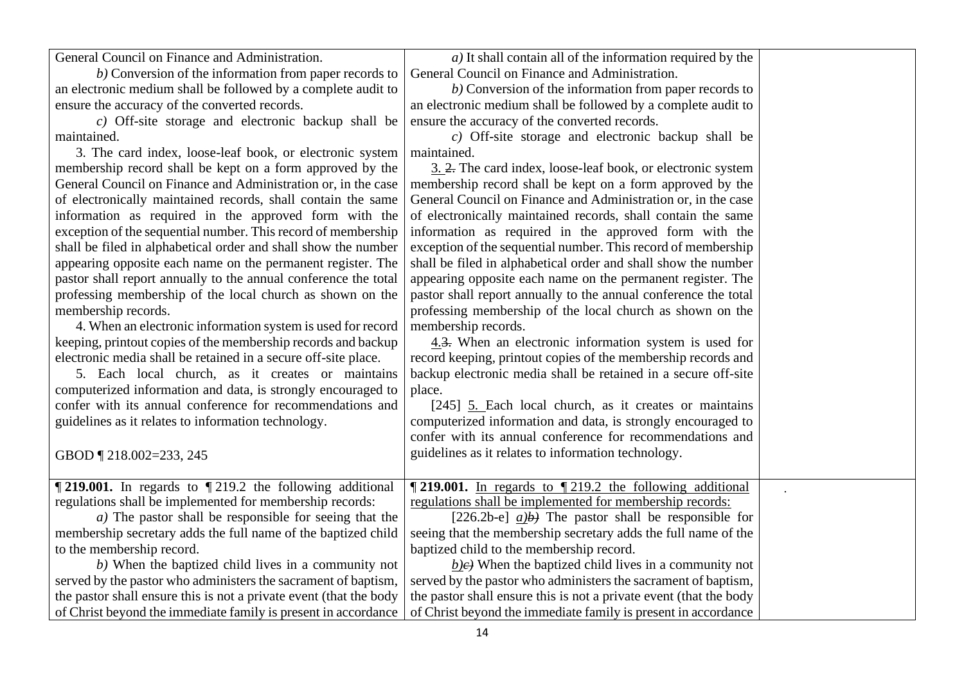General Council on Finance and Administration.

*b)* Conversion of the information from paper records to an electronic medium shall be followed by a complete audit to ensure the accuracy of the converted records.

*c)* Off-site storage and electronic backup shall be maintained.

3. The card index, loose-leaf book, or electronic system membership record shall be kept on a form approved by the General Council on Finance and Administration or, in the case of electronically maintained records, shall contain the same information as required in the approved form with the exception of the sequential number. This record of membership shall be filed in alphabetical order and shall show the number appearing opposite each name on the permanent register. The pastor shall report annually to the annual conference the total professing membership of the local church as shown on the membership records.

4. When an electronic information system is used for record keeping, printout copies of the membership records and backup electronic media shall be retained in a secure off-site place.

5. Each local church, as it creates or maintains computerized information and data, is strongly encouraged to confer with its annual conference for recommendations and guidelines as it relates to information technology.

GBOD ¶ 218.002=233, 245

¶ **219.001.** In regards to ¶ 219.2 the following additional regulations shall be implemented for membership records:

*a)* The pastor shall be responsible for seeing that the membership secretary adds the full name of the baptized child to the membership record.

*b)* When the baptized child lives in a community not served by the pastor who administers the sacrament of baptism, the pastor shall ensure this is not a private event (that the body of Christ beyond the immediate family is present in accordance

*a)* It shall contain all of the information required by the General Council on Finance and Administration.

*b)* Conversion of the information from paper records to an electronic medium shall be followed by a complete audit to ensure the accuracy of the converted records.

*c)* Off-site storage and electronic backup shall be maintained.

3. 2. The card index, loose-leaf book, or electronic system membership record shall be kept on a form approved by the General Council on Finance and Administration or, in the case of electronically maintained records, shall contain the same information as required in the approved form with the exception of the sequential number. This record of membership shall be filed in alphabetical order and shall show the number appearing opposite each name on the permanent register. The pastor shall report annually to the annual conference the total professing membership of the local church as shown on the membership records.

4.3. When an electronic information system is used for record keeping, printout copies of the membership records and backup electronic media shall be retained in a secure off-site place.

[245] 5. Each local church, as it creates or maintains computerized information and data, is strongly encouraged to confer with its annual conference for recommendations and guidelines as it relates to information technology.

¶ **219.001.** In regards to ¶ 219.2 the following additional regulations shall be implemented for membership records:

.

 $[226.2b-e]$   $\underline{a}$  $\underline{b}$  The pastor shall be responsible for seeing that the membership secretary adds the full name of the baptized child to the membership record.

*b*) $\epsilon$ *)* When the baptized child lives in a community not served by the pastor who administers the sacrament of baptism, the pastor shall ensure this is not a private event (that the body of Christ beyond the immediate family is present in accordance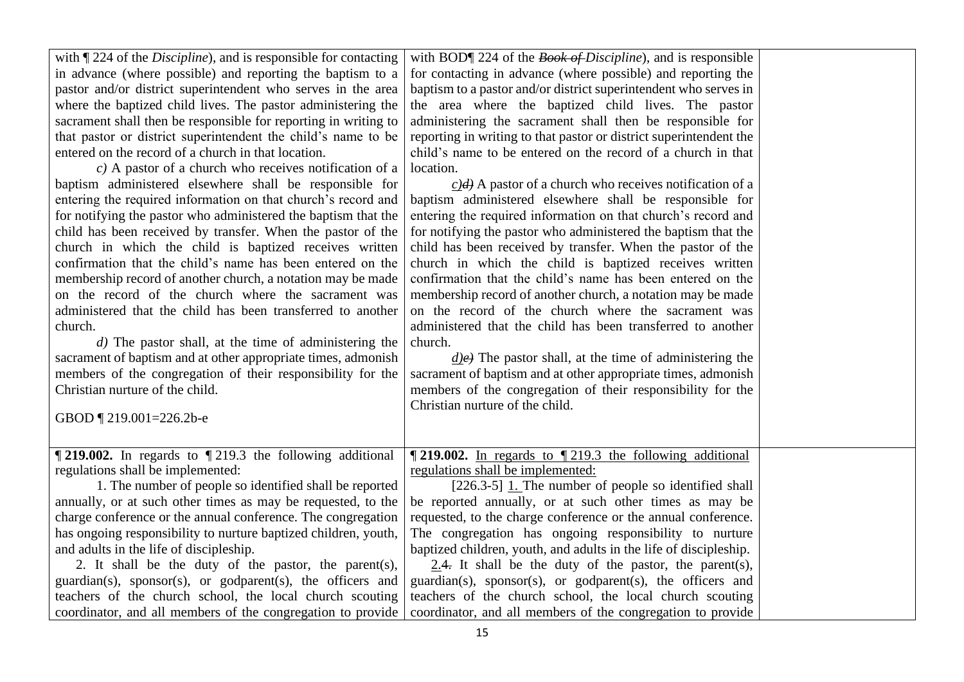| with $\P$ 224 of the <i>Discipline</i> ), and is responsible for contacting | with BOD¶ 224 of the <i>Book of Discipline</i> ), and is responsible       |  |
|-----------------------------------------------------------------------------|----------------------------------------------------------------------------|--|
| in advance (where possible) and reporting the baptism to a                  | for contacting in advance (where possible) and reporting the               |  |
| pastor and/or district superintendent who serves in the area                | baptism to a pastor and/or district superintendent who serves in           |  |
| where the baptized child lives. The pastor administering the                | the area where the baptized child lives. The pastor                        |  |
| sacrament shall then be responsible for reporting in writing to             | administering the sacrament shall then be responsible for                  |  |
| that pastor or district superintendent the child's name to be               | reporting in writing to that pastor or district superintendent the         |  |
| entered on the record of a church in that location.                         | child's name to be entered on the record of a church in that               |  |
| $c)$ A pastor of a church who receives notification of a                    | location.                                                                  |  |
| baptism administered elsewhere shall be responsible for                     | $c/d$ ) A pastor of a church who receives notification of a                |  |
| entering the required information on that church's record and               | baptism administered elsewhere shall be responsible for                    |  |
| for notifying the pastor who administered the baptism that the              | entering the required information on that church's record and              |  |
| child has been received by transfer. When the pastor of the                 | for notifying the pastor who administered the baptism that the             |  |
| church in which the child is baptized receives written                      | child has been received by transfer. When the pastor of the                |  |
| confirmation that the child's name has been entered on the                  | church in which the child is baptized receives written                     |  |
| membership record of another church, a notation may be made                 | confirmation that the child's name has been entered on the                 |  |
| on the record of the church where the sacrament was                         | membership record of another church, a notation may be made                |  |
| administered that the child has been transferred to another                 | on the record of the church where the sacrament was                        |  |
| church.                                                                     | administered that the child has been transferred to another                |  |
| d) The pastor shall, at the time of administering the                       | church.                                                                    |  |
| sacrament of baptism and at other appropriate times, admonish               | $\underline{d}$ ) $e$ ) The pastor shall, at the time of administering the |  |
| members of the congregation of their responsibility for the                 | sacrament of baptism and at other appropriate times, admonish              |  |
| Christian nurture of the child.                                             | members of the congregation of their responsibility for the                |  |
|                                                                             | Christian nurture of the child.                                            |  |
| GBOD 1219.001=226.2b-e                                                      |                                                                            |  |
|                                                                             |                                                                            |  |
| 1219.002. In regards to 1219.3 the following additional                     | 1219.002. In regards to 1219.3 the following additional                    |  |
| regulations shall be implemented:                                           | regulations shall be implemented:                                          |  |
| 1. The number of people so identified shall be reported                     | [ $226.3-5$ ] 1. The number of people so identified shall                  |  |
| annually, or at such other times as may be requested, to the                | be reported annually, or at such other times as may be                     |  |
| charge conference or the annual conference. The congregation                | requested, to the charge conference or the annual conference.              |  |
| has ongoing responsibility to nurture baptized children, youth,             | The congregation has ongoing responsibility to nurture                     |  |
| and adults in the life of discipleship.                                     | baptized children, youth, and adults in the life of discipleship.          |  |
| 2. It shall be the duty of the pastor, the parent(s),                       | $2.4$ . It shall be the duty of the pastor, the parent(s),                 |  |
| guardian(s), sponsor(s), or godparent(s), the officers and                  | guardian(s), sponsor(s), or godparent(s), the officers and                 |  |
| teachers of the church school, the local church scouting                    | teachers of the church school, the local church scouting                   |  |
| coordinator, and all members of the congregation to provide                 | coordinator, and all members of the congregation to provide                |  |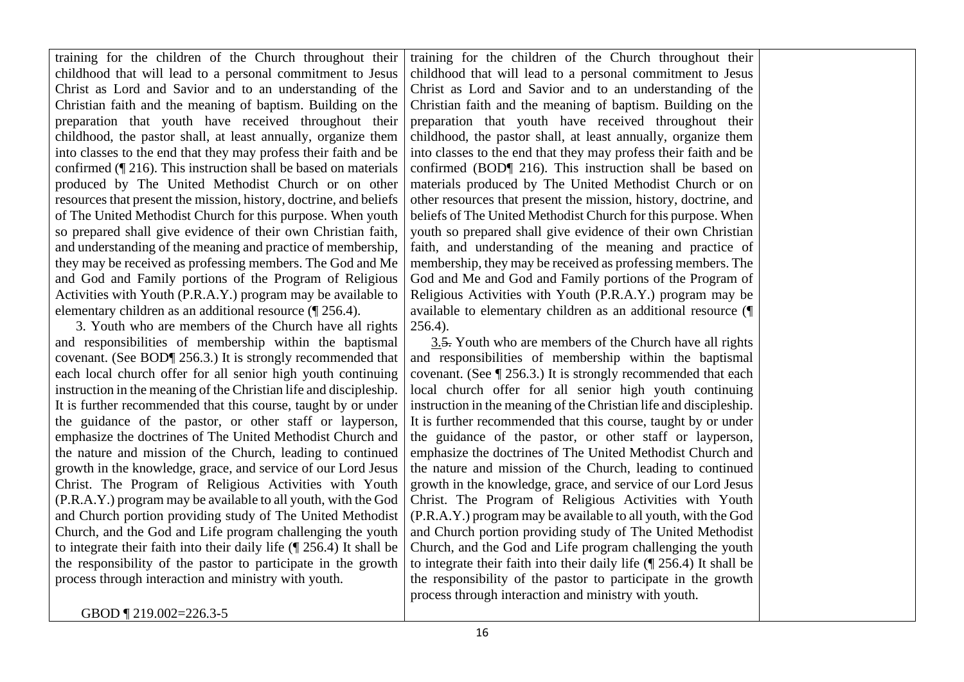training for the children of the Church throughout their childhood that will lead to a personal commitment to Jesus Christ as Lord and Savior and to an understanding of the Christian faith and the meaning of baptism. Building on the preparation that youth have received throughout their childhood, the pastor shall, at least annually, organize them into classes to the end that they may profess their faith and be confirmed (¶ 216). This instruction shall be based on materials produced by The United Methodist Church or on other resources that present the mission, history, doctrine, and beliefs of The United Methodist Church for this purpose. When youth so prepared shall give evidence of their own Christian faith, and understanding of the meaning and practice of membership, they may be received as professing members. The God and Me and God and Family portions of the Program of Religious Activities with Youth (P.R.A.Y.) program may be available to elementary children as an additional resource (¶ 256.4).

3. Youth who are members of the Church have all rights and responsibilities of membership within the baptismal covenant. (See BOD¶ 256.3.) It is strongly recommended that each local church offer for all senior high youth continuing instruction in the meaning of the Christian life and discipleship. It is further recommended that this course, taught by or under the guidance of the pastor, or other staff or layperson, emphasize the doctrines of The United Methodist Church and the nature and mission of the Church, leading to continued growth in the knowledge, grace, and service of our Lord Jesus Christ. The Program of Religious Activities with Youth (P.R.A.Y.) program may be available to all youth, with the God and Church portion providing study of The United Methodist Church, and the God and Life program challenging the youth to integrate their faith into their daily life (¶ 256.4) It shall be the responsibility of the pastor to participate in the growth process through interaction and ministry with youth.

training for the children of the Church throughout their childhood that will lead to a personal commitment to Jesus Christ as Lord and Savior and to an understanding of the Christian faith and the meaning of baptism. Building on the preparation that youth have received throughout their childhood, the pastor shall, at least annually, organize them into classes to the end that they may profess their faith and be confirmed (BOD¶ 216). This instruction shall be based on materials produced by The United Methodist Church or on other resources that present the mission, history, doctrine, and beliefs of The United Methodist Church for this purpose. When youth so prepared shall give evidence of their own Christian faith, and understanding of the meaning and practice of membership, they may be received as professing members. The God and Me and God and Family portions of the Program of Religious Activities with Youth (P.R.A.Y.) program may be available to elementary children as an additional resource (¶ 256.4).

3.5. Youth who are members of the Church have all rights and responsibilities of membership within the baptismal covenant. (See ¶ 256.3.) It is strongly recommended that each local church offer for all senior high youth continuing instruction in the meaning of the Christian life and discipleship. It is further recommended that this course, taught by or under the guidance of the pastor, or other staff or layperson, emphasize the doctrines of The United Methodist Church and the nature and mission of the Church, leading to continued growth in the knowledge, grace, and service of our Lord Jesus Christ. The Program of Religious Activities with Youth (P.R.A.Y.) program may be available to all youth, with the God and Church portion providing study of The United Methodist Church, and the God and Life program challenging the youth to integrate their faith into their daily life (¶ 256.4) It shall be the responsibility of the pastor to participate in the growth process through interaction and ministry with youth.

GBOD ¶ 219.002=226.3-5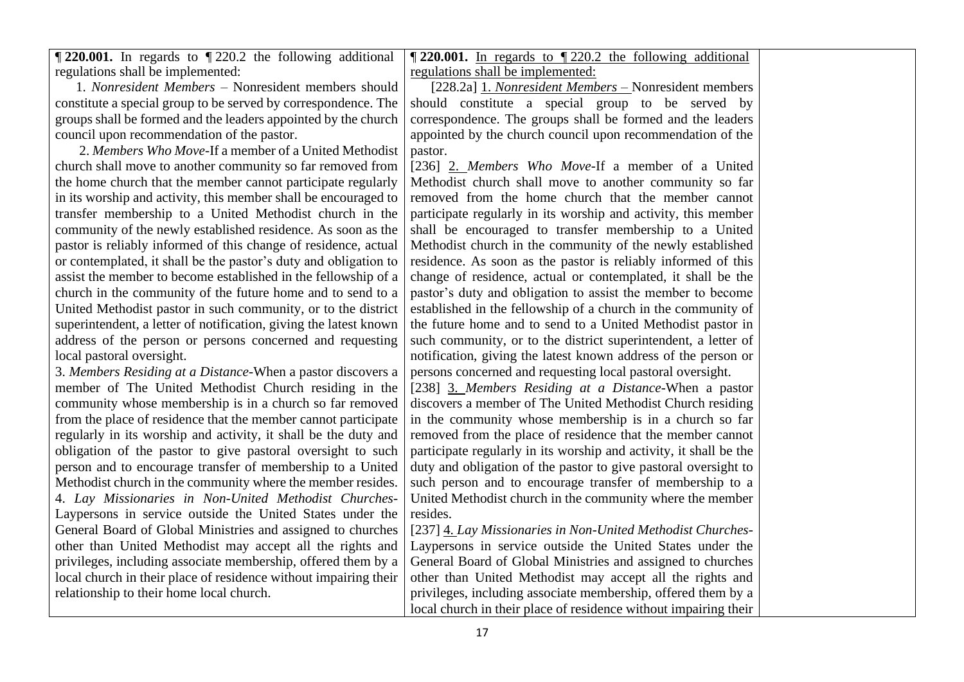|                                   | <b>1220.001.</b> In regards to 1220.2 the following additional 1220.001. In regards to 1220.2 the following additional |
|-----------------------------------|------------------------------------------------------------------------------------------------------------------------|
| regulations shall be implemented: | regulations shall be implemented:                                                                                      |

1. *Nonresident Members –* Nonresident members should constitute a special group to be served by correspondence. The groups shall be formed and the leaders appointed by the church council upon recommendation of the pastor.

 2. *Members Who Move-*If a member of a United Methodist church shall move to another community so far removed from the home church that the member cannot participate regularly in its worship and activity, this member shall be encouraged to transfer membership to a United Methodist church in the community of the newly established residence. As soon as the pastor is reliably informed of this change of residence, actual or contemplated, it shall be the pastor's duty and obligation to assist the member to become established in the fellowship of a church in the community of the future home and to send to a United Methodist pastor in such community, or to the district superintendent, a letter of notification, giving the latest known address of the person or persons concerned and requesting local pastoral oversight.

3. *Members Residing at a Distance-*When a pastor discovers a member of The United Methodist Church residing in the community whose membership is in a church so far removed from the place of residence that the member cannot participate regularly in its worship and activity, it shall be the duty and obligation of the pastor to give pastoral oversight to such person and to encourage transfer of membership to a United Methodist church in the community where the member resides. 4. *Lay Missionaries in Non-United Methodist Churches-*Laypersons in service outside the United States under the General Board of Global Ministries and assigned to churches other than United Methodist may accept all the rights and privileges, including associate membership, offered them by a local church in their place of residence without impairing their relationship to their home local church.

[228.2a] 1. *Nonresident Members –* Nonresident members should constitute a special group to be served by correspondence. The groups shall be formed and the leaders appointed by the church council upon recommendation of the pastor.

[236] 2. *Members Who Move-*If a member of a United Methodist church shall move to another community so far removed from the home church that the member cannot participate regularly in its worship and activity, this member shall be encouraged to transfer membership to a United Methodist church in the community of the newly established residence. As soon as the pastor is reliably informed of this change of residence, actual or contemplated, it shall be the pastor's duty and obligation to assist the member to become established in the fellowship of a church in the community of the future home and to send to a United Methodist pastor in such community, or to the district superintendent, a letter of notification, giving the latest known address of the person or persons concerned and requesting local pastoral oversight.

[238] 3. *Members Residing at a Distance-*When a pastor discovers a member of The United Methodist Church residing in the community whose membership is in a church so far removed from the place of residence that the member cannot participate regularly in its worship and activity, it shall be the duty and obligation of the pastor to give pastoral oversight to such person and to encourage transfer of membership to a United Methodist church in the community where the member resides.

[237] 4. *Lay Missionaries in Non-United Methodist Churches-*Laypersons in service outside the United States under the General Board of Global Ministries and assigned to churches other than United Methodist may accept all the rights and privileges, including associate membership, offered them by a local church in their place of residence without impairing their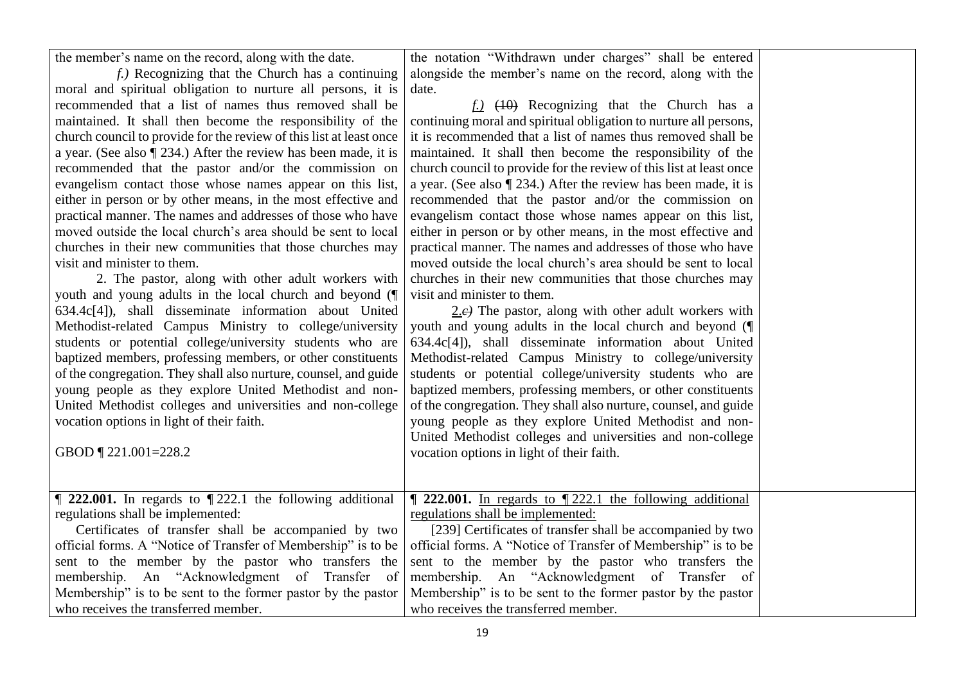the member's name on the record, along with the date.

*f.)* Recognizing that the Church has a continuing moral and spiritual obligation to nurture all persons, it is recommended that a list of names thus removed shall be maintained. It shall then become the responsibility of the church council to provide for the review of this list at least once a year. (See also ¶ 234.) After the review has been made, it is recommended that the pastor and/or the commission on evangelism contact those whose names appear on this list, either in person or by other means, in the most effective and practical manner. The names and addresses of those who have moved outside the local church's area should be sent to local churches in their new communities that those churches may visit and minister to them.

2. The pastor, along with other adult workers with youth and young adults in the local church and beyond (¶ 634.4c[4]), shall disseminate information about United Methodist-related Campus Ministry to college/university students or potential college/university students who are baptized members, professing members, or other constituents of the congregation. They shall also nurture, counsel, and guide young people as they explore United Methodist and non-United Methodist colleges and universities and non-college vocation options in light of their faith.

GBOD ¶ 221.001=228.2

¶ **222.001.** In regards to ¶ 222.1 the following additional regulations shall be implemented:

Certificates of transfer shall be accompanied by two official forms. A "Notice of Transfer of Membership" is to be sent to the member by the pastor who transfers the membership. An "Acknowledgment of Transfer of Membership" is to be sent to the former pastor by the pastor who receives the transferred member.

the notation "Withdrawn under charges" shall be entered alongside the member's name on the record, along with the date.

*f.)* (10) Recognizing that the Church has a continuing moral and spiritual obligation to nurture all persons, it is recommended that a list of names thus removed shall be maintained. It shall then become the responsibility of the church council to provide for the review of this list at least once a year. (See also ¶ 234.) After the review has been made, it is recommended that the pastor and/or the commission on evangelism contact those whose names appear on this list, either in person or by other means, in the most effective and practical manner. The names and addresses of those who have moved outside the local church's area should be sent to local churches in their new communities that those churches may visit and minister to them.

2.*c)* The pastor, along with other adult workers with youth and young adults in the local church and beyond (¶ 634.4c[4]), shall disseminate information about United Methodist-related Campus Ministry to college/university students or potential college/university students who are baptized members, professing members, or other constituents of the congregation. They shall also nurture, counsel, and guide young people as they explore United Methodist and non-United Methodist colleges and universities and non-college vocation options in light of their faith.

**222.001.** In regards to  $\P$  222.1 the following additional regulations shall be implemented:

[239] Certificates of transfer shall be accompanied by two official forms. A "Notice of Transfer of Membership" is to be sent to the member by the pastor who transfers the membership. An "Acknowledgment of Transfer of Membership" is to be sent to the former pastor by the pastor who receives the transferred member.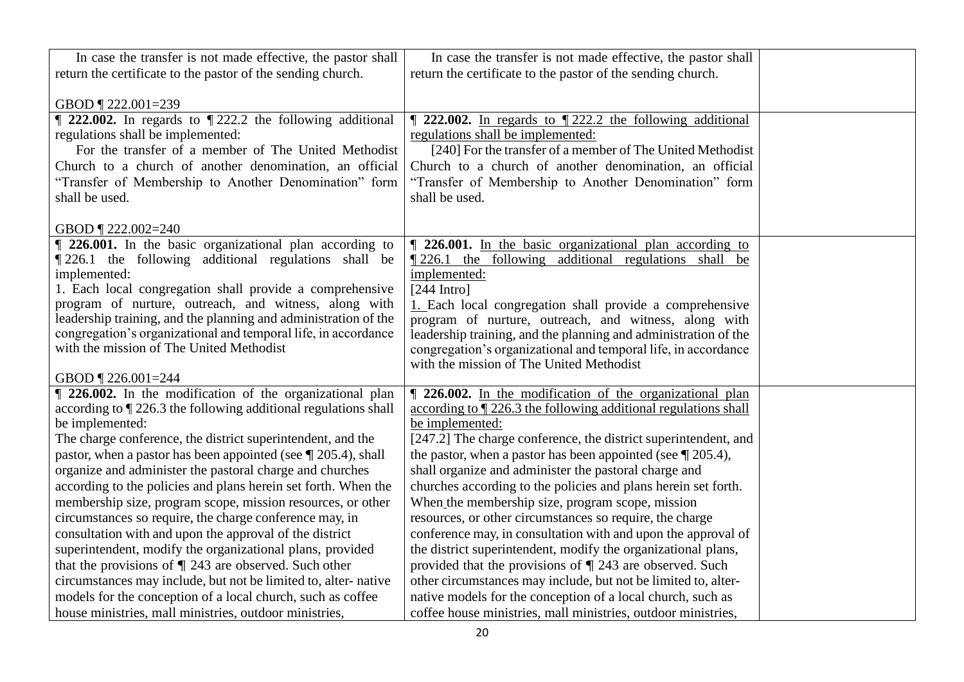| In case the transfer is not made effective, the pastor shall                                                             | In case the transfer is not made effective, the pastor shall                                                             |  |
|--------------------------------------------------------------------------------------------------------------------------|--------------------------------------------------------------------------------------------------------------------------|--|
| return the certificate to the pastor of the sending church.                                                              | return the certificate to the pastor of the sending church.                                                              |  |
|                                                                                                                          |                                                                                                                          |  |
| GBOD   222.001=239                                                                                                       |                                                                                                                          |  |
| 222.002. In regards to $\P$ 222.2 the following additional                                                               | $\parallel$ 222.002. In regards to $\parallel$ 222.2 the following additional                                            |  |
| regulations shall be implemented:                                                                                        | regulations shall be implemented:                                                                                        |  |
| For the transfer of a member of The United Methodist                                                                     | [240] For the transfer of a member of The United Methodist                                                               |  |
| Church to a church of another denomination, an official                                                                  | Church to a church of another denomination, an official                                                                  |  |
| "Transfer of Membership to Another Denomination" form                                                                    | "Transfer of Membership to Another Denomination" form                                                                    |  |
| shall be used.                                                                                                           | shall be used.                                                                                                           |  |
| GBOD 1222.002=240                                                                                                        |                                                                                                                          |  |
| 226.001. In the basic organizational plan according to                                                                   | 226.001. In the basic organizational plan according to                                                                   |  |
| 1226.1 the following additional regulations shall be                                                                     | 1226.1 the following additional regulations shall be                                                                     |  |
| implemented:                                                                                                             | implemented:                                                                                                             |  |
| 1. Each local congregation shall provide a comprehensive                                                                 | $[244 \space Intro]$                                                                                                     |  |
| program of nurture, outreach, and witness, along with<br>leadership training, and the planning and administration of the | 1. Each local congregation shall provide a comprehensive                                                                 |  |
| congregation's organizational and temporal life, in accordance                                                           | program of nurture, outreach, and witness, along with<br>leadership training, and the planning and administration of the |  |
| with the mission of The United Methodist                                                                                 | congregation's organizational and temporal life, in accordance                                                           |  |
|                                                                                                                          | with the mission of The United Methodist                                                                                 |  |
| GBOD 1226.001=244                                                                                                        |                                                                                                                          |  |
| 226.002. In the modification of the organizational plan                                                                  | 226.002. In the modification of the organizational plan                                                                  |  |
| according to $\P$ 226.3 the following additional regulations shall                                                       | according to $\P$ 226.3 the following additional regulations shall                                                       |  |
| be implemented:                                                                                                          | be implemented:                                                                                                          |  |
| The charge conference, the district superintendent, and the                                                              | [247.2] The charge conference, the district superintendent, and                                                          |  |
| pastor, when a pastor has been appointed (see $\P$ 205.4), shall                                                         | the pastor, when a pastor has been appointed (see $\P$ 205.4),                                                           |  |
| organize and administer the pastoral charge and churches                                                                 | shall organize and administer the pastoral charge and                                                                    |  |
| according to the policies and plans herein set forth. When the                                                           | churches according to the policies and plans herein set forth.                                                           |  |
| membership size, program scope, mission resources, or other                                                              | When the membership size, program scope, mission                                                                         |  |
| circumstances so require, the charge conference may, in                                                                  | resources, or other circumstances so require, the charge                                                                 |  |
| consultation with and upon the approval of the district                                                                  | conference may, in consultation with and upon the approval of                                                            |  |
| superintendent, modify the organizational plans, provided                                                                | the district superintendent, modify the organizational plans,                                                            |  |
| that the provisions of $\P$ 243 are observed. Such other                                                                 | provided that the provisions of $\P$ 243 are observed. Such                                                              |  |
| circumstances may include, but not be limited to, alter-native                                                           | other circumstances may include, but not be limited to, alter-                                                           |  |
| models for the conception of a local church, such as coffee                                                              | native models for the conception of a local church, such as                                                              |  |
| house ministries, mall ministries, outdoor ministries,                                                                   | coffee house ministries, mall ministries, outdoor ministries,                                                            |  |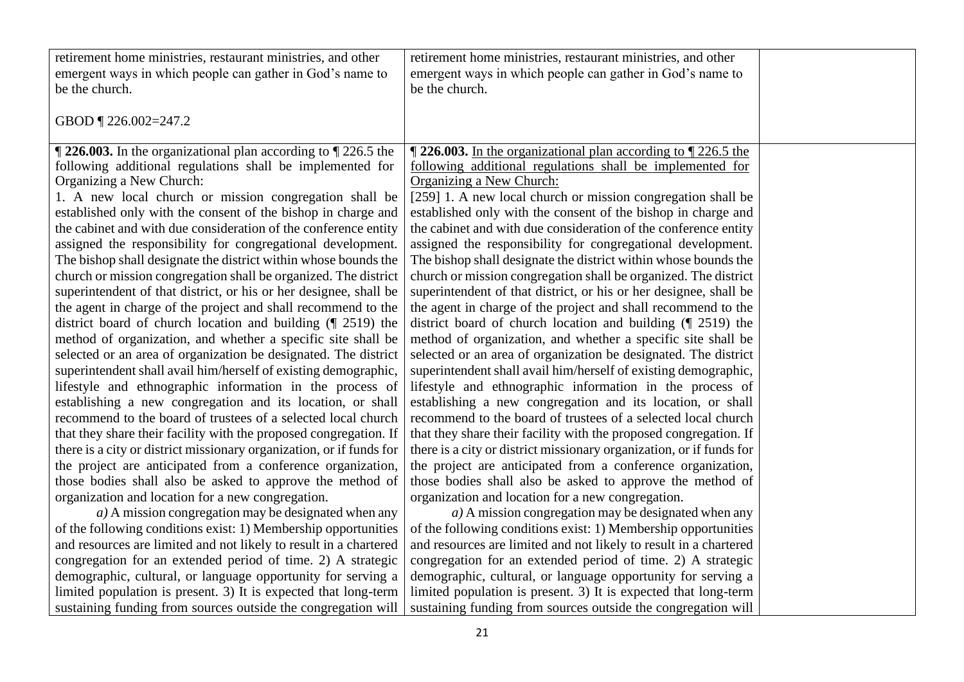| retirement home ministries, restaurant ministries, and other<br>emergent ways in which people can gather in God's name to<br>be the church.                                                                                                                                                                                                                                                                                                                                                                                                                                                                                                                                                                                                                                                                                                                                                                                                                                                                                                                                                                                                                                                                                                                                                                                                                                                                                                                                                                                                                                                                                                                                                   | retirement home ministries, restaurant ministries, and other<br>emergent ways in which people can gather in God's name to<br>be the church.                                                                                                                                                                                                                                                                                                                                                                                                                                                                                                                                                                                                                                                                                                                                                                                                                                                                                                                                                                                                                                                                                                                                                                                                                                                                                                                                                                                                                                                                                                                                                                |  |
|-----------------------------------------------------------------------------------------------------------------------------------------------------------------------------------------------------------------------------------------------------------------------------------------------------------------------------------------------------------------------------------------------------------------------------------------------------------------------------------------------------------------------------------------------------------------------------------------------------------------------------------------------------------------------------------------------------------------------------------------------------------------------------------------------------------------------------------------------------------------------------------------------------------------------------------------------------------------------------------------------------------------------------------------------------------------------------------------------------------------------------------------------------------------------------------------------------------------------------------------------------------------------------------------------------------------------------------------------------------------------------------------------------------------------------------------------------------------------------------------------------------------------------------------------------------------------------------------------------------------------------------------------------------------------------------------------|------------------------------------------------------------------------------------------------------------------------------------------------------------------------------------------------------------------------------------------------------------------------------------------------------------------------------------------------------------------------------------------------------------------------------------------------------------------------------------------------------------------------------------------------------------------------------------------------------------------------------------------------------------------------------------------------------------------------------------------------------------------------------------------------------------------------------------------------------------------------------------------------------------------------------------------------------------------------------------------------------------------------------------------------------------------------------------------------------------------------------------------------------------------------------------------------------------------------------------------------------------------------------------------------------------------------------------------------------------------------------------------------------------------------------------------------------------------------------------------------------------------------------------------------------------------------------------------------------------------------------------------------------------------------------------------------------------|--|
| GBOD   226.002=247.2                                                                                                                                                                                                                                                                                                                                                                                                                                                                                                                                                                                                                                                                                                                                                                                                                                                                                                                                                                                                                                                                                                                                                                                                                                                                                                                                                                                                                                                                                                                                                                                                                                                                          |                                                                                                                                                                                                                                                                                                                                                                                                                                                                                                                                                                                                                                                                                                                                                                                                                                                                                                                                                                                                                                                                                                                                                                                                                                                                                                                                                                                                                                                                                                                                                                                                                                                                                                            |  |
| 1226.003. In the organizational plan according to 1226.5 the<br>following additional regulations shall be implemented for<br>Organizing a New Church:<br>1. A new local church or mission congregation shall be<br>established only with the consent of the bishop in charge and<br>the cabinet and with due consideration of the conference entity<br>assigned the responsibility for congregational development.<br>The bishop shall designate the district within whose bounds the<br>church or mission congregation shall be organized. The district<br>superintendent of that district, or his or her designee, shall be<br>the agent in charge of the project and shall recommend to the<br>district board of church location and building (¶ 2519) the<br>method of organization, and whether a specific site shall be<br>selected or an area of organization be designated. The district<br>superintendent shall avail him/herself of existing demographic,<br>lifestyle and ethnographic information in the process of<br>establishing a new congregation and its location, or shall<br>recommend to the board of trustees of a selected local church<br>that they share their facility with the proposed congregation. If<br>there is a city or district missionary organization, or if funds for<br>the project are anticipated from a conference organization,<br>those bodies shall also be asked to approve the method of<br>organization and location for a new congregation.<br>$a)$ A mission congregation may be designated when any<br>of the following conditions exist: 1) Membership opportunities<br>and resources are limited and not likely to result in a chartered | <b>1226.003.</b> In the organizational plan according to 1226.5 the<br>following additional regulations shall be implemented for<br>Organizing a New Church:<br>[259] 1. A new local church or mission congregation shall be<br>established only with the consent of the bishop in charge and<br>the cabinet and with due consideration of the conference entity<br>assigned the responsibility for congregational development.<br>The bishop shall designate the district within whose bounds the<br>church or mission congregation shall be organized. The district<br>superintendent of that district, or his or her designee, shall be<br>the agent in charge of the project and shall recommend to the<br>district board of church location and building (¶ 2519) the<br>method of organization, and whether a specific site shall be<br>selected or an area of organization be designated. The district<br>superintendent shall avail him/herself of existing demographic,<br>lifestyle and ethnographic information in the process of<br>establishing a new congregation and its location, or shall<br>recommend to the board of trustees of a selected local church<br>that they share their facility with the proposed congregation. If<br>there is a city or district missionary organization, or if funds for<br>the project are anticipated from a conference organization,<br>those bodies shall also be asked to approve the method of<br>organization and location for a new congregation.<br>$a)$ A mission congregation may be designated when any<br>of the following conditions exist: 1) Membership opportunities<br>and resources are limited and not likely to result in a chartered |  |
| congregation for an extended period of time. 2) A strategic<br>demographic, cultural, or language opportunity for serving a<br>limited population is present. 3) It is expected that long-term                                                                                                                                                                                                                                                                                                                                                                                                                                                                                                                                                                                                                                                                                                                                                                                                                                                                                                                                                                                                                                                                                                                                                                                                                                                                                                                                                                                                                                                                                                | congregation for an extended period of time. 2) A strategic<br>demographic, cultural, or language opportunity for serving a<br>limited population is present. 3) It is expected that long-term                                                                                                                                                                                                                                                                                                                                                                                                                                                                                                                                                                                                                                                                                                                                                                                                                                                                                                                                                                                                                                                                                                                                                                                                                                                                                                                                                                                                                                                                                                             |  |
| sustaining funding from sources outside the congregation will                                                                                                                                                                                                                                                                                                                                                                                                                                                                                                                                                                                                                                                                                                                                                                                                                                                                                                                                                                                                                                                                                                                                                                                                                                                                                                                                                                                                                                                                                                                                                                                                                                 | sustaining funding from sources outside the congregation will                                                                                                                                                                                                                                                                                                                                                                                                                                                                                                                                                                                                                                                                                                                                                                                                                                                                                                                                                                                                                                                                                                                                                                                                                                                                                                                                                                                                                                                                                                                                                                                                                                              |  |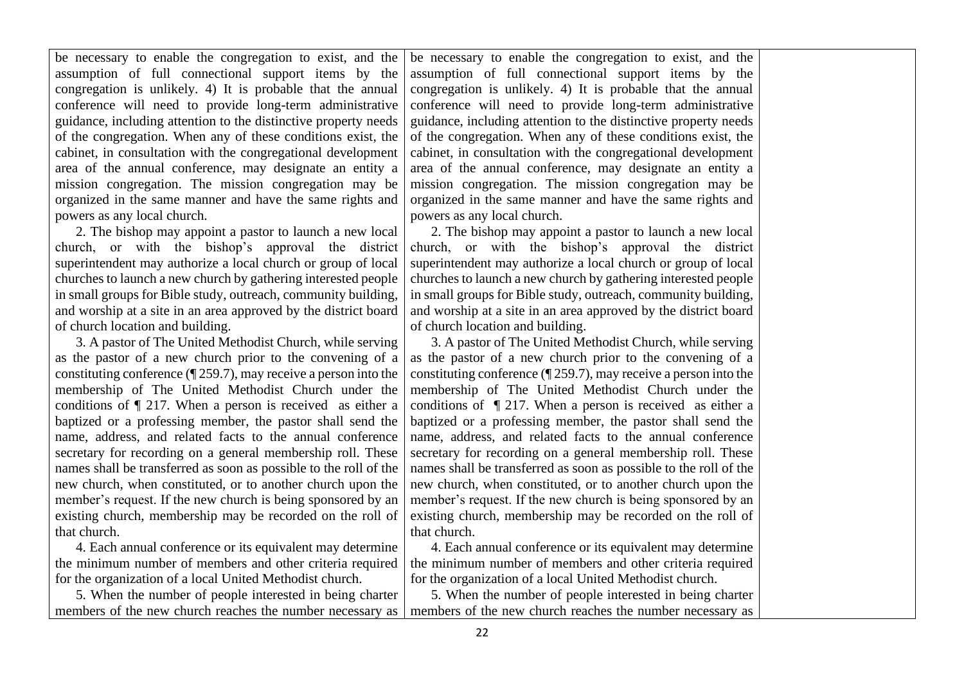be necessary to enable the congregation to exist, and the assumption of full connectional support items by the congregation is unlikely. 4) It is probable that the annual conference will need to provide long-term administrative guidance, including attention to the distinctive property needs of the congregation. When any of these conditions exist, the cabinet, in consultation with the congregational development area of the annual conference, may designate an entity a mission congregation. The mission congregation may be organized in the same manner and have the same rights and powers as any local church.

2. The bishop may appoint a pastor to launch a new local church, or with the bishop's approval the district superintendent may authorize a local church or group of local churches to launch a new church by gathering interested people in small groups for Bible study, outreach, community building, and worship at a site in an area approved by the district board of church location and building.

3. A pastor of The United Methodist Church, while serving as the pastor of a new church prior to the convening of a constituting conference (¶ 259.7), may receive a person into the membership of The United Methodist Church under the conditions of ¶ 217. When a person is received as either a baptized or a professing member, the pastor shall send the name, address, and related facts to the annual conference secretary for recording on a general membership roll. These names shall be transferred as soon as possible to the roll of the new church, when constituted, or to another church upon the member's request. If the new church is being sponsored by an existing church, membership may be recorded on the roll of that church.

4. Each annual conference or its equivalent may determine the minimum number of members and other criteria required for the organization of a local United Methodist church.

5. When the number of people interested in being charter members of the new church reaches the number necessary as

be necessary to enable the congregation to exist, and the assumption of full connectional support items by the congregation is unlikely. 4) It is probable that the annual conference will need to provide long-term administrative guidance, including attention to the distinctive property needs of the congregation. When any of these conditions exist, the cabinet, in consultation with the congregational development area of the annual conference, may designate an entity a mission congregation. The mission congregation may be organized in the same manner and have the same rights and powers as any local church.

2. The bishop may appoint a pastor to launch a new local church, or with the bishop's approval the district superintendent may authorize a local church or group of local churches to launch a new church by gathering interested people in small groups for Bible study, outreach, community building, and worship at a site in an area approved by the district board of church location and building.

3. A pastor of The United Methodist Church, while serving as the pastor of a new church prior to the convening of a constituting conference (¶ 259.7), may receive a person into the membership of The United Methodist Church under the conditions of ¶ 217. When a person is received as either a baptized or a professing member, the pastor shall send the name, address, and related facts to the annual conference secretary for recording on a general membership roll. These names shall be transferred as soon as possible to the roll of the new church, when constituted, or to another church upon the member's request. If the new church is being sponsored by an existing church, membership may be recorded on the roll of that church.

4. Each annual conference or its equivalent may determine the minimum number of members and other criteria required for the organization of a local United Methodist church.

5. When the number of people interested in being charter members of the new church reaches the number necessary as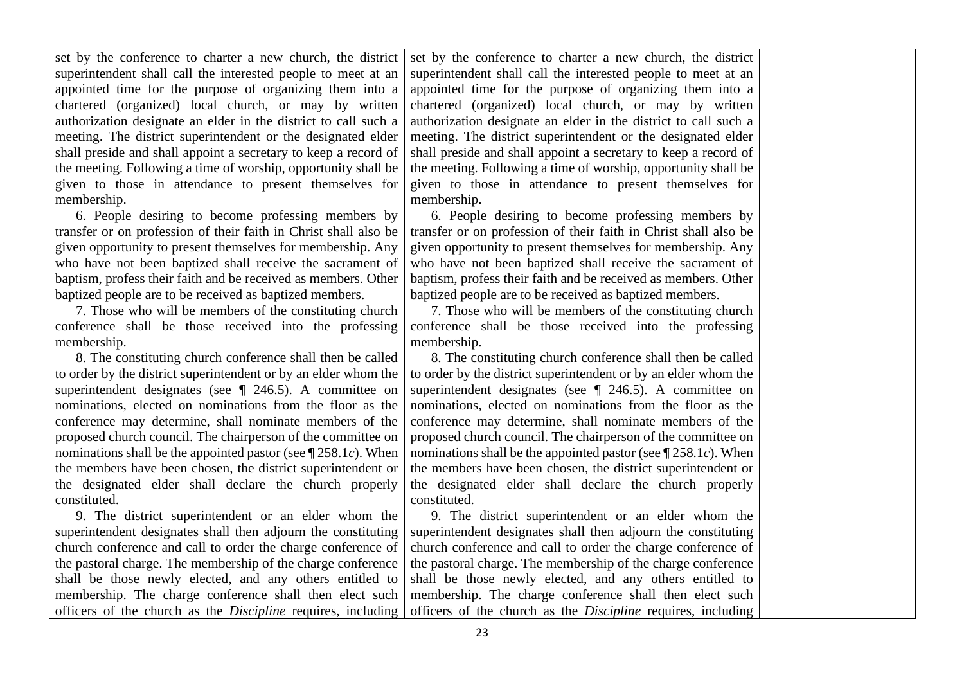set by the conference to charter a new church, the district superintendent shall call the interested people to meet at an appointed time for the purpose of organizing them into a chartered (organized) local church, or may by written authorization designate an elder in the district to call such a meeting. The district superintendent or the designated elder shall preside and shall appoint a secretary to keep a record of the meeting. Following a time of worship, opportunity shall be given to those in attendance to present themselves for membership.

6. People desiring to become professing members by transfer or on profession of their faith in Christ shall also be given opportunity to present themselves for membership. Any who have not been baptized shall receive the sacrament of baptism, profess their faith and be received as members. Other baptized people are to be received as baptized members.

7. Those who will be members of the constituting church conference shall be those received into the professing membership.

8. The constituting church conference shall then be called to order by the district superintendent or by an elder whom the superintendent designates (see ¶ 246.5). A committee on nominations, elected on nominations from the floor as the conference may determine, shall nominate members of the proposed church council. The chairperson of the committee on nominations shall be the appointed pastor (see ¶ 258.1*c*). When the members have been chosen, the district superintendent or the designated elder shall declare the church properly constituted.

9. The district superintendent or an elder whom the superintendent designates shall then adjourn the constituting church conference and call to order the charge conference of the pastoral charge. The membership of the charge conference shall be those newly elected, and any others entitled to membership. The charge conference shall then elect such officers of the church as the *Discipline* requires, including

set by the conference to charter a new church, the district superintendent shall call the interested people to meet at an appointed time for the purpose of organizing them into a chartered (organized) local church, or may by written authorization designate an elder in the district to call such a meeting. The district superintendent or the designated elder shall preside and shall appoint a secretary to keep a record of the meeting. Following a time of worship, opportunity shall be given to those in attendance to present themselves for membership.

6. People desiring to become professing members by transfer or on profession of their faith in Christ shall also be given opportunity to present themselves for membership. Any who have not been baptized shall receive the sacrament of baptism, profess their faith and be received as members. Other baptized people are to be received as baptized members.

7. Those who will be members of the constituting church conference shall be those received into the professing membership.

8. The constituting church conference shall then be called to order by the district superintendent or by an elder whom the superintendent designates (see ¶ 246.5). A committee on nominations, elected on nominations from the floor as the conference may determine, shall nominate members of the proposed church council. The chairperson of the committee on nominations shall be the appointed pastor (see ¶ 258.1*c*). When the members have been chosen, the district superintendent or the designated elder shall declare the church properly constituted.

9. The district superintendent or an elder whom the superintendent designates shall then adjourn the constituting church conference and call to order the charge conference of the pastoral charge. The membership of the charge conference shall be those newly elected, and any others entitled to membership. The charge conference shall then elect such officers of the church as the *Discipline* requires, including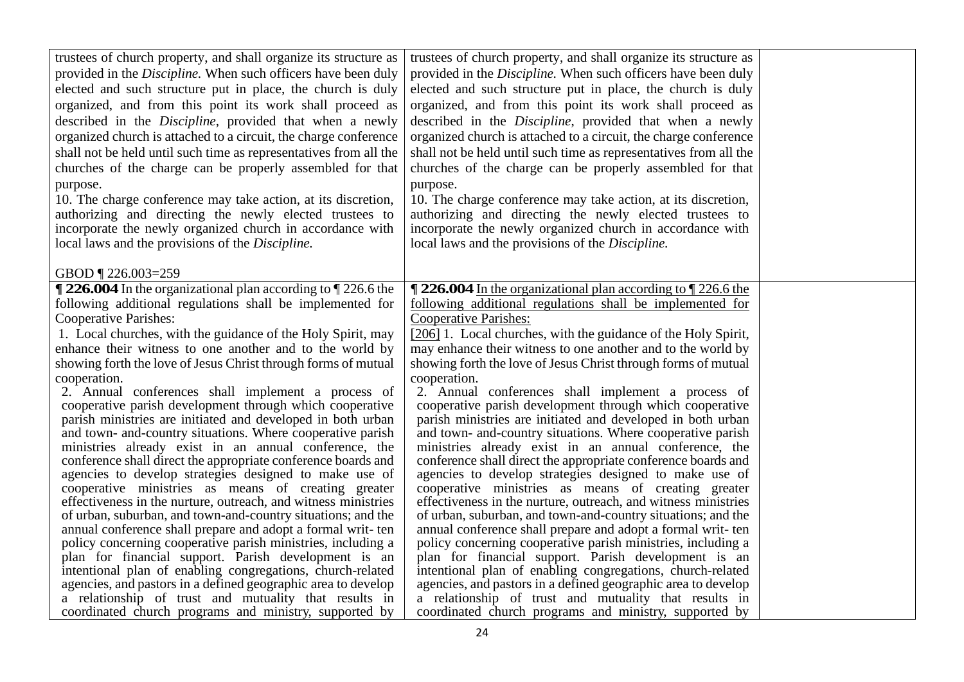| trustees of church property, and shall organize its structure as                                                    | trustees of church property, and shall organize its structure as                                                    |  |
|---------------------------------------------------------------------------------------------------------------------|---------------------------------------------------------------------------------------------------------------------|--|
| provided in the Discipline. When such officers have been duly                                                       | provided in the Discipline. When such officers have been duly                                                       |  |
| elected and such structure put in place, the church is duly                                                         | elected and such structure put in place, the church is duly                                                         |  |
| organized, and from this point its work shall proceed as                                                            | organized, and from this point its work shall proceed as                                                            |  |
| described in the <i>Discipline</i> , provided that when a newly                                                     | described in the <i>Discipline</i> , provided that when a newly                                                     |  |
| organized church is attached to a circuit, the charge conference                                                    | organized church is attached to a circuit, the charge conference                                                    |  |
| shall not be held until such time as representatives from all the                                                   | shall not be held until such time as representatives from all the                                                   |  |
| churches of the charge can be properly assembled for that                                                           | churches of the charge can be properly assembled for that                                                           |  |
| purpose.                                                                                                            | purpose.                                                                                                            |  |
| 10. The charge conference may take action, at its discretion,                                                       | 10. The charge conference may take action, at its discretion,                                                       |  |
| authorizing and directing the newly elected trustees to                                                             | authorizing and directing the newly elected trustees to                                                             |  |
| incorporate the newly organized church in accordance with                                                           | incorporate the newly organized church in accordance with                                                           |  |
| local laws and the provisions of the Discipline.                                                                    | local laws and the provisions of the Discipline.                                                                    |  |
|                                                                                                                     |                                                                                                                     |  |
| GBOD ¶ 226.003=259                                                                                                  |                                                                                                                     |  |
| <b>1226.004</b> In the organizational plan according to 1226.6 the                                                  | <b>T</b> 226.004 In the organizational plan according to T 226.6 the                                                |  |
| following additional regulations shall be implemented for                                                           | following additional regulations shall be implemented for                                                           |  |
| Cooperative Parishes:                                                                                               | <b>Cooperative Parishes:</b>                                                                                        |  |
| 1. Local churches, with the guidance of the Holy Spirit, may                                                        | [206] 1. Local churches, with the guidance of the Holy Spirit,                                                      |  |
| enhance their witness to one another and to the world by                                                            | may enhance their witness to one another and to the world by                                                        |  |
| showing forth the love of Jesus Christ through forms of mutual                                                      | showing forth the love of Jesus Christ through forms of mutual                                                      |  |
| cooperation.                                                                                                        | cooperation.                                                                                                        |  |
| 2. Annual conferences shall implement a process of                                                                  | 2. Annual conferences shall implement a process of                                                                  |  |
| cooperative parish development through which cooperative                                                            | cooperative parish development through which cooperative                                                            |  |
| parish ministries are initiated and developed in both urban                                                         | parish ministries are initiated and developed in both urban                                                         |  |
| and town- and-country situations. Where cooperative parish<br>ministries already exist in an annual conference, the | and town- and-country situations. Where cooperative parish<br>ministries already exist in an annual conference, the |  |
| conference shall direct the appropriate conference boards and                                                       | conference shall direct the appropriate conference boards and                                                       |  |
| agencies to develop strategies designed to make use of                                                              | agencies to develop strategies designed to make use of                                                              |  |
| cooperative ministries as means of creating greater                                                                 | cooperative ministries as means of creating greater                                                                 |  |
| effectiveness in the nurture, outreach, and witness ministries                                                      | effectiveness in the nurture, outreach, and witness ministries                                                      |  |
| of urban, suburban, and town-and-country situations; and the                                                        | of urban, suburban, and town-and-country situations; and the                                                        |  |
| annual conference shall prepare and adopt a formal writ-ten                                                         | annual conference shall prepare and adopt a formal writ-ten                                                         |  |
| policy concerning cooperative parish ministries, including a                                                        | policy concerning cooperative parish ministries, including a                                                        |  |
| plan for financial support. Parish development is an                                                                | plan for financial support. Parish development is an                                                                |  |
| intentional plan of enabling congregations, church-related                                                          | intentional plan of enabling congregations, church-related                                                          |  |
| agencies, and pastors in a defined geographic area to develop                                                       | agencies, and pastors in a defined geographic area to develop                                                       |  |
| a relationship of trust and mutuality that results in<br>coordinated church programs and ministry, supported by     | a relationship of trust and mutuality that results in<br>coordinated church programs and ministry, supported by     |  |
|                                                                                                                     |                                                                                                                     |  |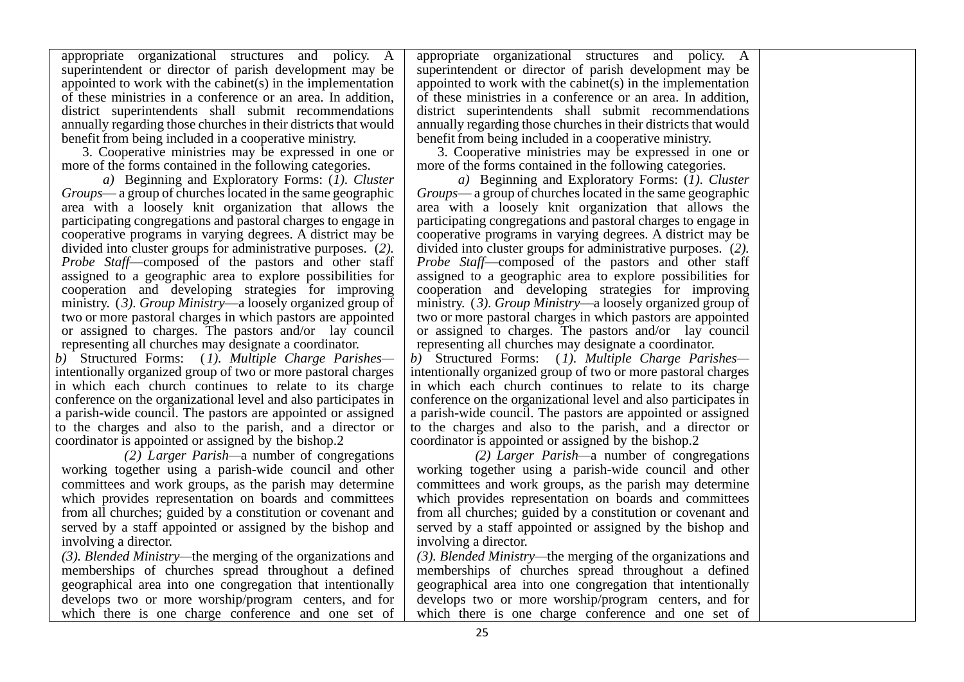appropriate organizational structures and policy. A superintendent or director of parish development may be appointed to work with the cabinet(s) in the implementation of these ministries in a conference or an area. In addition, district superintendents shall submit recommendations annually regarding those churches in their districts that would benefit from being included in a cooperative ministry.

3. Cooperative ministries may be expressed in one or more of the forms contained in the following categories.

*a)* Beginning and Exploratory Forms: (*1). Cluster Groups*— a group of churches located in the same geographic area with a loosely knit organization that allows the participating congregations and pastoral charges to engage in cooperative programs in varying degrees. A district may be divided into cluster groups for administrative purposes. (*2). Probe Staff*—composed of the pastors and other staff assigned to a geographic area to explore possibilities for cooperation and developing strategies for improving ministry. (3). *Group Ministry*—a loosely organized group of two or more pastoral charges in which pastors are appointed or assigned to charges. The pastors and/or lay council representing all churches may designate a coordinator.

*b)* Structured Forms: ( *1). Multiple Charge Parishes* intentionally organized group of two or more pastoral charges in which each church continues to relate to its charge conference on the organizational level and also participates in a parish-wide council. The pastors are appointed or assigned to the charges and also to the parish, and a director or coordinator is appointed or assigned by the bishop.2

 *(2) Larger Parish—*a number of congregations working together using a parish-wide council and other committees and work groups, as the parish may determine which provides representation on boards and committees from all churches; guided by a constitution or covenant and served by a staff appointed or assigned by the bishop and involving a director.

*(3). Blended Ministry—*the merging of the organizations and memberships of churches spread throughout a defined geographical area into one congregation that intentionally develops two or more worship/program centers, and for which there is one charge conference and one set of appropriate organizational structures and policy. A superintendent or director of parish development may be appointed to work with the cabinet(s) in the implementation of these ministries in a conference or an area. In addition, district superintendents shall submit recommendations annually regarding those churches in their districts that would benefit from being included in a cooperative ministry.

3. Cooperative ministries may be expressed in one or more of the forms contained in the following categories.

*a)* Beginning and Exploratory Forms: (*1). Cluster Groups*— a group of churches located in the same geographic area with a loosely knit organization that allows the participating congregations and pastoral charges to engage in cooperative programs in varying degrees. A district may be divided into cluster groups for administrative purposes. (*2). Probe Staff*—composed of the pastors and other staff assigned to a geographic area to explore possibilities for cooperation and developing strategies for improving ministry. (3). *Group Ministry*—a loosely organized group of two or more pastoral charges in which pastors are appointed or assigned to charges. The pastors and/or lay council representing all churches may designate a coordinator.

*b)* Structured Forms: ( *1). Multiple Charge Parishes* intentionally organized group of two or more pastoral charges in which each church continues to relate to its charge conference on the organizational level and also participates in a parish-wide council. The pastors are appointed or assigned to the charges and also to the parish, and a director or coordinator is appointed or assigned by the bishop.2

 *(2) Larger Parish—*a number of congregations working together using a parish-wide council and other committees and work groups, as the parish may determine which provides representation on boards and committees from all churches; guided by a constitution or covenant and served by a staff appointed or assigned by the bishop and involving a director.

*(3). Blended Ministry—*the merging of the organizations and memberships of churches spread throughout a defined geographical area into one congregation that intentionally develops two or more worship/program centers, and for which there is one charge conference and one set of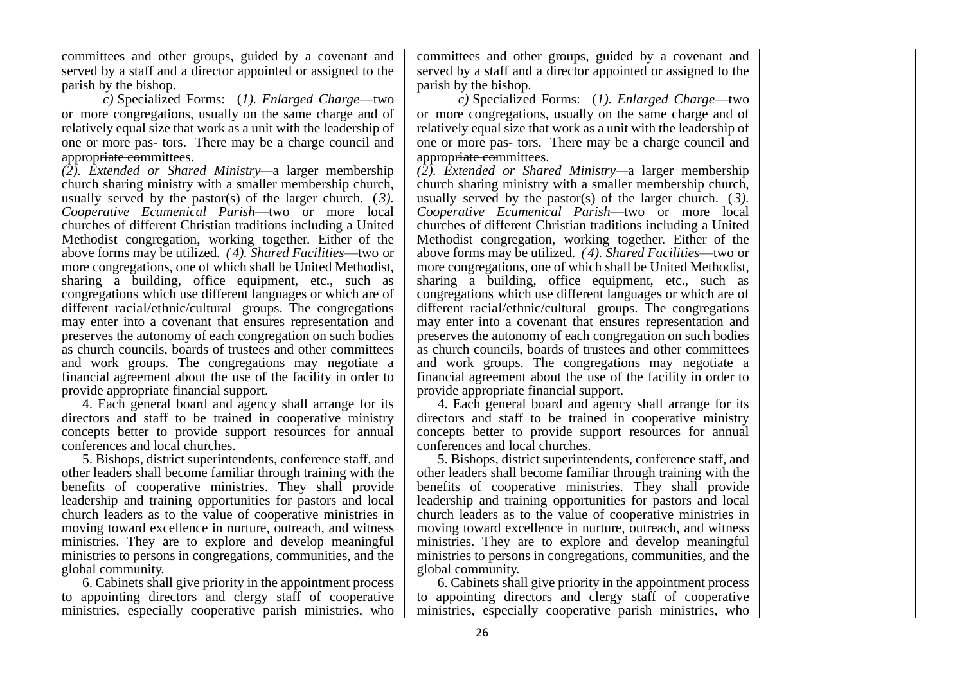committees and other groups, guided by a covenant and served by a staff and a director appointed or assigned to the parish by the bishop.

*c)* Specialized Forms: (*1). Enlarged Charge*—two or more congregations, usually on the same charge and of relatively equal size that work as a unit with the leadership of one or more pas- tors. There may be a charge council and appropriate committees.

*(2). Extended or Shared Ministry—*a larger membership church sharing ministry with a smaller membership church, usually served by the pastor(s) of the larger church. ( *3). Cooperative Ecumenical Parish*—two or more local churches of different Christian traditions including a United Methodist congregation, working together. Either of the above forms may be utilized*. (4). Shared Facilities*—two or more congregations, one of which shall be United Methodist, sharing a building, office equipment, etc., such as congregations which use different languages or which are of different racial/ethnic/cultural groups. The congregations may enter into a covenant that ensures representation and preserves the autonomy of each congregation on such bodies as church councils, boards of trustees and other committees and work groups. The congregations may negotiate a financial agreement about the use of the facility in order to provide appropriate financial support.

4. Each general board and agency shall arrange for its directors and staff to be trained in cooperative ministry concepts better to provide support resources for annual conferences and local churches.

5. Bishops, district superintendents, conference staff, and other leaders shall become familiar through training with the benefits of cooperative ministries. They shall provide leadership and training opportunities for pastors and local church leaders as to the value of cooperative ministries in moving toward excellence in nurture, outreach, and witness ministries. They are to explore and develop meaningful ministries to persons in congregations, communities, and the global community.

6. Cabinets shall give priority in the appointment process to appointing directors and clergy staff of cooperative ministries, especially cooperative parish ministries, who committees and other groups, guided by a covenant and served by a staff and a director appointed or assigned to the parish by the bishop.

*c)* Specialized Forms: (*1). Enlarged Charge*—two or more congregations, usually on the same charge and of relatively equal size that work as a unit with the leadership of one or more pas- tors. There may be a charge council and appropriate committees.

*(2). Extended or Shared Ministry—*a larger membership church sharing ministry with a smaller membership church, usually served by the pastor(s) of the larger church. ( *3). Cooperative Ecumenical Parish*—two or more local churches of different Christian traditions including a United Methodist congregation, working together. Either of the above forms may be utilized*. (4). Shared Facilities*—two or more congregations, one of which shall be United Methodist, sharing a building, office equipment, etc., such as congregations which use different languages or which are of different racial/ethnic/cultural groups. The congregations may enter into a covenant that ensures representation and preserves the autonomy of each congregation on such bodies as church councils, boards of trustees and other committees and work groups. The congregations may negotiate a financial agreement about the use of the facility in order to provide appropriate financial support.

4. Each general board and agency shall arrange for its directors and staff to be trained in cooperative ministry concepts better to provide support resources for annual conferences and local churches.

5. Bishops, district superintendents, conference staff, and other leaders shall become familiar through training with the benefits of cooperative ministries. They shall provide leadership and training opportunities for pastors and local church leaders as to the value of cooperative ministries in moving toward excellence in nurture, outreach, and witness ministries. They are to explore and develop meaningful ministries to persons in congregations, communities, and the global community.

6. Cabinets shall give priority in the appointment process to appointing directors and clergy staff of cooperative ministries, especially cooperative parish ministries, who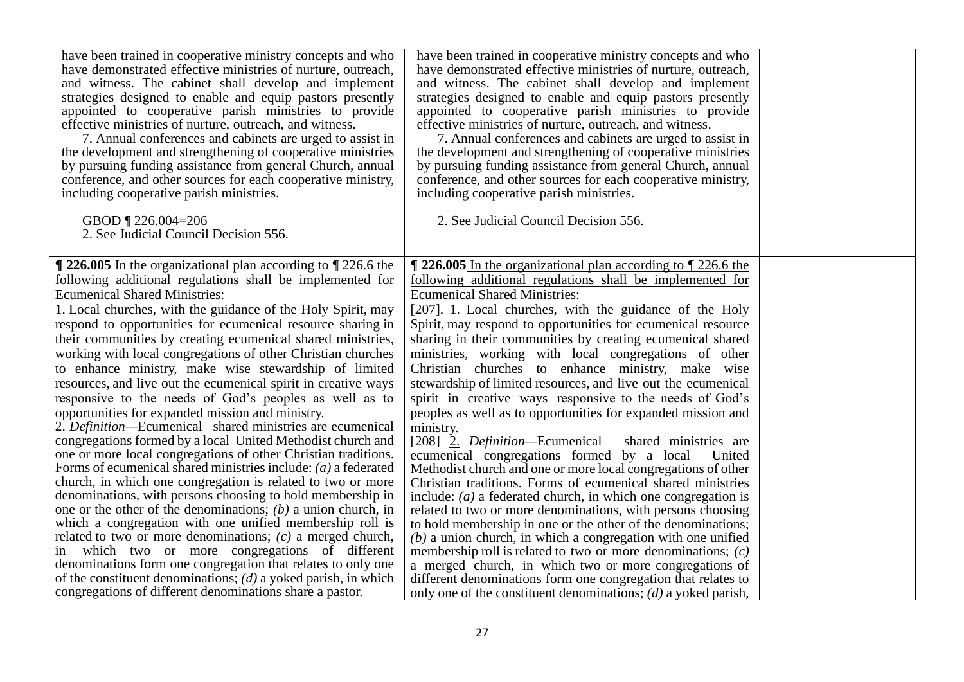| have been trained in cooperative ministry concepts and who<br>have demonstrated effective ministries of nurture, outreach,<br>and witness. The cabinet shall develop and implement<br>strategies designed to enable and equip pastors presently<br>appointed to cooperative parish ministries to provide<br>effective ministries of nurture, outreach, and witness.<br>7. Annual conferences and cabinets are urged to assist in<br>the development and strengthening of cooperative ministries<br>by pursuing funding assistance from general Church, annual<br>conference, and other sources for each cooperative ministry,<br>including cooperative parish ministries.<br>GBOD   226.004=206<br>2. See Judicial Council Decision 556.                                                                                                                                                                                                                                                                                                                                                                                                                                                                                                                                                                                                                                                                                                                                                                                         | have been trained in cooperative ministry concepts and who<br>have demonstrated effective ministries of nurture, outreach,<br>and witness. The cabinet shall develop and implement<br>strategies designed to enable and equip pastors presently<br>appointed to cooperative parish ministries to provide<br>effective ministries of nurture, outreach, and witness.<br>7. Annual conferences and cabinets are urged to assist in<br>the development and strengthening of cooperative ministries<br>by pursuing funding assistance from general Church, annual<br>conference, and other sources for each cooperative ministry,<br>including cooperative parish ministries.<br>2. See Judicial Council Decision 556.                                                                                                                                                                                                                                                                                                                                                                                                                                                                                                                                                                                                                                                                                                                                                                              |  |
|----------------------------------------------------------------------------------------------------------------------------------------------------------------------------------------------------------------------------------------------------------------------------------------------------------------------------------------------------------------------------------------------------------------------------------------------------------------------------------------------------------------------------------------------------------------------------------------------------------------------------------------------------------------------------------------------------------------------------------------------------------------------------------------------------------------------------------------------------------------------------------------------------------------------------------------------------------------------------------------------------------------------------------------------------------------------------------------------------------------------------------------------------------------------------------------------------------------------------------------------------------------------------------------------------------------------------------------------------------------------------------------------------------------------------------------------------------------------------------------------------------------------------------|-------------------------------------------------------------------------------------------------------------------------------------------------------------------------------------------------------------------------------------------------------------------------------------------------------------------------------------------------------------------------------------------------------------------------------------------------------------------------------------------------------------------------------------------------------------------------------------------------------------------------------------------------------------------------------------------------------------------------------------------------------------------------------------------------------------------------------------------------------------------------------------------------------------------------------------------------------------------------------------------------------------------------------------------------------------------------------------------------------------------------------------------------------------------------------------------------------------------------------------------------------------------------------------------------------------------------------------------------------------------------------------------------------------------------------------------------------------------------------------------------|--|
| $\P$ 226.005 In the organizational plan according to $\P$ 226.6 the<br>following additional regulations shall be implemented for<br><b>Ecumenical Shared Ministries:</b><br>1. Local churches, with the guidance of the Holy Spirit, may<br>respond to opportunities for ecumenical resource sharing in<br>their communities by creating ecumenical shared ministries,<br>working with local congregations of other Christian churches<br>to enhance ministry, make wise stewardship of limited<br>resources, and live out the ecumenical spirit in creative ways<br>responsive to the needs of God's peoples as well as to<br>opportunities for expanded mission and ministry.<br>2. Definition—Ecumenical shared ministries are ecumenical<br>congregations formed by a local United Methodist church and<br>one or more local congregations of other Christian traditions.<br>Forms of ecumenical shared ministries include: $(a)$ a federated<br>church, in which one congregation is related to two or more<br>denominations, with persons choosing to hold membership in<br>one or the other of the denominations; $(b)$ a union church, in<br>which a congregation with one unified membership roll is<br>related to two or more denominations; $(c)$ a merged church,<br>in which two or more congregations of different<br>denominations form one congregation that relates to only one<br>of the constituent denominations; $(d)$ a yoked parish, in which<br>congregations of different denominations share a pastor. | $\parallel$ 226.005 In the organizational plan according to $\parallel$ 226.6 the<br>following additional regulations shall be implemented for<br><b>Ecumenical Shared Ministries:</b><br>[207]. 1. Local churches, with the guidance of the Holy<br>Spirit, may respond to opportunities for ecumenical resource<br>sharing in their communities by creating ecumenical shared<br>ministries, working with local congregations of other<br>Christian churches to enhance ministry, make wise<br>stewardship of limited resources, and live out the ecumenical<br>spirit in creative ways responsive to the needs of God's<br>peoples as well as to opportunities for expanded mission and<br>ministry.<br>[208] 2. Definition-Ecumenical<br>shared ministries are<br>ecumenical congregations formed by a local<br>United<br>Methodist church and one or more local congregations of other<br>Christian traditions. Forms of ecumenical shared ministries<br>include: $(a)$ a federated church, in which one congregation is<br>related to two or more denominations, with persons choosing<br>to hold membership in one or the other of the denominations;<br>$(b)$ a union church, in which a congregation with one unified<br>membership roll is related to two or more denominations; $(c)$<br>a merged church, in which two or more congregations of<br>different denominations form one congregation that relates to<br>only one of the constituent denominations; $(d)$ a yoked parish, |  |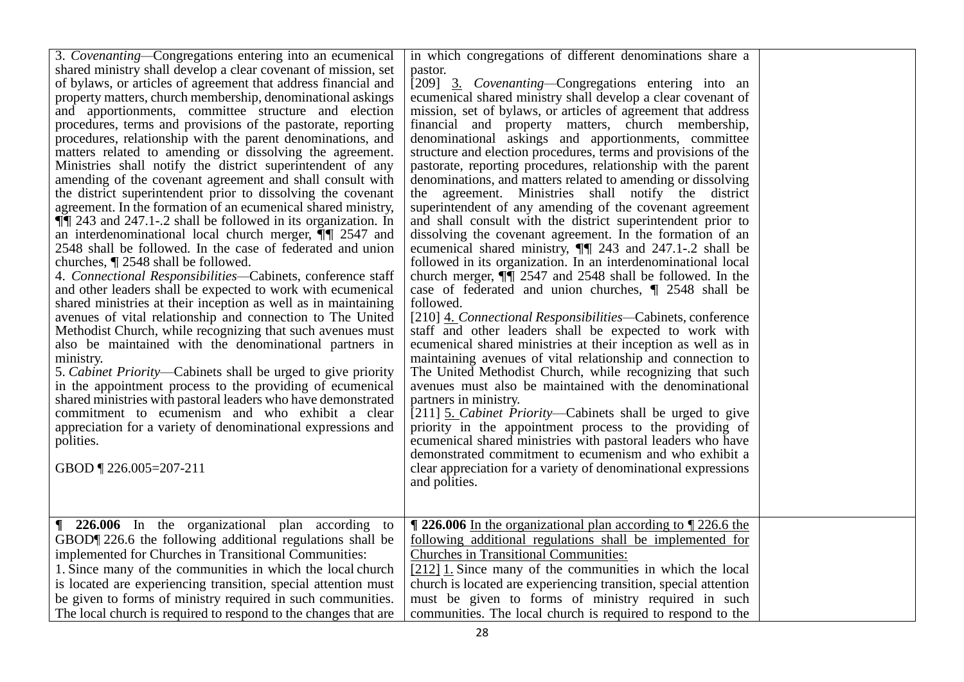| 3. Covenanting—Congregations entering into an ecumenical                                                                                                                                                                                                                                                                                                                                                                                                                                                                                                                                                                                                                                                                                                                                                                                                                                                                                                                                                                                                                                                                                                                                                                                                                                                                                                                                                                                                                                                                                                                                                                                                                                                             | in which congregations of different denominations share a                                                                                                                                                                                                                                                                                                                                                                                                                                                                                                                                                                                                                                                                                                                                                                                                                                                                                                                                                                                                                                                                                                                                                                                                                                                                                                                                                                                                                                                                                                                                                                                                                                                                                                                                                      |  |
|----------------------------------------------------------------------------------------------------------------------------------------------------------------------------------------------------------------------------------------------------------------------------------------------------------------------------------------------------------------------------------------------------------------------------------------------------------------------------------------------------------------------------------------------------------------------------------------------------------------------------------------------------------------------------------------------------------------------------------------------------------------------------------------------------------------------------------------------------------------------------------------------------------------------------------------------------------------------------------------------------------------------------------------------------------------------------------------------------------------------------------------------------------------------------------------------------------------------------------------------------------------------------------------------------------------------------------------------------------------------------------------------------------------------------------------------------------------------------------------------------------------------------------------------------------------------------------------------------------------------------------------------------------------------------------------------------------------------|----------------------------------------------------------------------------------------------------------------------------------------------------------------------------------------------------------------------------------------------------------------------------------------------------------------------------------------------------------------------------------------------------------------------------------------------------------------------------------------------------------------------------------------------------------------------------------------------------------------------------------------------------------------------------------------------------------------------------------------------------------------------------------------------------------------------------------------------------------------------------------------------------------------------------------------------------------------------------------------------------------------------------------------------------------------------------------------------------------------------------------------------------------------------------------------------------------------------------------------------------------------------------------------------------------------------------------------------------------------------------------------------------------------------------------------------------------------------------------------------------------------------------------------------------------------------------------------------------------------------------------------------------------------------------------------------------------------------------------------------------------------------------------------------------------------|--|
| shared ministry shall develop a clear covenant of mission, set<br>of bylaws, or articles of agreement that address financial and<br>property matters, church membership, denominational askings<br>and apportionments, committee structure and election<br>procedures, terms and provisions of the pastorate, reporting<br>procedures, relationship with the parent denominations, and<br>matters related to amending or dissolving the agreement.<br>Ministries shall notify the district superintendent of any<br>amending of the covenant agreement and shall consult with<br>the district superintendent prior to dissolving the covenant<br>agreement. In the formation of an ecumenical shared ministry,<br>$\P\P$ 243 and 247.1-.2 shall be followed in its organization. In<br>an interdenominational local church merger, $\P\P$ 2547 and<br>2548 shall be followed. In the case of federated and union<br>churches, $\P$ 2548 shall be followed.<br>4. Connectional Responsibilities—Cabinets, conference staff<br>and other leaders shall be expected to work with ecumenical<br>shared ministries at their inception as well as in maintaining<br>avenues of vital relationship and connection to The United<br>Methodist Church, while recognizing that such avenues must<br>also be maintained with the denominational partners in<br>ministry.<br>5. Cabinet Priority—Cabinets shall be urged to give priority<br>in the appointment process to the providing of ecumenical<br>shared ministries with pastoral leaders who have demonstrated<br>commitment to ecumenism and who exhibit a clear<br>appreciation for a variety of denominational expressions and<br>polities.<br>GBOD 1226.005=207-211 | pastor.<br>[209] 3. Covenanting-Congregations entering into an<br>ecumenical shared ministry shall develop a clear covenant of<br>mission, set of bylaws, or articles of agreement that address<br>financial and property matters, church membership,<br>denominational askings and apportionments, committee<br>structure and election procedures, terms and provisions of the<br>pastorate, reporting procedures, relationship with the parent<br>denominations, and matters related to amending or dissolving<br>the agreement. Ministries shall notify the district<br>superintendent of any amending of the covenant agreement<br>and shall consult with the district superintendent prior to<br>dissolving the covenant agreement. In the formation of an<br>ecumenical shared ministry, $\P\P$ 243 and 247.1-.2 shall be<br>followed in its organization. In an interdenominational local<br>church merger, $\P\P$ 2547 and 2548 shall be followed. In the<br>case of federated and union churches, $\P$ 2548 shall be<br>followed.<br>[210] 4. Connectional Responsibilities—Cabinets, conference<br>staff and other leaders shall be expected to work with<br>ecumenical shared ministries at their inception as well as in<br>maintaining avenues of vital relationship and connection to<br>The United Methodist Church, while recognizing that such<br>avenues must also be maintained with the denominational<br>partners in ministry.<br>[211] $\underline{5}$ . <i>Cabinet Priority</i> —Cabinets shall be urged to give<br>priority in the appointment process to the providing of<br>ecumenical shared ministries with pastoral leaders who have<br>demonstrated commitment to ecumenism and who exhibit a<br>clear appreciation for a variety of denominational expressions<br>and polities. |  |
|                                                                                                                                                                                                                                                                                                                                                                                                                                                                                                                                                                                                                                                                                                                                                                                                                                                                                                                                                                                                                                                                                                                                                                                                                                                                                                                                                                                                                                                                                                                                                                                                                                                                                                                      |                                                                                                                                                                                                                                                                                                                                                                                                                                                                                                                                                                                                                                                                                                                                                                                                                                                                                                                                                                                                                                                                                                                                                                                                                                                                                                                                                                                                                                                                                                                                                                                                                                                                                                                                                                                                                |  |
| 1 226.006 In the organizational plan according<br>to<br>GBOD¶ 226.6 the following additional regulations shall be<br>implemented for Churches in Transitional Communities:<br>1. Since many of the communities in which the local church<br>is located are experiencing transition, special attention must<br>be given to forms of ministry required in such communities.                                                                                                                                                                                                                                                                                                                                                                                                                                                                                                                                                                                                                                                                                                                                                                                                                                                                                                                                                                                                                                                                                                                                                                                                                                                                                                                                            | <b>T</b> 226.006 In the organizational plan according to T 226.6 the<br>following additional regulations shall be implemented for<br><b>Churches in Transitional Communities:</b><br>[212] 1. Since many of the communities in which the local<br>church is located are experiencing transition, special attention<br>must be given to forms of ministry required in such                                                                                                                                                                                                                                                                                                                                                                                                                                                                                                                                                                                                                                                                                                                                                                                                                                                                                                                                                                                                                                                                                                                                                                                                                                                                                                                                                                                                                                      |  |
| The local church is required to respond to the changes that are                                                                                                                                                                                                                                                                                                                                                                                                                                                                                                                                                                                                                                                                                                                                                                                                                                                                                                                                                                                                                                                                                                                                                                                                                                                                                                                                                                                                                                                                                                                                                                                                                                                      | communities. The local church is required to respond to the                                                                                                                                                                                                                                                                                                                                                                                                                                                                                                                                                                                                                                                                                                                                                                                                                                                                                                                                                                                                                                                                                                                                                                                                                                                                                                                                                                                                                                                                                                                                                                                                                                                                                                                                                    |  |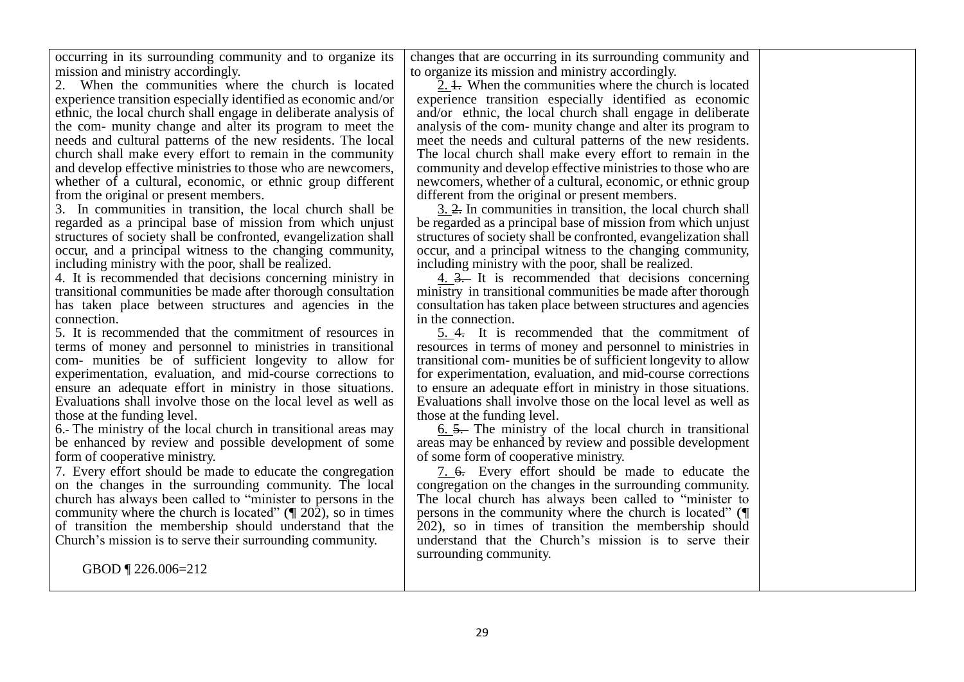occurring in its surrounding community and to organize its mission and ministry accordingly.

2. When the communities where the church is located experience transition especially identified as economic and/or ethnic, the local church shall engage in deliberate analysis of the com- munity change and alter its program to meet the needs and cultural patterns of the new residents. The local church shall make every effort to remain in the community and develop effective ministries to those who are newcomers, whether of a cultural, economic, or ethnic group different from the original or present members.

3. In communities in transition, the local church shall be regarded as a principal base of mission from which unjust structures of society shall be confronted, evangelization shall occur, and a principal witness to the changing community, including ministry with the poor, shall be realized.

4. It is recommended that decisions concerning ministry in transitional communities be made after thorough consultation has taken place between structures and agencies in the connection.

5. It is recommended that the commitment of resources in terms of money and personnel to ministries in transitional com- munities be of sufficient longevity to allow for experimentation, evaluation, and mid-course corrections to ensure an adequate effort in ministry in those situations. Evaluations shall involve those on the local level as well as those at the funding level.

6. The ministry of the local church in transitional areas may be enhanced by review and possible development of some form of cooperative ministry.

7. Every effort should be made to educate the congregation on the changes in the surrounding community. The local church has always been called to "minister to persons in the community where the church is located"  $(\P 202)$ , so in times of transition the membership should understand that the Church's mission is to serve their surrounding community.

GBOD ¶ 226.006=212

changes that are occurring in its surrounding community and to organize its mission and ministry accordingly.

 $\tilde{2}$ .  $\ddagger$ . When the communities where the church is located experience transition especially identified as economic and/or ethnic, the local church shall engage in deliberate analysis of the com- munity change and alter its program to meet the needs and cultural patterns of the new residents. The local church shall make every effort to remain in the community and develop effective ministries to those who are newcomers, whether of a cultural, economic, or ethnic group different from the original or present members.

3. 2. In communities in transition, the local church shall be regarded as a principal base of mission from which unjust structures of society shall be confronted, evangelization shall occur, and a principal witness to the changing community, including ministry with the poor, shall be realized.

4. 3. It is recommended that decisions concerning ministry in transitional communities be made after thorough consultation has taken place between structures and agencies in the connection.

5. 4. It is recommended that the commitment of resources in terms of money and personnel to ministries in transitional com- munities be of sufficient longevity to allow for experimentation, evaluation, and mid-course corrections to ensure an adequate effort in ministry in those situations. Evaluations shall involve those on the local level as well as those at the funding level.

6. 5. The ministry of the local church in transitional areas may be enhanced by review and possible development of some form of cooperative ministry.

7. 6. Every effort should be made to educate the congregation on the changes in the surrounding community. The local church has always been called to "minister to persons in the community where the church is located" (¶ 202), so in times of transition the membership should understand that the Church's mission is to serve their surrounding community.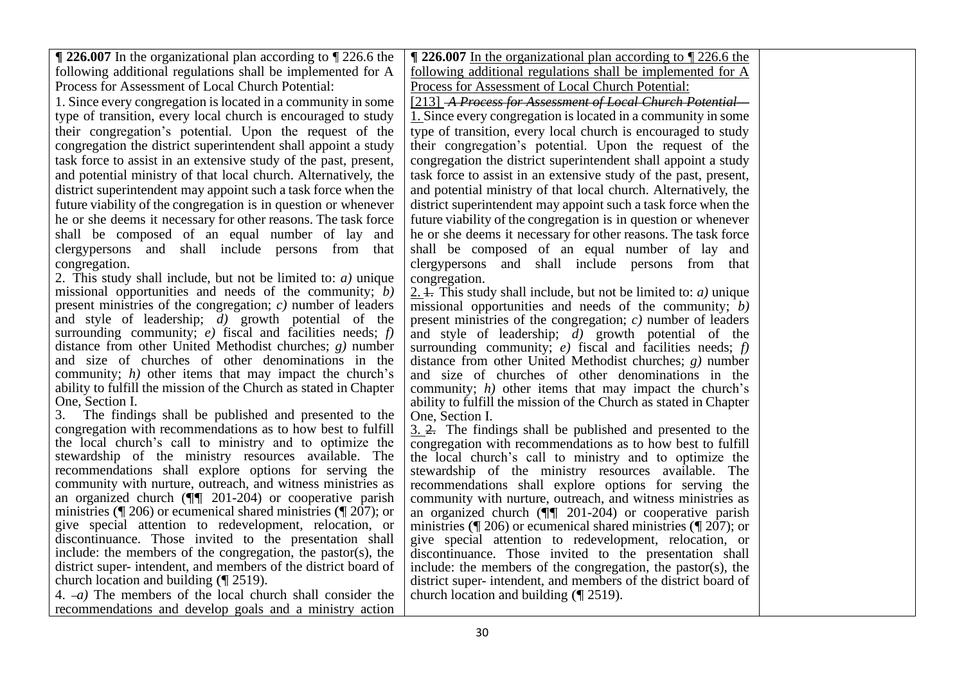$\P$  226.007 In the organizational plan according to  $\P$  226.6 the following additional regulations shall be implemented for A Process for Assessment of Local Church Potential:

1. Since every congregation is located in a community in some type of transition, every local church is encouraged to study their congregation's potential. Upon the request of the congregation the district superintendent shall appoint a study task force to assist in an extensive study of the past, present, and potential ministry of that local church. Alternatively, the district superintendent may appoint such a task force when the future viability of the congregation is in question or whenever he or she deems it necessary for other reasons. The task force shall be composed of an equal number of lay and clergypersons and shall include persons from that congregation.

2. This study shall include, but not be limited to: *a)* unique missional opportunities and needs of the community; *b)*  present ministries of the congregation; *c)* number of leaders and style of leadership; *d)* growth potential of the surrounding community; *e)* fiscal and facilities needs; *f)* distance from other United Methodist churches; *g)* number and size of churches of other denominations in the community; *h)* other items that may impact the church's ability to fulfill the mission of the Church as stated in Chapter One, Section I.

3. The findings shall be published and presented to the congregation with recommendations as to how best to fulfill the local church's call to ministry and to optimize the stewardship of the ministry resources available. The recommendations shall explore options for serving the community with nurture, outreach, and witness ministries as an organized church (¶¶ 201-204) or cooperative parish ministries (¶ 206) or ecumenical shared ministries (¶ 207); or give special attention to redevelopment, relocation, or discontinuance. Those invited to the presentation shall include: the members of the congregation, the pastor(s), the district super- intendent, and members of the district board of church location and building (¶ 2519).

4. *a)* The members of the local church shall consider the recommendations and develop goals and a ministry action

 $\P$  226.007 In the organizational plan according to  $\P$  226.6 the following additional regulations shall be implemented for A Process for Assessment of Local Church Potential:

[213] *A Process for Assessment of Local Church Potential—* 1. Since every congregation is located in a community in some type of transition, every local church is encouraged to study their congregation's potential. Upon the request of the congregation the district superintendent shall appoint a study task force to assist in an extensive study of the past, present, and potential ministry of that local church. Alternatively, the district superintendent may appoint such a task force when the future viability of the congregation is in question or whenever he or she deems it necessary for other reasons. The task force shall be composed of an equal number of lay and clergypersons and shall include persons from that congregation.

2.  $\overline{+}$ . This study shall include, but not be limited to: *a*) unique missional opportunities and needs of the community; *b)*  present ministries of the congregation; *c)* number of leaders and style of leadership; *d)* growth potential of the surrounding community; *e)* fiscal and facilities needs; *f)* distance from other United Methodist churches; *g)* number and size of churches of other denominations in the community; *h)* other items that may impact the church's ability to fulfill the mission of the Church as stated in Chapter One, Section I.

3. 2. The findings shall be published and presented to the congregation with recommendations as to how best to fulfill the local church's call to ministry and to optimize the stewardship of the ministry resources available. The recommendations shall explore options for serving the community with nurture, outreach, and witness ministries as an organized church (¶¶ 201-204) or cooperative parish ministries (¶ 206) or ecumenical shared ministries (¶ 207); or give special attention to redevelopment, relocation, or discontinuance. Those invited to the presentation shall include: the members of the congregation, the pastor(s), the district super- intendent, and members of the district board of church location and building (¶ 2519).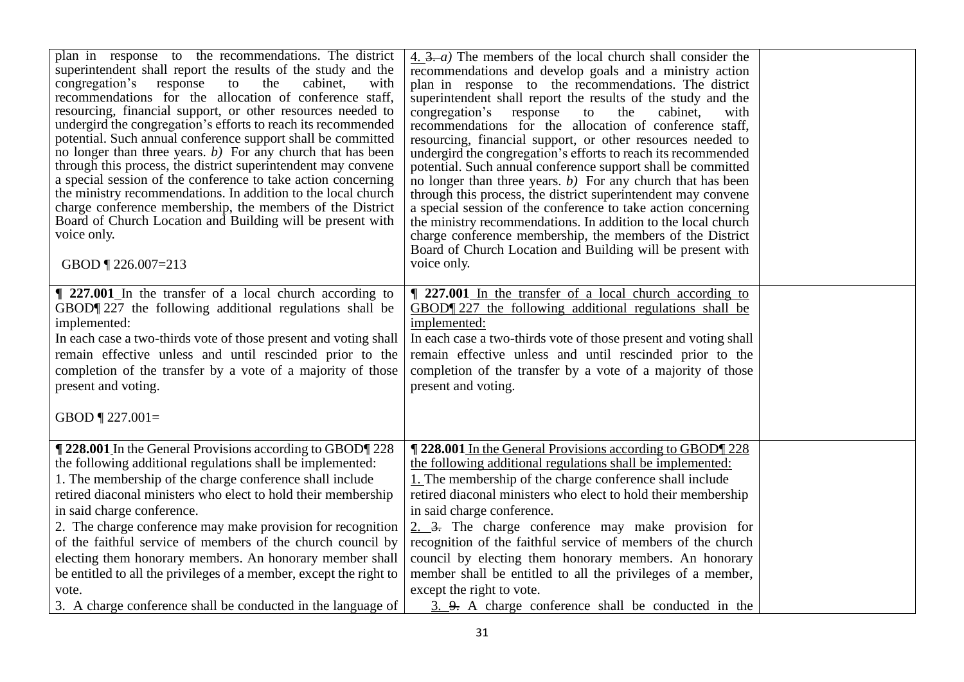| plan in response to the recommendations. The district                                                                          | 4. $\left(3, -a\right)$ The members of the local church shall consider the                                                     |  |
|--------------------------------------------------------------------------------------------------------------------------------|--------------------------------------------------------------------------------------------------------------------------------|--|
| superintendent shall report the results of the study and the                                                                   | recommendations and develop goals and a ministry action                                                                        |  |
| congregation's response<br>to<br>the<br>cabinet,<br>with                                                                       | plan in response to the recommendations. The district                                                                          |  |
| recommendations for the allocation of conference staff,                                                                        | superintendent shall report the results of the study and the                                                                   |  |
| resourcing, financial support, or other resources needed to                                                                    | congregation's response<br>cabinet,<br>to<br>the<br>with                                                                       |  |
| undergird the congregation's efforts to reach its recommended                                                                  | recommendations for the allocation of conference staff,                                                                        |  |
| potential. Such annual conference support shall be committed                                                                   | resourcing, financial support, or other resources needed to                                                                    |  |
| no longer than three years. $b$ ) For any church that has been                                                                 | undergird the congregation's efforts to reach its recommended                                                                  |  |
| through this process, the district superintendent may convene<br>a special session of the conference to take action concerning | potential. Such annual conference support shall be committed                                                                   |  |
| the ministry recommendations. In addition to the local church                                                                  | no longer than three years. $b$ ) For any church that has been                                                                 |  |
| charge conference membership, the members of the District                                                                      | through this process, the district superintendent may convene<br>a special session of the conference to take action concerning |  |
| Board of Church Location and Building will be present with                                                                     | the ministry recommendations. In addition to the local church                                                                  |  |
| voice only.                                                                                                                    | charge conference membership, the members of the District                                                                      |  |
|                                                                                                                                | Board of Church Location and Building will be present with                                                                     |  |
| GBOD ¶ 226.007=213                                                                                                             | voice only.                                                                                                                    |  |
|                                                                                                                                |                                                                                                                                |  |
| If 227.001 In the transfer of a local church according to                                                                      | 1 227.001 In the transfer of a local church according to                                                                       |  |
| GBOD¶ 227 the following additional regulations shall be                                                                        | GBOD¶ 227 the following additional regulations shall be                                                                        |  |
| implemented:                                                                                                                   | implemented:                                                                                                                   |  |
| In each case a two-thirds vote of those present and voting shall                                                               | In each case a two-thirds vote of those present and voting shall                                                               |  |
| remain effective unless and until rescinded prior to the                                                                       | remain effective unless and until rescinded prior to the                                                                       |  |
| completion of the transfer by a vote of a majority of those                                                                    | completion of the transfer by a vote of a majority of those                                                                    |  |
| present and voting.                                                                                                            | present and voting.                                                                                                            |  |
|                                                                                                                                |                                                                                                                                |  |
| GBOD $\P$ 227.001=                                                                                                             |                                                                                                                                |  |
|                                                                                                                                |                                                                                                                                |  |
| <b>T</b> 228.001 In the General Provisions according to GBODT 228                                                              | <b>T</b> 228.001 In the General Provisions according to GBODT 228                                                              |  |
| the following additional regulations shall be implemented:                                                                     | the following additional regulations shall be implemented:                                                                     |  |
| 1. The membership of the charge conference shall include                                                                       | 1. The membership of the charge conference shall include                                                                       |  |
| retired diaconal ministers who elect to hold their membership                                                                  | retired diaconal ministers who elect to hold their membership                                                                  |  |
|                                                                                                                                |                                                                                                                                |  |
| in said charge conference.                                                                                                     | in said charge conference.                                                                                                     |  |
| 2. The charge conference may make provision for recognition                                                                    | $2. \frac{3}{2}$ . The charge conference may make provision for                                                                |  |
| of the faithful service of members of the church council by                                                                    | recognition of the faithful service of members of the church                                                                   |  |
| electing them honorary members. An honorary member shall                                                                       | council by electing them honorary members. An honorary                                                                         |  |
| be entitled to all the privileges of a member, except the right to                                                             | member shall be entitled to all the privileges of a member,                                                                    |  |
| vote.                                                                                                                          | except the right to vote.                                                                                                      |  |
| 3. A charge conference shall be conducted in the language of                                                                   | $3.9$ . A charge conference shall be conducted in the                                                                          |  |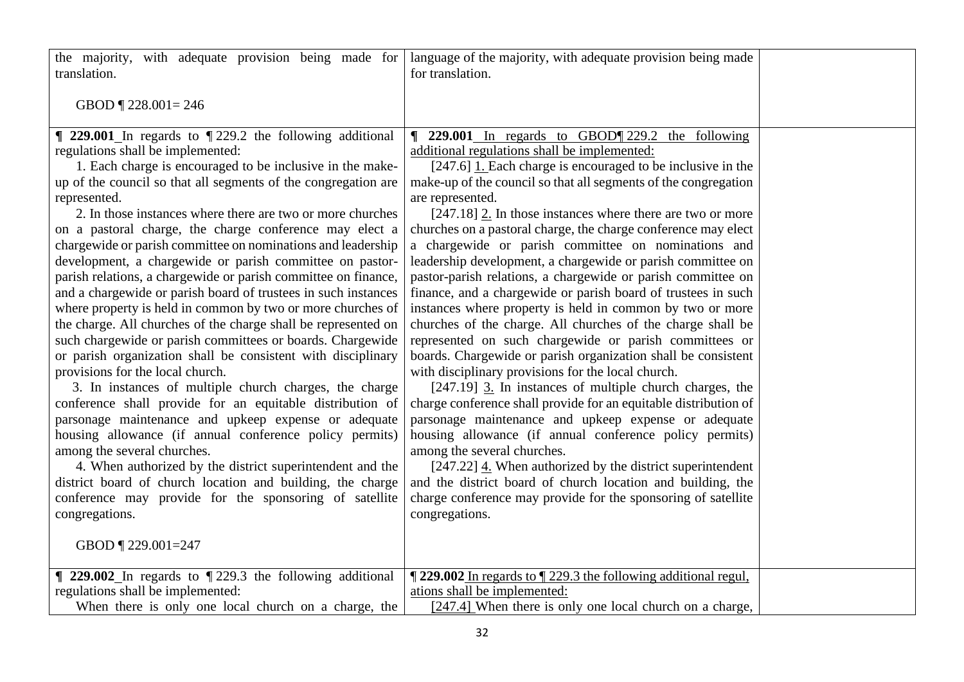| the majority, with adequate provision being made for<br>translation.                                                                                                                                                                                                                                                                                                                                                                                                                                                                                                                                                                                                                                                                                                                                                                                                                                                                                                                                                                                                                                                                                                                                                                                                                                                                                                                                                                                              | language of the majority, with adequate provision being made<br>for translation.                                                                                                                                                                                                                                                                                                                                                                                                                                                                                                                                                                                                                                                                                                                                                                                                                                                                                                                                                                                                                                                                                                                                                                                                                                                                                                                                                                                                                       |  |
|-------------------------------------------------------------------------------------------------------------------------------------------------------------------------------------------------------------------------------------------------------------------------------------------------------------------------------------------------------------------------------------------------------------------------------------------------------------------------------------------------------------------------------------------------------------------------------------------------------------------------------------------------------------------------------------------------------------------------------------------------------------------------------------------------------------------------------------------------------------------------------------------------------------------------------------------------------------------------------------------------------------------------------------------------------------------------------------------------------------------------------------------------------------------------------------------------------------------------------------------------------------------------------------------------------------------------------------------------------------------------------------------------------------------------------------------------------------------|--------------------------------------------------------------------------------------------------------------------------------------------------------------------------------------------------------------------------------------------------------------------------------------------------------------------------------------------------------------------------------------------------------------------------------------------------------------------------------------------------------------------------------------------------------------------------------------------------------------------------------------------------------------------------------------------------------------------------------------------------------------------------------------------------------------------------------------------------------------------------------------------------------------------------------------------------------------------------------------------------------------------------------------------------------------------------------------------------------------------------------------------------------------------------------------------------------------------------------------------------------------------------------------------------------------------------------------------------------------------------------------------------------------------------------------------------------------------------------------------------------|--|
| GBOD $\P$ 228.001 = 246                                                                                                                                                                                                                                                                                                                                                                                                                                                                                                                                                                                                                                                                                                                                                                                                                                                                                                                                                                                                                                                                                                                                                                                                                                                                                                                                                                                                                                           |                                                                                                                                                                                                                                                                                                                                                                                                                                                                                                                                                                                                                                                                                                                                                                                                                                                                                                                                                                                                                                                                                                                                                                                                                                                                                                                                                                                                                                                                                                        |  |
| $\parallel$ 229.001 In regards to $\parallel$ 229.2 the following additional<br>regulations shall be implemented:<br>1. Each charge is encouraged to be inclusive in the make-<br>up of the council so that all segments of the congregation are<br>represented.<br>2. In those instances where there are two or more churches<br>on a pastoral charge, the charge conference may elect a<br>chargewide or parish committee on nominations and leadership<br>development, a chargewide or parish committee on pastor-<br>parish relations, a chargewide or parish committee on finance,<br>and a chargewide or parish board of trustees in such instances<br>where property is held in common by two or more churches of<br>the charge. All churches of the charge shall be represented on<br>such chargewide or parish committees or boards. Chargewide<br>or parish organization shall be consistent with disciplinary<br>provisions for the local church.<br>3. In instances of multiple church charges, the charge<br>conference shall provide for an equitable distribution of<br>parsonage maintenance and upkeep expense or adequate<br>housing allowance (if annual conference policy permits)<br>among the several churches.<br>4. When authorized by the district superintendent and the<br>district board of church location and building, the charge<br>conference may provide for the sponsoring of satellite<br>congregations.<br>GBOD 1229.001=247 | 229.001 In regards to GBOD¶ 229.2<br>the following<br>additional regulations shall be implemented:<br>[ $247.6$ ] 1. Each charge is encouraged to be inclusive in the<br>make-up of the council so that all segments of the congregation<br>are represented.<br>$[247.18]$ $\underline{2}$ . In those instances where there are two or more<br>churches on a pastoral charge, the charge conference may elect<br>a chargewide or parish committee on nominations and<br>leadership development, a chargewide or parish committee on<br>pastor-parish relations, a chargewide or parish committee on<br>finance, and a chargewide or parish board of trustees in such<br>instances where property is held in common by two or more<br>churches of the charge. All churches of the charge shall be<br>represented on such chargewide or parish committees or<br>boards. Chargewide or parish organization shall be consistent<br>with disciplinary provisions for the local church.<br>$[247.19]$ 3. In instances of multiple church charges, the<br>charge conference shall provide for an equitable distribution of<br>parsonage maintenance and upkeep expense or adequate<br>housing allowance (if annual conference policy permits)<br>among the several churches.<br>$[247.22]$ $\underline{4}$ . When authorized by the district superintendent<br>and the district board of church location and building, the<br>charge conference may provide for the sponsoring of satellite<br>congregations. |  |
| 1 229.002 In regards to 1 229.3 the following additional<br>regulations shall be implemented:                                                                                                                                                                                                                                                                                                                                                                                                                                                                                                                                                                                                                                                                                                                                                                                                                                                                                                                                                                                                                                                                                                                                                                                                                                                                                                                                                                     | <b>1229.002</b> In regards to 1229.3 the following additional regul,<br>ations shall be implemented:                                                                                                                                                                                                                                                                                                                                                                                                                                                                                                                                                                                                                                                                                                                                                                                                                                                                                                                                                                                                                                                                                                                                                                                                                                                                                                                                                                                                   |  |
| When there is only one local church on a charge, the                                                                                                                                                                                                                                                                                                                                                                                                                                                                                                                                                                                                                                                                                                                                                                                                                                                                                                                                                                                                                                                                                                                                                                                                                                                                                                                                                                                                              | [247.4] When there is only one local church on a charge,                                                                                                                                                                                                                                                                                                                                                                                                                                                                                                                                                                                                                                                                                                                                                                                                                                                                                                                                                                                                                                                                                                                                                                                                                                                                                                                                                                                                                                               |  |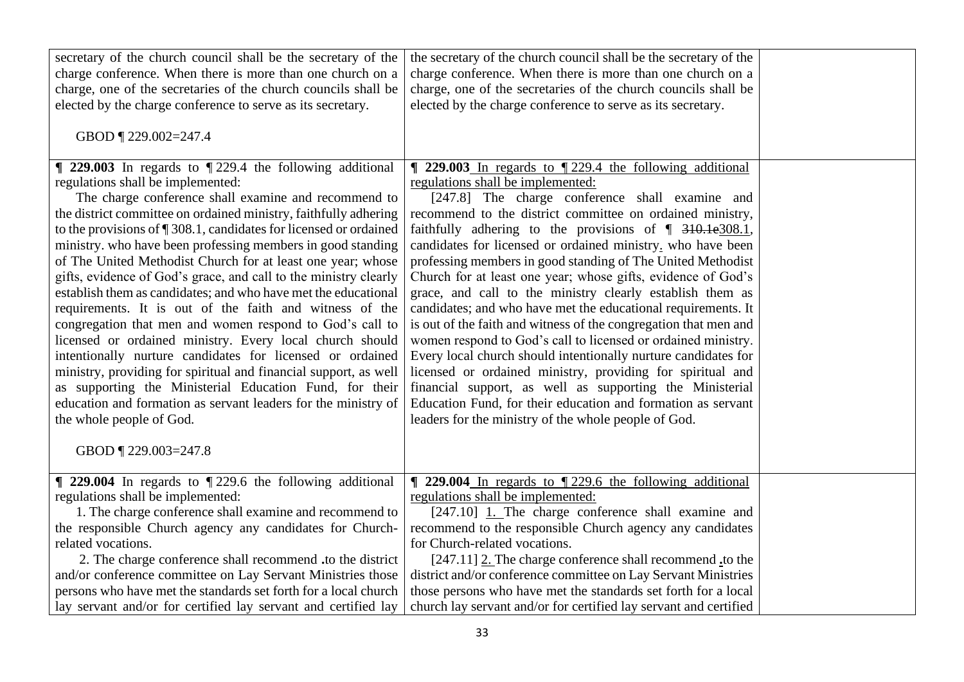| secretary of the church council shall be the secretary of the<br>charge conference. When there is more than one church on a<br>charge, one of the secretaries of the church councils shall be<br>elected by the charge conference to serve as its secretary.<br>GBOD   229.002=247.4                                                                                                                                                                                                                                                                                                                                                                                                                                                                                                                                                                                                                                                                                                                                                                                        | the secretary of the church council shall be the secretary of the<br>charge conference. When there is more than one church on a<br>charge, one of the secretaries of the church councils shall be<br>elected by the charge conference to serve as its secretary.                                                                                                                                                                                                                                                                                                                                                                                                                                                                                                                                                                                                                                                                                                                                                                                                                     |  |
|-----------------------------------------------------------------------------------------------------------------------------------------------------------------------------------------------------------------------------------------------------------------------------------------------------------------------------------------------------------------------------------------------------------------------------------------------------------------------------------------------------------------------------------------------------------------------------------------------------------------------------------------------------------------------------------------------------------------------------------------------------------------------------------------------------------------------------------------------------------------------------------------------------------------------------------------------------------------------------------------------------------------------------------------------------------------------------|--------------------------------------------------------------------------------------------------------------------------------------------------------------------------------------------------------------------------------------------------------------------------------------------------------------------------------------------------------------------------------------------------------------------------------------------------------------------------------------------------------------------------------------------------------------------------------------------------------------------------------------------------------------------------------------------------------------------------------------------------------------------------------------------------------------------------------------------------------------------------------------------------------------------------------------------------------------------------------------------------------------------------------------------------------------------------------------|--|
| 229.003 In regards to $\P$ 229.4 the following additional<br>regulations shall be implemented:<br>The charge conference shall examine and recommend to<br>the district committee on ordained ministry, faithfully adhering<br>to the provisions of $\P$ 308.1, candidates for licensed or ordained<br>ministry. who have been professing members in good standing<br>of The United Methodist Church for at least one year; whose<br>gifts, evidence of God's grace, and call to the ministry clearly<br>establish them as candidates; and who have met the educational<br>requirements. It is out of the faith and witness of the<br>congregation that men and women respond to God's call to<br>licensed or ordained ministry. Every local church should<br>intentionally nurture candidates for licensed or ordained<br>ministry, providing for spiritual and financial support, as well<br>as supporting the Ministerial Education Fund, for their<br>education and formation as servant leaders for the ministry of<br>the whole people of God.<br>GBOD   229.003=247.8 | $\parallel$ 229.003 In regards to $\parallel$ 229.4 the following additional<br>regulations shall be implemented:<br>[247.8] The charge conference shall examine and<br>recommend to the district committee on ordained ministry,<br>faithfully adhering to the provisions of $\P$ 310.1e308.1,<br>candidates for licensed or ordained ministry. who have been<br>professing members in good standing of The United Methodist<br>Church for at least one year; whose gifts, evidence of God's<br>grace, and call to the ministry clearly establish them as<br>candidates; and who have met the educational requirements. It<br>is out of the faith and witness of the congregation that men and<br>women respond to God's call to licensed or ordained ministry.<br>Every local church should intentionally nurture candidates for<br>licensed or ordained ministry, providing for spiritual and<br>financial support, as well as supporting the Ministerial<br>Education Fund, for their education and formation as servant<br>leaders for the ministry of the whole people of God. |  |
| 229.004 In regards to $\P$ 229.6 the following additional<br>regulations shall be implemented:<br>1. The charge conference shall examine and recommend to<br>the responsible Church agency any candidates for Church-<br>related vocations.<br>2. The charge conference shall recommend .to the district<br>and/or conference committee on Lay Servant Ministries those<br>persons who have met the standards set forth for a local church<br>lay servant and/or for certified lay servant and certified lay                                                                                                                                                                                                                                                                                                                                                                                                                                                                                                                                                                | 1 229.004 In regards to 1 229.6 the following additional<br>regulations shall be implemented:<br>[247.10] 1. The charge conference shall examine and<br>recommend to the responsible Church agency any candidates<br>for Church-related vocations.<br>[247.11] 2. The charge conference shall recommend to the<br>district and/or conference committee on Lay Servant Ministries<br>those persons who have met the standards set forth for a local<br>church lay servant and/or for certified lay servant and certified                                                                                                                                                                                                                                                                                                                                                                                                                                                                                                                                                              |  |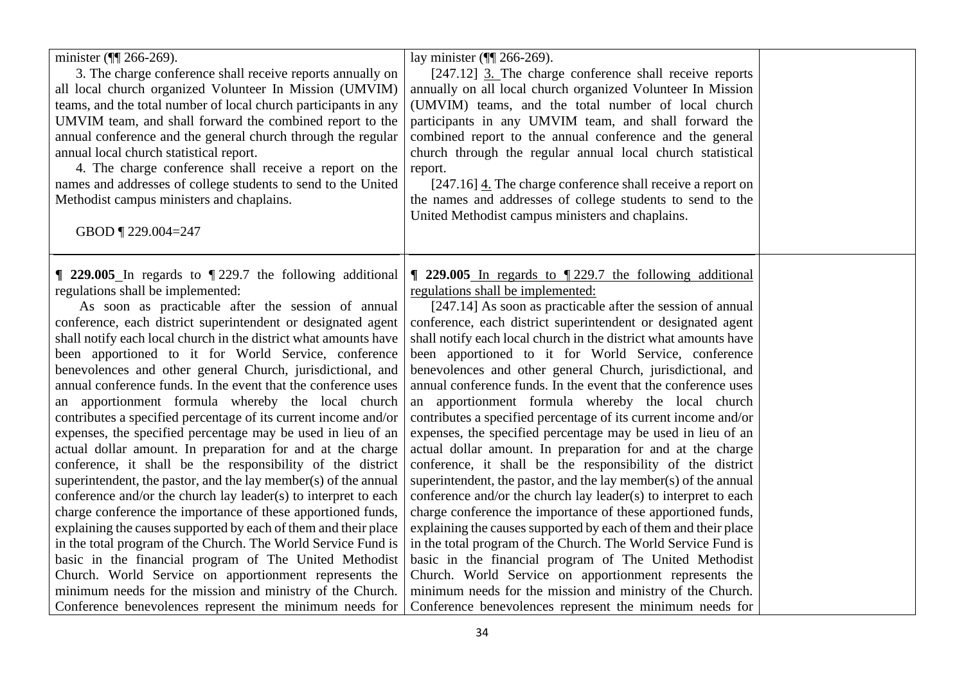| minister (¶¶ 266-269).<br>3. The charge conference shall receive reports annually on<br>all local church organized Volunteer In Mission (UMVIM)<br>teams, and the total number of local church participants in any<br>UMVIM team, and shall forward the combined report to the<br>annual conference and the general church through the regular<br>annual local church statistical report.<br>4. The charge conference shall receive a report on the<br>names and addresses of college students to send to the United<br>Methodist campus ministers and chaplains.<br>GBOD 1229.004=247                                                                                                                                                                                                                                                                                                                                                                                                                                                                                                                                                                                                                                                                                                                                                            | lay minister $(\P\P 266-269)$ .<br>$[247.12]$ 3. The charge conference shall receive reports<br>annually on all local church organized Volunteer In Mission<br>(UMVIM) teams, and the total number of local church<br>participants in any UMVIM team, and shall forward the<br>combined report to the annual conference and the general<br>church through the regular annual local church statistical<br>report.<br>$[247.16]$ 4. The charge conference shall receive a report on<br>the names and addresses of college students to send to the<br>United Methodist campus ministers and chaplains.                                                                                                                                                                                                                                                                                                                                                                                                                                                                                                                                                                                                                                                                                                                                    |  |
|---------------------------------------------------------------------------------------------------------------------------------------------------------------------------------------------------------------------------------------------------------------------------------------------------------------------------------------------------------------------------------------------------------------------------------------------------------------------------------------------------------------------------------------------------------------------------------------------------------------------------------------------------------------------------------------------------------------------------------------------------------------------------------------------------------------------------------------------------------------------------------------------------------------------------------------------------------------------------------------------------------------------------------------------------------------------------------------------------------------------------------------------------------------------------------------------------------------------------------------------------------------------------------------------------------------------------------------------------|----------------------------------------------------------------------------------------------------------------------------------------------------------------------------------------------------------------------------------------------------------------------------------------------------------------------------------------------------------------------------------------------------------------------------------------------------------------------------------------------------------------------------------------------------------------------------------------------------------------------------------------------------------------------------------------------------------------------------------------------------------------------------------------------------------------------------------------------------------------------------------------------------------------------------------------------------------------------------------------------------------------------------------------------------------------------------------------------------------------------------------------------------------------------------------------------------------------------------------------------------------------------------------------------------------------------------------------|--|
| $\parallel$ 229.005 In regards to $\parallel$ 229.7 the following additional<br>regulations shall be implemented:<br>As soon as practicable after the session of annual<br>conference, each district superintendent or designated agent<br>shall notify each local church in the district what amounts have<br>been apportioned to it for World Service, conference<br>benevolences and other general Church, jurisdictional, and<br>annual conference funds. In the event that the conference uses<br>an apportionment formula whereby the local church<br>contributes a specified percentage of its current income and/or<br>expenses, the specified percentage may be used in lieu of an<br>actual dollar amount. In preparation for and at the charge<br>conference, it shall be the responsibility of the district<br>superintendent, the pastor, and the lay member(s) of the annual<br>conference and/or the church lay leader(s) to interpret to each<br>charge conference the importance of these apportioned funds,<br>explaining the causes supported by each of them and their place<br>in the total program of the Church. The World Service Fund is<br>basic in the financial program of The United Methodist<br>Church. World Service on apportionment represents the<br>minimum needs for the mission and ministry of the Church. | 1 229.005 In regards to 1 229.7 the following additional<br>regulations shall be implemented:<br>[247.14] As soon as practicable after the session of annual<br>conference, each district superintendent or designated agent<br>shall notify each local church in the district what amounts have<br>been apportioned to it for World Service, conference<br>benevolences and other general Church, jurisdictional, and<br>annual conference funds. In the event that the conference uses<br>an apportionment formula whereby the local church<br>contributes a specified percentage of its current income and/or<br>expenses, the specified percentage may be used in lieu of an<br>actual dollar amount. In preparation for and at the charge<br>conference, it shall be the responsibility of the district<br>superintendent, the pastor, and the lay member(s) of the annual<br>conference and/or the church lay leader(s) to interpret to each<br>charge conference the importance of these apportioned funds,<br>explaining the causes supported by each of them and their place<br>in the total program of the Church. The World Service Fund is<br>basic in the financial program of The United Methodist<br>Church. World Service on apportionment represents the<br>minimum needs for the mission and ministry of the Church. |  |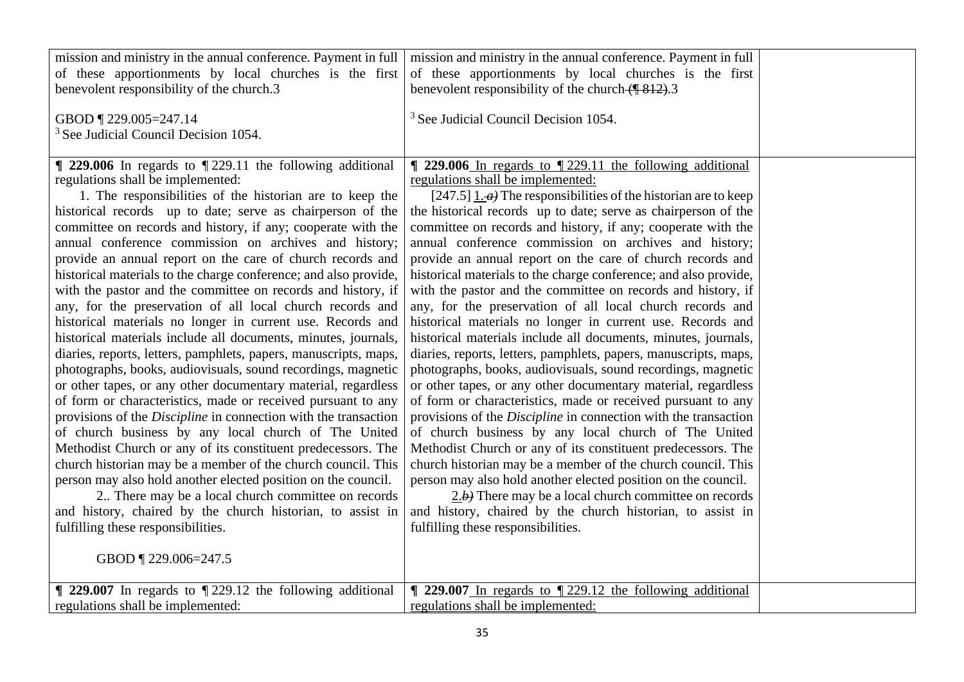| mission and ministry in the annual conference. Payment in full                                                       | mission and ministry in the annual conference. Payment in full                                                               |  |
|----------------------------------------------------------------------------------------------------------------------|------------------------------------------------------------------------------------------------------------------------------|--|
| of these apportionments by local churches is the first                                                               | of these apportionments by local churches is the first                                                                       |  |
| benevolent responsibility of the church.3                                                                            | benevolent responsibility of the church $(\sqrt{812})$ .3                                                                    |  |
|                                                                                                                      |                                                                                                                              |  |
| GBOD 1229.005=247.14                                                                                                 | <sup>3</sup> See Judicial Council Decision 1054.                                                                             |  |
| <sup>3</sup> See Judicial Council Decision 1054.                                                                     |                                                                                                                              |  |
|                                                                                                                      |                                                                                                                              |  |
| $\P$ 229.006 In regards to $\P$ 229.11 the following additional                                                      | 1 229.006 In regards to 1 229.11 the following additional                                                                    |  |
| regulations shall be implemented:                                                                                    | regulations shall be implemented:                                                                                            |  |
| 1. The responsibilities of the historian are to keep the                                                             | [247.5] $1 \cdot \vec{a}$ ) The responsibilities of the historian are to keep                                                |  |
| historical records up to date; serve as chairperson of the                                                           | the historical records up to date; serve as chairperson of the                                                               |  |
| committee on records and history, if any; cooperate with the                                                         | committee on records and history, if any; cooperate with the                                                                 |  |
| annual conference commission on archives and history;                                                                | annual conference commission on archives and history;                                                                        |  |
| provide an annual report on the care of church records and                                                           | provide an annual report on the care of church records and                                                                   |  |
| historical materials to the charge conference; and also provide,                                                     | historical materials to the charge conference; and also provide,                                                             |  |
| with the pastor and the committee on records and history, if                                                         | with the pastor and the committee on records and history, if                                                                 |  |
| any, for the preservation of all local church records and                                                            | any, for the preservation of all local church records and                                                                    |  |
| historical materials no longer in current use. Records and                                                           | historical materials no longer in current use. Records and                                                                   |  |
| historical materials include all documents, minutes, journals,                                                       | historical materials include all documents, minutes, journals,                                                               |  |
| diaries, reports, letters, pamphlets, papers, manuscripts, maps,                                                     | diaries, reports, letters, pamphlets, papers, manuscripts, maps,                                                             |  |
| photographs, books, audiovisuals, sound recordings, magnetic                                                         | photographs, books, audiovisuals, sound recordings, magnetic                                                                 |  |
| or other tapes, or any other documentary material, regardless                                                        | or other tapes, or any other documentary material, regardless                                                                |  |
| of form or characteristics, made or received pursuant to any                                                         | of form or characteristics, made or received pursuant to any                                                                 |  |
| provisions of the <i>Discipline</i> in connection with the transaction                                               | provisions of the <i>Discipline</i> in connection with the transaction                                                       |  |
| of church business by any local church of The United<br>Methodist Church or any of its constituent predecessors. The | of church business by any local church of The United                                                                         |  |
| church historian may be a member of the church council. This                                                         | Methodist Church or any of its constituent predecessors. The<br>church historian may be a member of the church council. This |  |
|                                                                                                                      |                                                                                                                              |  |
| person may also hold another elected position on the council.<br>2 There may be a local church committee on records  | person may also hold another elected position on the council.<br>$2.6$ ) There may be a local church committee on records    |  |
| and history, chaired by the church historian, to assist in                                                           | and history, chaired by the church historian, to assist in                                                                   |  |
| fulfilling these responsibilities.                                                                                   | fulfilling these responsibilities.                                                                                           |  |
|                                                                                                                      |                                                                                                                              |  |
| GBOD ¶ 229.006=247.5                                                                                                 |                                                                                                                              |  |
|                                                                                                                      |                                                                                                                              |  |
| 1 229.007 In regards to 1 229.12 the following additional                                                            | 1 229.007 In regards to 1 229.12 the following additional                                                                    |  |
| regulations shall be implemented:                                                                                    | regulations shall be implemented:                                                                                            |  |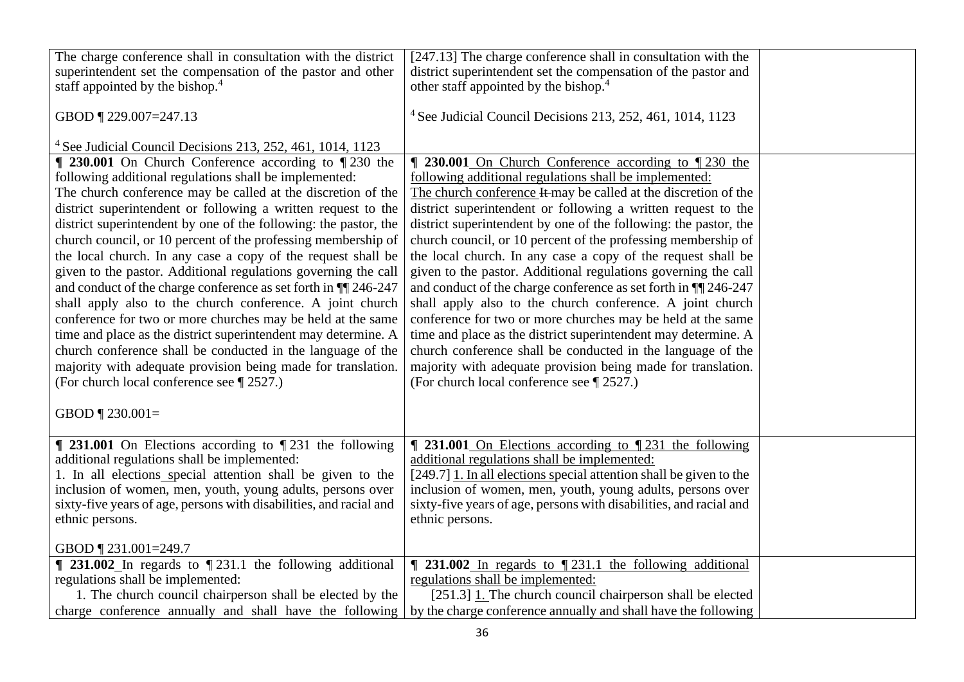| The charge conference shall in consultation with the district                | [247.13] The charge conference shall in consultation with the                |  |
|------------------------------------------------------------------------------|------------------------------------------------------------------------------|--|
| superintendent set the compensation of the pastor and other                  | district superintendent set the compensation of the pastor and               |  |
| staff appointed by the bishop. <sup>4</sup>                                  | other staff appointed by the bishop. <sup>4</sup>                            |  |
|                                                                              |                                                                              |  |
| GBOD 1229.007=247.13                                                         | $4$ See Judicial Council Decisions 213, 252, 461, 1014, 1123                 |  |
| <sup>4</sup> See Judicial Council Decisions 213, 252, 461, 1014, 1123        |                                                                              |  |
| <b>1230.001</b> On Church Conference according to 1230 the                   | 230.001 On Church Conference according to 1230 the                           |  |
| following additional regulations shall be implemented:                       | following additional regulations shall be implemented:                       |  |
| The church conference may be called at the discretion of the                 | The church conference It may be called at the discretion of the              |  |
| district superintendent or following a written request to the                | district superintendent or following a written request to the                |  |
| district superintendent by one of the following: the pastor, the             | district superintendent by one of the following: the pastor, the             |  |
| church council, or 10 percent of the professing membership of                | church council, or 10 percent of the professing membership of                |  |
| the local church. In any case a copy of the request shall be                 | the local church. In any case a copy of the request shall be                 |  |
| given to the pastor. Additional regulations governing the call               | given to the pastor. Additional regulations governing the call               |  |
| and conduct of the charge conference as set forth in $\P$ 246-247            | and conduct of the charge conference as set forth in $\P$ 246-247            |  |
| shall apply also to the church conference. A joint church                    | shall apply also to the church conference. A joint church                    |  |
| conference for two or more churches may be held at the same                  | conference for two or more churches may be held at the same                  |  |
| time and place as the district superintendent may determine. A               | time and place as the district superintendent may determine. A               |  |
| church conference shall be conducted in the language of the                  | church conference shall be conducted in the language of the                  |  |
| majority with adequate provision being made for translation.                 | majority with adequate provision being made for translation.                 |  |
| (For church local conference see ¶ 2527.)                                    | (For church local conference see ¶ 2527.)                                    |  |
|                                                                              |                                                                              |  |
| GBOD $\P$ 230.001=                                                           |                                                                              |  |
|                                                                              |                                                                              |  |
| $\P$ 231.001 On Elections according to $\P$ 231 the following                | <b>1 231.001</b> On Elections according to 1231 the following                |  |
| additional regulations shall be implemented:                                 | additional regulations shall be implemented:                                 |  |
| 1. In all elections special attention shall be given to the                  | [249.7] 1. In all elections special attention shall be given to the          |  |
| inclusion of women, men, youth, young adults, persons over                   | inclusion of women, men, youth, young adults, persons over                   |  |
| sixty-five years of age, persons with disabilities, and racial and           | sixty-five years of age, persons with disabilities, and racial and           |  |
| ethnic persons.                                                              | ethnic persons.                                                              |  |
| GBOD 1231.001=249.7                                                          |                                                                              |  |
| $\parallel$ 231.002 In regards to $\parallel$ 231.1 the following additional | $\parallel$ 231.002 In regards to $\parallel$ 231.1 the following additional |  |
| regulations shall be implemented:                                            | regulations shall be implemented:                                            |  |
| 1. The church council chairperson shall be elected by the                    | [251.3] 1. The church council chairperson shall be elected                   |  |
| charge conference annually and shall have the following                      | by the charge conference annually and shall have the following               |  |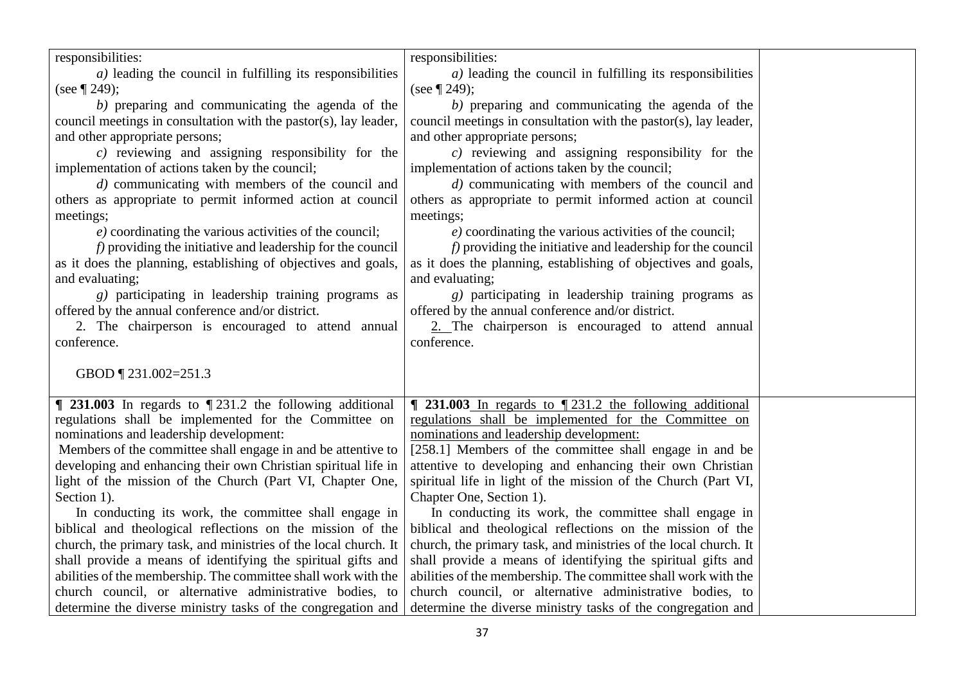| responsibilities:                                                            | responsibilities:                                                |  |
|------------------------------------------------------------------------------|------------------------------------------------------------------|--|
| $a)$ leading the council in fulfilling its responsibilities                  | $a)$ leading the council in fulfilling its responsibilities      |  |
| (see $\P$ 249);                                                              | (see $\P$ 249);                                                  |  |
| $b)$ preparing and communicating the agenda of the                           | $b)$ preparing and communicating the agenda of the               |  |
| council meetings in consultation with the pastor(s), lay leader,             | council meetings in consultation with the pastor(s), lay leader, |  |
| and other appropriate persons;                                               | and other appropriate persons;                                   |  |
| $c)$ reviewing and assigning responsibility for the                          | $c)$ reviewing and assigning responsibility for the              |  |
| implementation of actions taken by the council;                              | implementation of actions taken by the council;                  |  |
| d) communicating with members of the council and                             | d) communicating with members of the council and                 |  |
| others as appropriate to permit informed action at council                   | others as appropriate to permit informed action at council       |  |
| meetings;                                                                    | meetings;                                                        |  |
| $e$ ) coordinating the various activities of the council;                    | $e$ ) coordinating the various activities of the council;        |  |
| $f$ ) providing the initiative and leadership for the council                | $f$ ) providing the initiative and leadership for the council    |  |
| as it does the planning, establishing of objectives and goals,               | as it does the planning, establishing of objectives and goals,   |  |
| and evaluating;                                                              | and evaluating;                                                  |  |
| g) participating in leadership training programs as                          | g) participating in leadership training programs as              |  |
| offered by the annual conference and/or district.                            | offered by the annual conference and/or district.                |  |
| 2. The chairperson is encouraged to attend annual                            | 2. The chairperson is encouraged to attend annual                |  |
| conference.                                                                  | conference.                                                      |  |
|                                                                              |                                                                  |  |
| GBOD 1231.002=251.3                                                          |                                                                  |  |
| $\parallel$ 231.003 In regards to $\parallel$ 231.2 the following additional | 231.003 In regards to $\P$ 231.2 the following additional        |  |
| regulations shall be implemented for the Committee on                        | regulations shall be implemented for the Committee on            |  |
| nominations and leadership development:                                      | nominations and leadership development:                          |  |
| Members of the committee shall engage in and be attentive to                 | [258.1] Members of the committee shall engage in and be          |  |
| developing and enhancing their own Christian spiritual life in               | attentive to developing and enhancing their own Christian        |  |
| light of the mission of the Church (Part VI, Chapter One,                    | spiritual life in light of the mission of the Church (Part VI,   |  |
| Section 1).                                                                  | Chapter One, Section 1).                                         |  |
| In conducting its work, the committee shall engage in                        | In conducting its work, the committee shall engage in            |  |
| biblical and theological reflections on the mission of the                   | biblical and theological reflections on the mission of the       |  |
| church, the primary task, and ministries of the local church. It             | church, the primary task, and ministries of the local church. It |  |
| shall provide a means of identifying the spiritual gifts and                 | shall provide a means of identifying the spiritual gifts and     |  |
| abilities of the membership. The committee shall work with the               | abilities of the membership. The committee shall work with the   |  |
| church council, or alternative administrative bodies, to                     | church council, or alternative administrative bodies, to         |  |
| determine the diverse ministry tasks of the congregation and                 | determine the diverse ministry tasks of the congregation and     |  |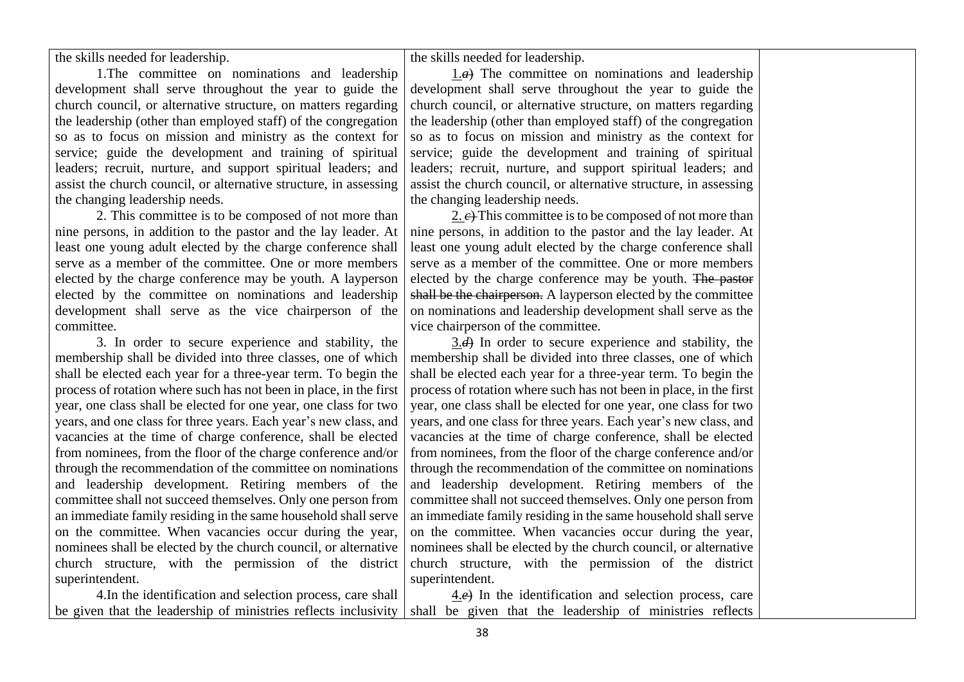the skills needed for leadership.

1.The committee on nominations and leadership development shall serve throughout the year to guide the church council, or alternative structure, on matters regarding the leadership (other than employed staff) of the congregation so as to focus on mission and ministry as the context for service; guide the development and training of spiritual leaders; recruit, nurture, and support spiritual leaders; and assist the church council, or alternative structure, in assessing the changing leadership needs.

2. This committee is to be composed of not more than nine persons, in addition to the pastor and the lay leader. At least one young adult elected by the charge conference shall serve as a member of the committee. One or more members elected by the charge conference may be youth. A layperson elected by the committee on nominations and leadership development shall serve as the vice chairperson of the committee.

3. In order to secure experience and stability, the membership shall be divided into three classes, one of which shall be elected each year for a three-year term. To begin the process of rotation where such has not been in place, in the first year, one class shall be elected for one year, one class for two years, and one class for three years. Each year's new class, and vacancies at the time of charge conference, shall be elected from nominees, from the floor of the charge conference and/or through the recommendation of the committee on nominations and leadership development. Retiring members of the committee shall not succeed themselves. Only one person from an immediate family residing in the same household shall serve on the committee. When vacancies occur during the year, nominees shall be elected by the church council, or alternative church structure, with the permission of the district superintendent.

4.In the identification and selection process, care shall be given that the leadership of ministries reflects inclusivity

the skills needed for leadership.

1.*a*) The committee on nominations and leadership development shall serve throughout the year to guide the church council, or alternative structure, on matters regarding the leadership (other than employed staff) of the congregation so as to focus on mission and ministry as the context for service; guide the development and training of spiritual leaders; recruit, nurture, and support spiritual leaders; and assist the church council, or alternative structure, in assessing the changing leadership needs.

2. *c*) This committee is to be composed of not more than nine persons, in addition to the pastor and the lay leader. At least one young adult elected by the charge conference shall serve as a member of the committee. One or more members elected by the charge conference may be youth. The pastor shall be the chairperson. A layperson elected by the committee on nominations and leadership development shall serve as the vice chairperson of the committee.

3.*d*) In order to secure experience and stability, the membership shall be divided into three classes, one of which shall be elected each year for a three-year term. To begin the process of rotation where such has not been in place, in the first year, one class shall be elected for one year, one class for two years, and one class for three years. Each year's new class, and vacancies at the time of charge conference, shall be elected from nominees, from the floor of the charge conference and/or through the recommendation of the committee on nominations and leadership development. Retiring members of the committee shall not succeed themselves. Only one person from an immediate family residing in the same household shall serve on the committee. When vacancies occur during the year, nominees shall be elected by the church council, or alternative church structure, with the permission of the district superintendent.

4.*e*) In the identification and selection process, care shall be given that the leadership of ministries reflects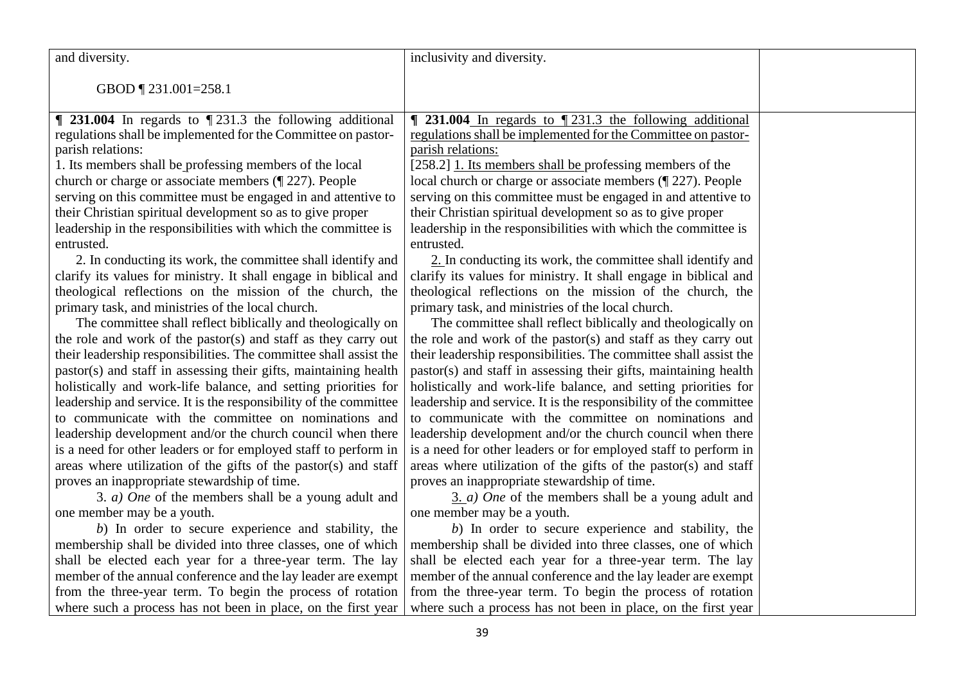| and diversity.                                                    | inclusivity and diversity.                                               |  |
|-------------------------------------------------------------------|--------------------------------------------------------------------------|--|
| GBOD 1231.001=258.1                                               |                                                                          |  |
|                                                                   |                                                                          |  |
| $\P$ 231.004 In regards to $\P$ 231.3 the following additional    | <b>1 231.004</b> In regards to 1 231.3 the following additional          |  |
| regulations shall be implemented for the Committee on pastor-     | regulations shall be implemented for the Committee on pastor-            |  |
| parish relations:                                                 | parish relations:                                                        |  |
| 1. Its members shall be professing members of the local           | [258.2] 1. Its members shall be professing members of the                |  |
| church or charge or associate members (¶ 227). People             | local church or charge or associate members (¶ 227). People              |  |
| serving on this committee must be engaged in and attentive to     | serving on this committee must be engaged in and attentive to            |  |
| their Christian spiritual development so as to give proper        | their Christian spiritual development so as to give proper               |  |
| leadership in the responsibilities with which the committee is    | leadership in the responsibilities with which the committee is           |  |
| entrusted.                                                        | entrusted.                                                               |  |
| 2. In conducting its work, the committee shall identify and       | 2. In conducting its work, the committee shall identify and              |  |
| clarify its values for ministry. It shall engage in biblical and  | clarify its values for ministry. It shall engage in biblical and         |  |
| theological reflections on the mission of the church, the         | theological reflections on the mission of the church, the                |  |
| primary task, and ministries of the local church.                 | primary task, and ministries of the local church.                        |  |
| The committee shall reflect biblically and theologically on       | The committee shall reflect biblically and theologically on              |  |
| the role and work of the pastor(s) and staff as they carry out    | the role and work of the pastor(s) and staff as they carry out           |  |
| their leadership responsibilities. The committee shall assist the | their leadership responsibilities. The committee shall assist the        |  |
| pastor(s) and staff in assessing their gifts, maintaining health  | pastor(s) and staff in assessing their gifts, maintaining health         |  |
| holistically and work-life balance, and setting priorities for    | holistically and work-life balance, and setting priorities for           |  |
| leadership and service. It is the responsibility of the committee | leadership and service. It is the responsibility of the committee        |  |
| to communicate with the committee on nominations and              | to communicate with the committee on nominations and                     |  |
| leadership development and/or the church council when there       | leadership development and/or the church council when there              |  |
| is a need for other leaders or for employed staff to perform in   | is a need for other leaders or for employed staff to perform in          |  |
| areas where utilization of the gifts of the pastor(s) and staff   | areas where utilization of the gifts of the pastor(s) and staff          |  |
| proves an inappropriate stewardship of time.                      | proves an inappropriate stewardship of time.                             |  |
| 3. <i>a)</i> One of the members shall be a young adult and        | $\overline{3}$ . <i>a)</i> One of the members shall be a young adult and |  |
| one member may be a youth.                                        | one member may be a youth.                                               |  |
| b) In order to secure experience and stability, the               | b) In order to secure experience and stability, the                      |  |
| membership shall be divided into three classes, one of which      | membership shall be divided into three classes, one of which             |  |
| shall be elected each year for a three-year term. The lay         | shall be elected each year for a three-year term. The lay                |  |
| member of the annual conference and the lay leader are exempt     | member of the annual conference and the lay leader are exempt            |  |
| from the three-year term. To begin the process of rotation        | from the three-year term. To begin the process of rotation               |  |
| where such a process has not been in place, on the first year     | where such a process has not been in place, on the first year            |  |
|                                                                   |                                                                          |  |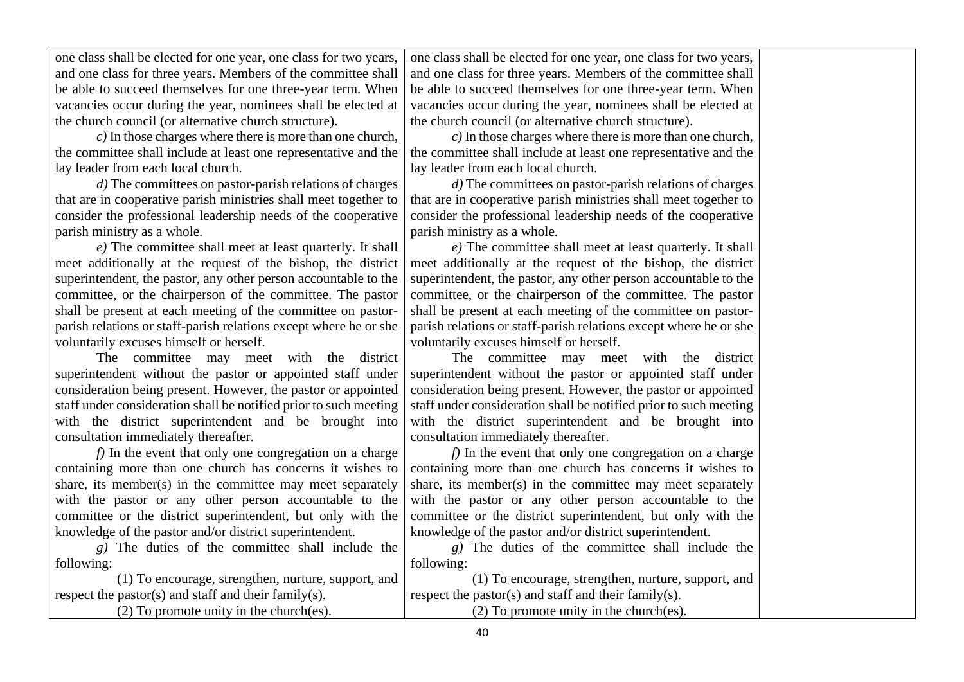one class shall be elected for one year, one class for two years, and one class for three years. Members of the committee shall be able to succeed themselves for one three-year term. When vacancies occur during the year, nominees shall be elected at the church council (or alternative church structure).

*c)* In those charges where there is more than one church, the committee shall include at least one representative and the lay leader from each local church.

*d)* The committees on pastor-parish relations of charges that are in cooperative parish ministries shall meet together to consider the professional leadership needs of the cooperative parish ministry as a whole.

*e)* The committee shall meet at least quarterly. It shall meet additionally at the request of the bishop, the district superintendent, the pastor, any other person accountable to the committee, or the chairperson of the committee. The pastor shall be present at each meeting of the committee on pastorparish relations or staff-parish relations except where he or she voluntarily excuses himself or herself.

The committee may meet with the district superintendent without the pastor or appointed staff under consideration being present. However, the pastor or appointed staff under consideration shall be notified prior to such meeting with the district superintendent and be brought into consultation immediately thereafter.

*f*) In the event that only one congregation on a charge containing more than one church has concerns it wishes to share, its member(s) in the committee may meet separately with the pastor or any other person accountable to the committee or the district superintendent, but only with the knowledge of the pastor and/or district superintendent.

*g)* The duties of the committee shall include the following:

(1) To encourage, strengthen, nurture, support, and respect the pastor(s) and staff and their family(s).

(2) To promote unity in the church(es).

one class shall be elected for one year, one class for two years, and one class for three years. Members of the committee shall be able to succeed themselves for one three-year term. When vacancies occur during the year, nominees shall be elected at the church council (or alternative church structure).

*c)* In those charges where there is more than one church, the committee shall include at least one representative and the lay leader from each local church.

*d)* The committees on pastor-parish relations of charges that are in cooperative parish ministries shall meet together to consider the professional leadership needs of the cooperative parish ministry as a whole.

*e)* The committee shall meet at least quarterly. It shall meet additionally at the request of the bishop, the district superintendent, the pastor, any other person accountable to the committee, or the chairperson of the committee. The pastor shall be present at each meeting of the committee on pastorparish relations or staff-parish relations except where he or she voluntarily excuses himself or herself.

The committee may meet with the district superintendent without the pastor or appointed staff under consideration being present. However, the pastor or appointed staff under consideration shall be notified prior to such meeting with the district superintendent and be brought into consultation immediately thereafter.

*f*) In the event that only one congregation on a charge containing more than one church has concerns it wishes to share, its member(s) in the committee may meet separately with the pastor or any other person accountable to the committee or the district superintendent, but only with the knowledge of the pastor and/or district superintendent.

*g)* The duties of the committee shall include the following:

(1) To encourage, strengthen, nurture, support, and respect the pastor(s) and staff and their family(s). (2) To promote unity in the church(es).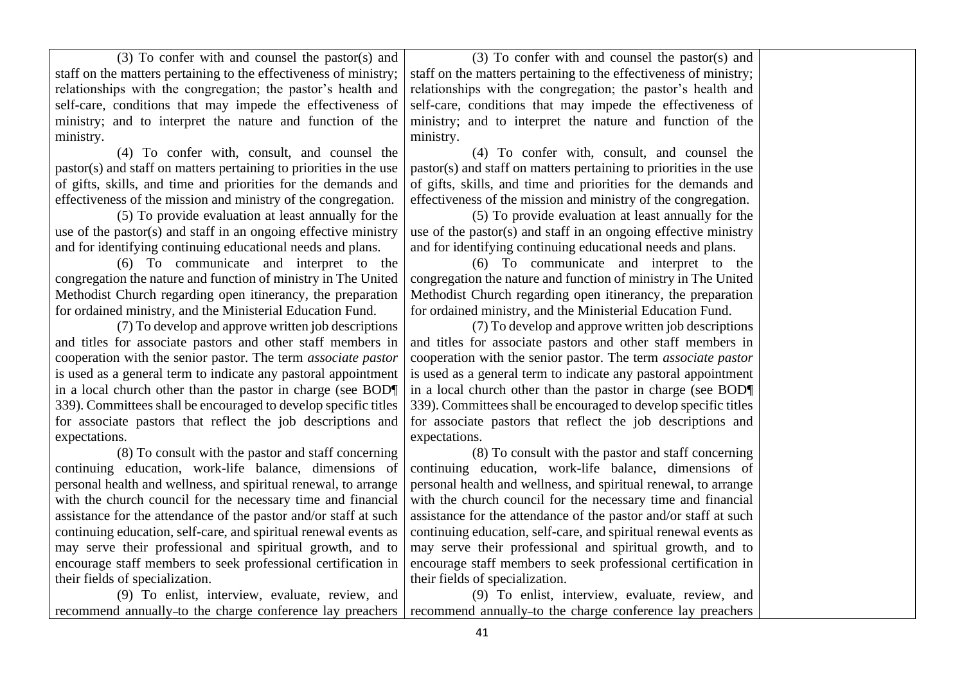(3) To confer with and counsel the pastor(s) and staff on the matters pertaining to the effectiveness of ministry; relationships with the congregation; the pastor's health and self-care, conditions that may impede the effectiveness of ministry; and to interpret the nature and function of the ministry.

(4) To confer with, consult, and counsel the pastor(s) and staff on matters pertaining to priorities in the use of gifts, skills, and time and priorities for the demands and effectiveness of the mission and ministry of the congregation.

(5) To provide evaluation at least annually for the use of the pastor(s) and staff in an ongoing effective ministry and for identifying continuing educational needs and plans.

(6) To communicate and interpret to the congregation the nature and function of ministry in The United Methodist Church regarding open itinerancy, the preparation for ordained ministry, and the Ministerial Education Fund.

(7) To develop and approve written job descriptions and titles for associate pastors and other staff members in cooperation with the senior pastor. The term *associate pastor* is used as a general term to indicate any pastoral appointment in a local church other than the pastor in charge (see BOD¶ 339). Committees shall be encouraged to develop specific titles for associate pastors that reflect the job descriptions and expectations.

(8) To consult with the pastor and staff concerning continuing education, work-life balance, dimensions of personal health and wellness, and spiritual renewal, to arrange with the church council for the necessary time and financial assistance for the attendance of the pastor and/or staff at such continuing education, self-care, and spiritual renewal events as may serve their professional and spiritual growth, and to encourage staff members to seek professional certification in their fields of specialization.

(9) To enlist, interview, evaluate, review, and recommend annually-to the charge conference lay preachers

(3) To confer with and counsel the pastor(s) and staff on the matters pertaining to the effectiveness of ministry; relationships with the congregation; the pastor's health and self-care, conditions that may impede the effectiveness of ministry; and to interpret the nature and function of the ministry.

(4) To confer with, consult, and counsel the pastor(s) and staff on matters pertaining to priorities in the use of gifts, skills, and time and priorities for the demands and effectiveness of the mission and ministry of the congregation.

(5) To provide evaluation at least annually for the use of the pastor(s) and staff in an ongoing effective ministry and for identifying continuing educational needs and plans.

(6) To communicate and interpret to the congregation the nature and function of ministry in The United Methodist Church regarding open itinerancy, the preparation for ordained ministry, and the Ministerial Education Fund.

(7) To develop and approve written job descriptions and titles for associate pastors and other staff members in cooperation with the senior pastor. The term *associate pastor* is used as a general term to indicate any pastoral appointment in a local church other than the pastor in charge (see BOD¶ 339). Committees shall be encouraged to develop specific titles for associate pastors that reflect the job descriptions and expectations.

(8) To consult with the pastor and staff concerning continuing education, work-life balance, dimensions of personal health and wellness, and spiritual renewal, to arrange with the church council for the necessary time and financial assistance for the attendance of the pastor and/or staff at such continuing education, self-care, and spiritual renewal events as may serve their professional and spiritual growth, and to encourage staff members to seek professional certification in their fields of specialization.

(9) To enlist, interview, evaluate, review, and recommend annually-to the charge conference lay preachers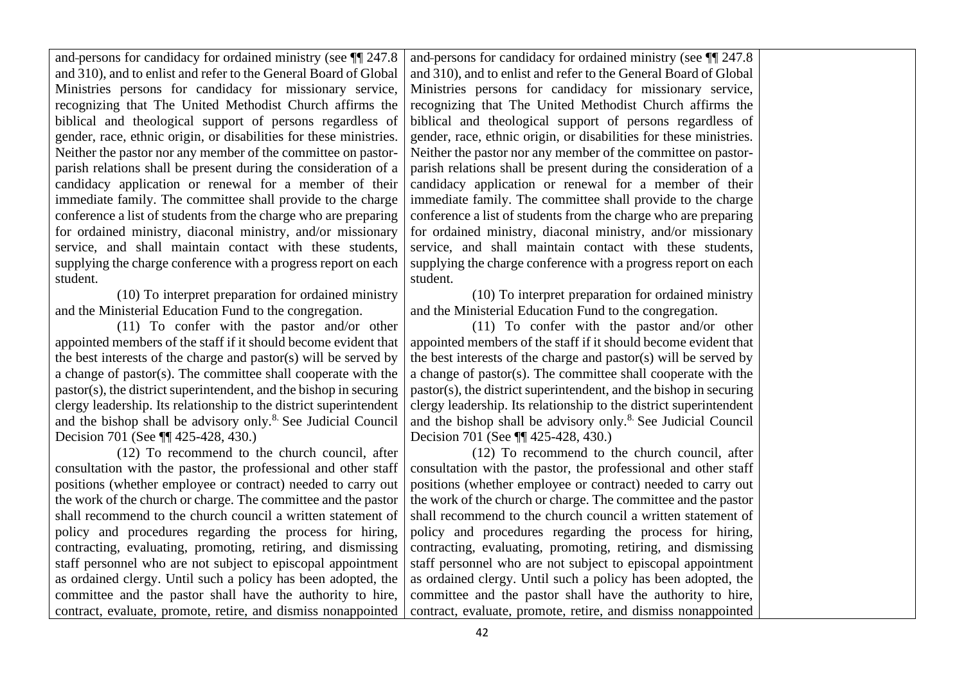and persons for candidacy for ordained ministry (see ¶¶ 247.8 and 310), and to enlist and refer to the General Board of Global Ministries persons for candidacy for missionary service, recognizing that The United Methodist Church affirms the biblical and theological support of persons regardless of gender, race, ethnic origin, or disabilities for these ministries. Neither the pastor nor any member of the committee on pastorparish relations shall be present during the consideration of a candidacy application or renewal for a member of their immediate family. The committee shall provide to the charge conference a list of students from the charge who are preparing for ordained ministry, diaconal ministry, and/or missionary service, and shall maintain contact with these students, supplying the charge conference with a progress report on each student.

(10) To interpret preparation for ordained ministry and the Ministerial Education Fund to the congregation.

(11) To confer with the pastor and/or other appointed members of the staff if it should become evident that the best interests of the charge and pastor(s) will be served by a change of pastor(s). The committee shall cooperate with the pastor(s), the district superintendent, and the bishop in securing clergy leadership. Its relationship to the district superintendent and the bishop shall be advisory only.<sup>8</sup> See Judicial Council Decision 701 (See ¶¶ 425-428, 430.)

(12) To recommend to the church council, after consultation with the pastor, the professional and other staff positions (whether employee or contract) needed to carry out the work of the church or charge. The committee and the pastor shall recommend to the church council a written statement of policy and procedures regarding the process for hiring, contracting, evaluating, promoting, retiring, and dismissing staff personnel who are not subject to episcopal appointment as ordained clergy. Until such a policy has been adopted, the committee and the pastor shall have the authority to hire, contract, evaluate, promote, retire, and dismiss nonappointed

and persons for candidacy for ordained ministry (see ¶¶ 247.8 and 310), and to enlist and refer to the General Board of Global Ministries persons for candidacy for missionary service, recognizing that The United Methodist Church affirms the biblical and theological support of persons regardless of gender, race, ethnic origin, or disabilities for these ministries. Neither the pastor nor any member of the committee on pastorparish relations shall be present during the consideration of a candidacy application or renewal for a member of their immediate family. The committee shall provide to the charge conference a list of students from the charge who are preparing for ordained ministry, diaconal ministry, and/or missionary service, and shall maintain contact with these students, supplying the charge conference with a progress report on each student.

(10) To interpret preparation for ordained ministry and the Ministerial Education Fund to the congregation.

(11) To confer with the pastor and/or other appointed members of the staff if it should become evident that the best interests of the charge and pastor(s) will be served by a change of pastor(s). The committee shall cooperate with the pastor(s), the district superintendent, and the bishop in securing clergy leadership. Its relationship to the district superintendent and the bishop shall be advisory only.<sup>8</sup> See Judicial Council Decision 701 (See ¶¶ 425-428, 430.)

(12) To recommend to the church council, after consultation with the pastor, the professional and other staff positions (whether employee or contract) needed to carry out the work of the church or charge. The committee and the pastor shall recommend to the church council a written statement of policy and procedures regarding the process for hiring, contracting, evaluating, promoting, retiring, and dismissing staff personnel who are not subject to episcopal appointment as ordained clergy. Until such a policy has been adopted, the committee and the pastor shall have the authority to hire, contract, evaluate, promote, retire, and dismiss nonappointed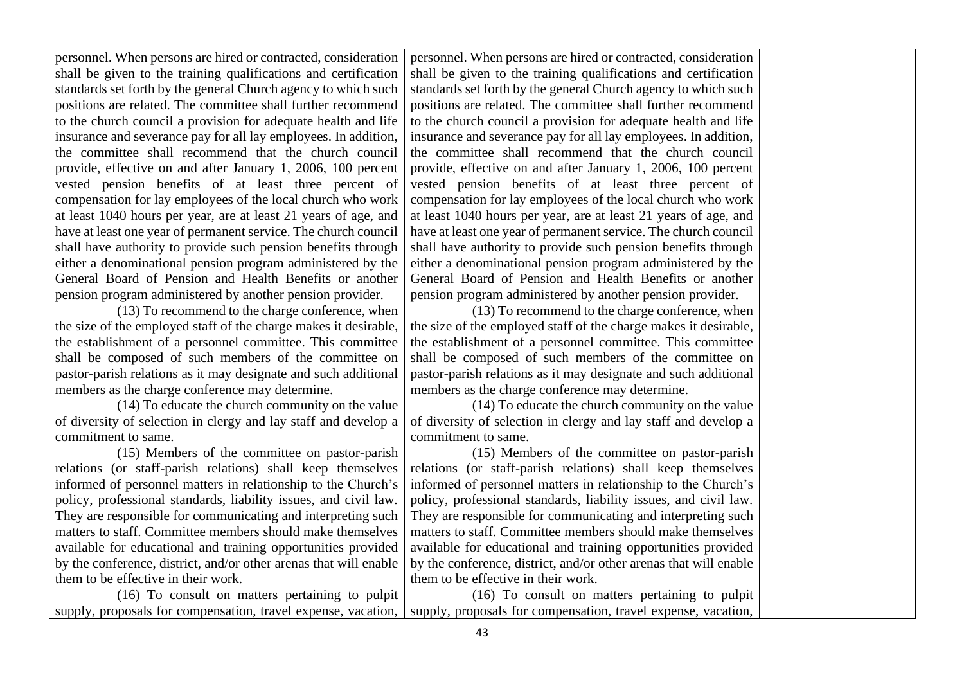personnel. When persons are hired or contracted, consideration shall be given to the training qualifications and certification standards set forth by the general Church agency to which such positions are related. The committee shall further recommend to the church council a provision for adequate health and life insurance and severance pay for all lay employees. In addition, the committee shall recommend that the church council provide, effective on and after January 1, 2006, 100 percent vested pension benefits of at least three percent of compensation for lay employees of the local church who work at least 1040 hours per year, are at least 21 years of age, and have at least one year of permanent service. The church council shall have authority to provide such pension benefits through either a denominational pension program administered by the General Board of Pension and Health Benefits or another pension program administered by another pension provider.

(13) To recommend to the charge conference, when the size of the employed staff of the charge makes it desirable, the establishment of a personnel committee. This committee shall be composed of such members of the committee on pastor-parish relations as it may designate and such additional members as the charge conference may determine.

(14) To educate the church community on the value of diversity of selection in clergy and lay staff and develop a commitment to same.

(15) Members of the committee on pastor-parish relations (or staff-parish relations) shall keep themselves informed of personnel matters in relationship to the Church's policy, professional standards, liability issues, and civil law. They are responsible for communicating and interpreting such matters to staff. Committee members should make themselves available for educational and training opportunities provided by the conference, district, and/or other arenas that will enable them to be effective in their work.

(16) To consult on matters pertaining to pulpit supply, proposals for compensation, travel expense, vacation,

personnel. When persons are hired or contracted, consideration shall be given to the training qualifications and certification standards set forth by the general Church agency to which such positions are related. The committee shall further recommend to the church council a provision for adequate health and life insurance and severance pay for all lay employees. In addition, the committee shall recommend that the church council provide, effective on and after January 1, 2006, 100 percent vested pension benefits of at least three percent of compensation for lay employees of the local church who work at least 1040 hours per year, are at least 21 years of age, and have at least one year of permanent service. The church council shall have authority to provide such pension benefits through either a denominational pension program administered by the General Board of Pension and Health Benefits or another pension program administered by another pension provider.

(13) To recommend to the charge conference, when the size of the employed staff of the charge makes it desirable, the establishment of a personnel committee. This committee shall be composed of such members of the committee on pastor-parish relations as it may designate and such additional members as the charge conference may determine.

(14) To educate the church community on the value of diversity of selection in clergy and lay staff and develop a commitment to same.

(15) Members of the committee on pastor-parish relations (or staff-parish relations) shall keep themselves informed of personnel matters in relationship to the Church's policy, professional standards, liability issues, and civil law. They are responsible for communicating and interpreting such matters to staff. Committee members should make themselves available for educational and training opportunities provided by the conference, district, and/or other arenas that will enable them to be effective in their work.

(16) To consult on matters pertaining to pulpit supply, proposals for compensation, travel expense, vacation,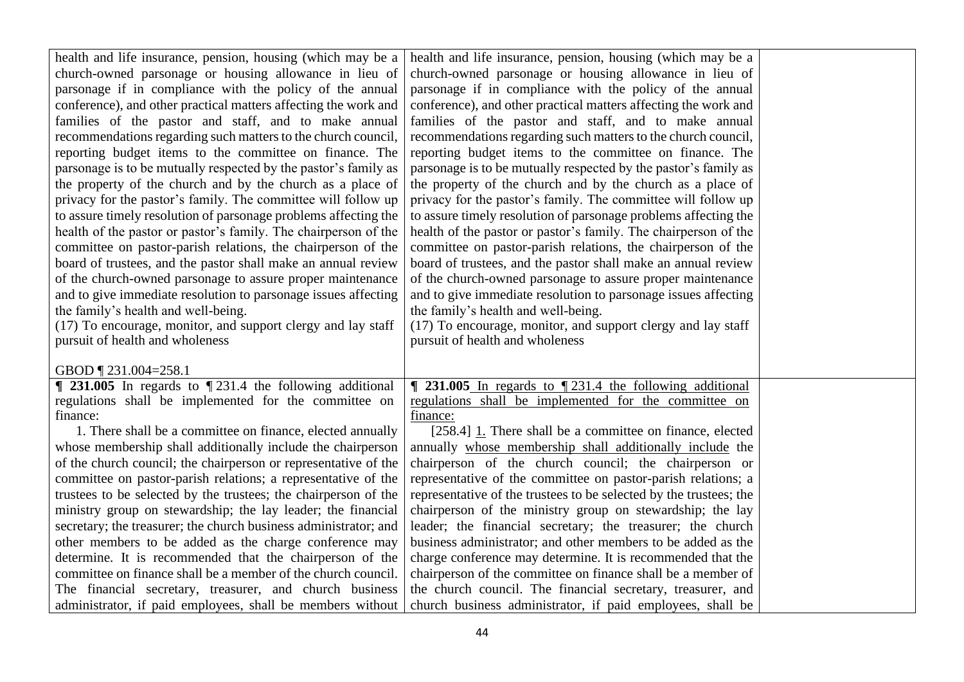| health and life insurance, pension, housing (which may be a      | health and life insurance, pension, housing (which may be a              |  |
|------------------------------------------------------------------|--------------------------------------------------------------------------|--|
| church-owned parsonage or housing allowance in lieu of           | church-owned parsonage or housing allowance in lieu of                   |  |
| parsonage if in compliance with the policy of the annual         | parsonage if in compliance with the policy of the annual                 |  |
| conference), and other practical matters affecting the work and  | conference), and other practical matters affecting the work and          |  |
| families of the pastor and staff, and to make annual             | families of the pastor and staff, and to make annual                     |  |
| recommendations regarding such matters to the church council,    | recommendations regarding such matters to the church council,            |  |
| reporting budget items to the committee on finance. The          | reporting budget items to the committee on finance. The                  |  |
| parsonage is to be mutually respected by the pastor's family as  | parsonage is to be mutually respected by the pastor's family as          |  |
| the property of the church and by the church as a place of       | the property of the church and by the church as a place of               |  |
| privacy for the pastor's family. The committee will follow up    | privacy for the pastor's family. The committee will follow up            |  |
| to assure timely resolution of parsonage problems affecting the  | to assure timely resolution of parsonage problems affecting the          |  |
| health of the pastor or pastor's family. The chairperson of the  | health of the pastor or pastor's family. The chairperson of the          |  |
| committee on pastor-parish relations, the chairperson of the     | committee on pastor-parish relations, the chairperson of the             |  |
| board of trustees, and the pastor shall make an annual review    | board of trustees, and the pastor shall make an annual review            |  |
| of the church-owned parsonage to assure proper maintenance       | of the church-owned parsonage to assure proper maintenance               |  |
| and to give immediate resolution to parsonage issues affecting   | and to give immediate resolution to parsonage issues affecting           |  |
| the family's health and well-being.                              | the family's health and well-being.                                      |  |
| (17) To encourage, monitor, and support clergy and lay staff     | (17) To encourage, monitor, and support clergy and lay staff             |  |
| pursuit of health and wholeness                                  | pursuit of health and wholeness                                          |  |
|                                                                  |                                                                          |  |
| GBOD 1231.004=258.1                                              |                                                                          |  |
| 231.005 In regards to $\P$ 231.4 the following additional        | 231.005 In regards to $\P$ 231.4 the following additional                |  |
| regulations shall be implemented for the committee on            | regulations shall be implemented for the committee on                    |  |
| finance:                                                         | finance:                                                                 |  |
| 1. There shall be a committee on finance, elected annually       | [258.4] $\underline{1}$ . There shall be a committee on finance, elected |  |
| whose membership shall additionally include the chairperson      | annually whose membership shall additionally include the                 |  |
| of the church council; the chairperson or representative of the  | chairperson of the church council; the chairperson or                    |  |
| committee on pastor-parish relations; a representative of the    | representative of the committee on pastor-parish relations; a            |  |
| trustees to be selected by the trustees; the chairperson of the  | representative of the trustees to be selected by the trustees; the       |  |
| ministry group on stewardship; the lay leader; the financial     | chairperson of the ministry group on stewardship; the lay                |  |
| secretary; the treasurer; the church business administrator; and | leader; the financial secretary; the treasurer; the church               |  |
| other members to be added as the charge conference may           | business administrator; and other members to be added as the             |  |
| determine. It is recommended that the chairperson of the         | charge conference may determine. It is recommended that the              |  |
| committee on finance shall be a member of the church council.    | chairperson of the committee on finance shall be a member of             |  |
| The financial secretary, treasurer, and church business          | the church council. The financial secretary, treasurer, and              |  |
| administrator, if paid employees, shall be members without       | church business administrator, if paid employees, shall be               |  |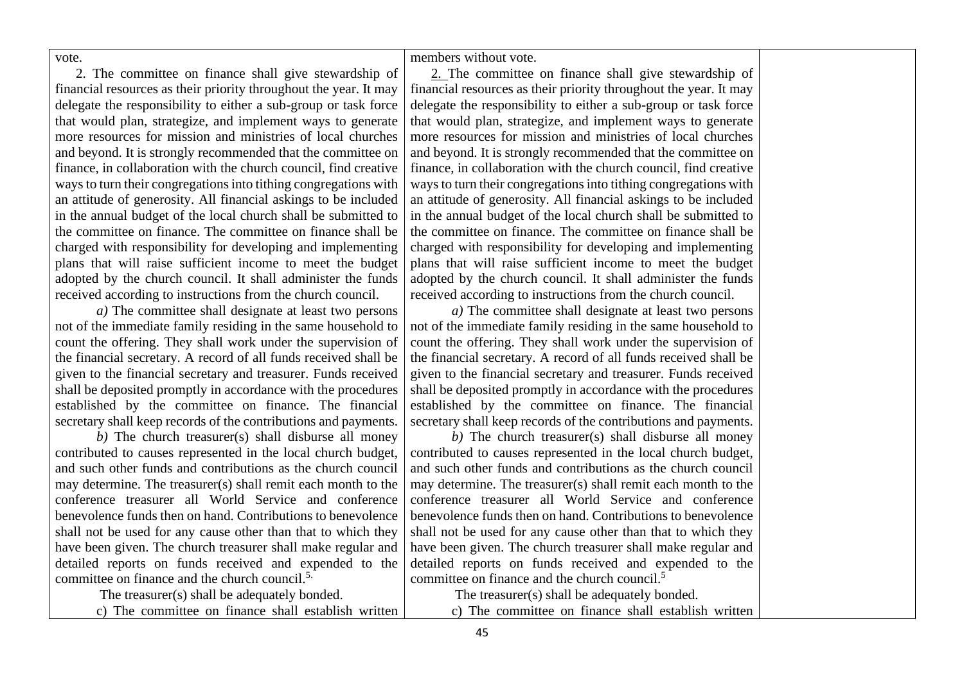vote.

2. The committee on finance shall give stewardship of financial resources as their priority throughout the year. It may delegate the responsibility to either a sub-group or task force that would plan, strategize, and implement ways to generate more resources for mission and ministries of local churches and beyond. It is strongly recommended that the committee on finance, in collaboration with the church council, find creative ways to turn their congregations into tithing congregations with an attitude of generosity. All financial askings to be included in the annual budget of the local church shall be submitted to the committee on finance. The committee on finance shall be charged with responsibility for developing and implementing plans that will raise sufficient income to meet the budget adopted by the church council. It shall administer the funds received according to instructions from the church council.

*a)* The committee shall designate at least two persons not of the immediate family residing in the same household to count the offering. They shall work under the supervision of the financial secretary. A record of all funds received shall be given to the financial secretary and treasurer. Funds received shall be deposited promptly in accordance with the procedures established by the committee on finance. The financial secretary shall keep records of the contributions and payments.

*b)* The church treasurer(s) shall disburse all money contributed to causes represented in the local church budget, and such other funds and contributions as the church council may determine. The treasurer(s) shall remit each month to the conference treasurer all World Service and conference benevolence funds then on hand. Contributions to benevolence shall not be used for any cause other than that to which they have been given. The church treasurer shall make regular and detailed reports on funds received and expended to the committee on finance and the church council.5.

The treasurer(s) shall be adequately bonded.

c) The committee on finance shall establish written

members without vote.

2. The committee on finance shall give stewardship of financial resources as their priority throughout the year. It may delegate the responsibility to either a sub-group or task force that would plan, strategize, and implement ways to generate more resources for mission and ministries of local churches and beyond. It is strongly recommended that the committee on finance, in collaboration with the church council, find creative ways to turn their congregations into tithing congregations with an attitude of generosity. All financial askings to be included in the annual budget of the local church shall be submitted to the committee on finance. The committee on finance shall be charged with responsibility for developing and implementing plans that will raise sufficient income to meet the budget adopted by the church council. It shall administer the funds received according to instructions from the church council.

*a)* The committee shall designate at least two persons not of the immediate family residing in the same household to count the offering. They shall work under the supervision of the financial secretary. A record of all funds received shall be given to the financial secretary and treasurer. Funds received shall be deposited promptly in accordance with the procedures established by the committee on finance. The financial secretary shall keep records of the contributions and payments.

*b)* The church treasurer(s) shall disburse all money contributed to causes represented in the local church budget, and such other funds and contributions as the church council may determine. The treasurer(s) shall remit each month to the conference treasurer all World Service and conference benevolence funds then on hand. Contributions to benevolence shall not be used for any cause other than that to which they have been given. The church treasurer shall make regular and detailed reports on funds received and expended to the committee on finance and the church council.<sup>5</sup>

The treasurer(s) shall be adequately bonded.

c) The committee on finance shall establish written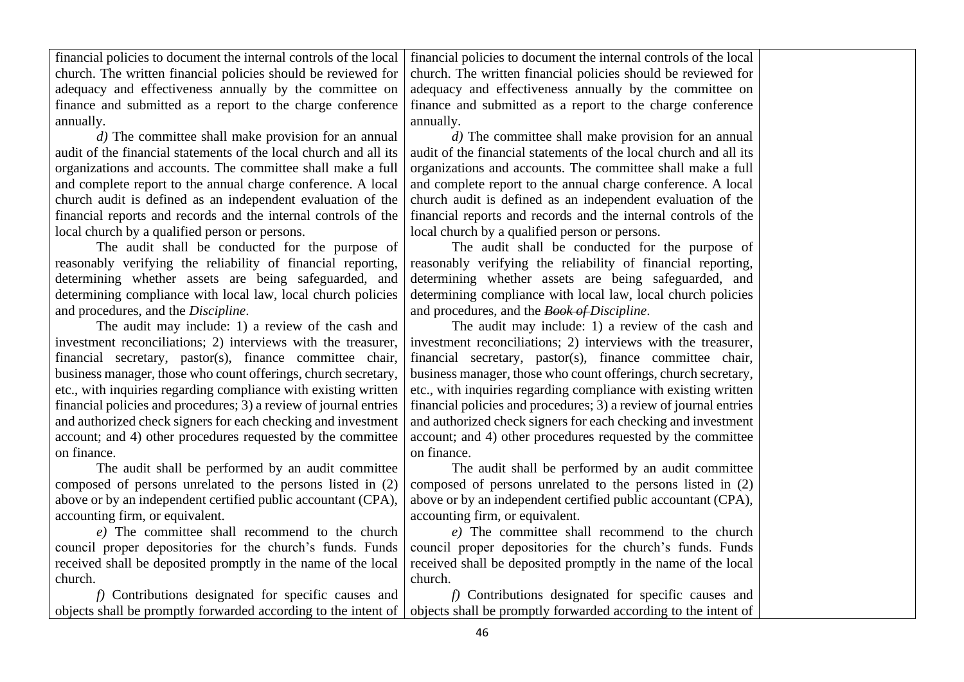financial policies to document the internal controls of the local church. The written financial policies should be reviewed for adequacy and effectiveness annually by the committee on finance and submitted as a report to the charge conference annually.

*d)* The committee shall make provision for an annual audit of the financial statements of the local church and all its organizations and accounts. The committee shall make a full and complete report to the annual charge conference. A local church audit is defined as an independent evaluation of the financial reports and records and the internal controls of the local church by a qualified person or persons.

The audit shall be conducted for the purpose of reasonably verifying the reliability of financial reporting, determining whether assets are being safeguarded, and determining compliance with local law, local church policies and procedures, and the *Discipline*.

The audit may include: 1) a review of the cash and investment reconciliations; 2) interviews with the treasurer, financial secretary, pastor(s), finance committee chair, business manager, those who count offerings, church secretary, etc., with inquiries regarding compliance with existing written financial policies and procedures; 3) a review of journal entries and authorized check signers for each checking and investment account; and 4) other procedures requested by the committee on finance.

The audit shall be performed by an audit committee composed of persons unrelated to the persons listed in (2) above or by an independent certified public accountant (CPA), accounting firm, or equivalent.

*e)* The committee shall recommend to the church council proper depositories for the church's funds. Funds received shall be deposited promptly in the name of the local church.

*f)* Contributions designated for specific causes and objects shall be promptly forwarded according to the intent of

financial policies to document the internal controls of the local church. The written financial policies should be reviewed for adequacy and effectiveness annually by the committee on finance and submitted as a report to the charge conference annually.

*d)* The committee shall make provision for an annual audit of the financial statements of the local church and all its organizations and accounts. The committee shall make a full and complete report to the annual charge conference. A local church audit is defined as an independent evaluation of the financial reports and records and the internal controls of the local church by a qualified person or persons.

The audit shall be conducted for the purpose of reasonably verifying the reliability of financial reporting, determining whether assets are being safeguarded, and determining compliance with local law, local church policies and procedures, and the *Book of Discipline*.

The audit may include: 1) a review of the cash and investment reconciliations; 2) interviews with the treasurer, financial secretary, pastor(s), finance committee chair, business manager, those who count offerings, church secretary, etc., with inquiries regarding compliance with existing written financial policies and procedures; 3) a review of journal entries and authorized check signers for each checking and investment account; and 4) other procedures requested by the committee on finance.

The audit shall be performed by an audit committee composed of persons unrelated to the persons listed in (2) above or by an independent certified public accountant (CPA), accounting firm, or equivalent.

*e)* The committee shall recommend to the church council proper depositories for the church's funds. Funds received shall be deposited promptly in the name of the local church.

*f)* Contributions designated for specific causes and objects shall be promptly forwarded according to the intent of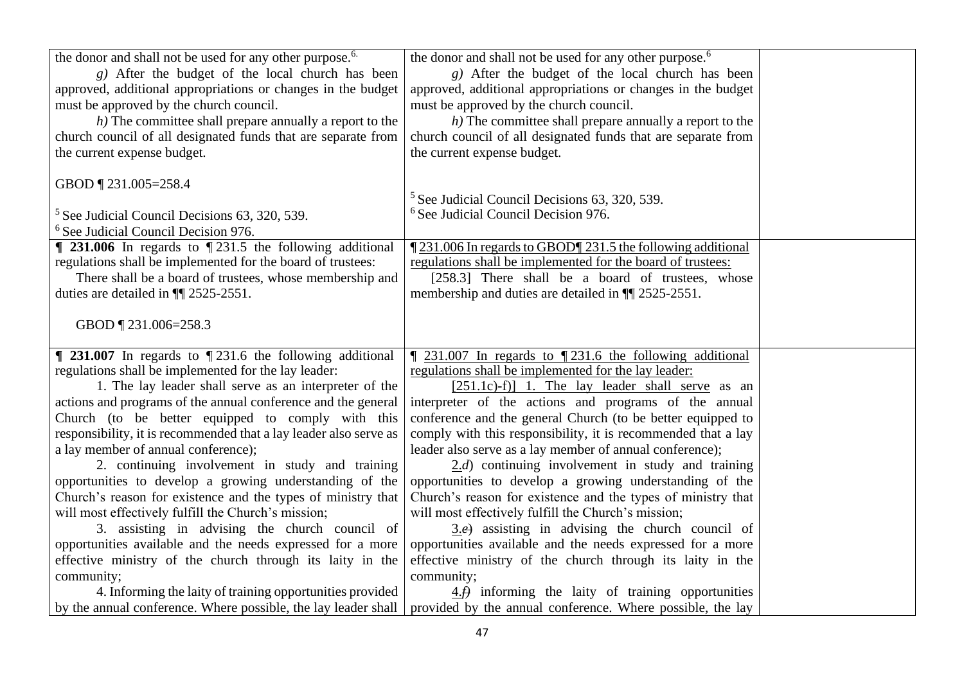| the donor and shall not be used for any other purpose. <sup>6.</sup><br>g) After the budget of the local church has been<br>approved, additional appropriations or changes in the budget<br>must be approved by the church council.<br>$h$ ) The committee shall prepare annually a report to the<br>church council of all designated funds that are separate from<br>the current expense budget.                                                                                                                                                                                                                                                                                                                                                                                                                                                                | the donor and shall not be used for any other purpose. <sup>6</sup><br>g) After the budget of the local church has been<br>approved, additional appropriations or changes in the budget<br>must be approved by the church council.<br>$h$ ) The committee shall prepare annually a report to the<br>church council of all designated funds that are separate from<br>the current expense budget.                                                                                                                                                                                                                                                                                                                                                                                                                                                                                                  |  |
|------------------------------------------------------------------------------------------------------------------------------------------------------------------------------------------------------------------------------------------------------------------------------------------------------------------------------------------------------------------------------------------------------------------------------------------------------------------------------------------------------------------------------------------------------------------------------------------------------------------------------------------------------------------------------------------------------------------------------------------------------------------------------------------------------------------------------------------------------------------|---------------------------------------------------------------------------------------------------------------------------------------------------------------------------------------------------------------------------------------------------------------------------------------------------------------------------------------------------------------------------------------------------------------------------------------------------------------------------------------------------------------------------------------------------------------------------------------------------------------------------------------------------------------------------------------------------------------------------------------------------------------------------------------------------------------------------------------------------------------------------------------------------|--|
| GBOD 1231.005=258.4<br>$5$ See Judicial Council Decisions 63, 320, 539.<br><sup>6</sup> See Judicial Council Decision 976.                                                                                                                                                                                                                                                                                                                                                                                                                                                                                                                                                                                                                                                                                                                                       | <sup>5</sup> See Judicial Council Decisions 63, 320, 539.<br><sup>6</sup> See Judicial Council Decision 976.                                                                                                                                                                                                                                                                                                                                                                                                                                                                                                                                                                                                                                                                                                                                                                                      |  |
| $\parallel$ 231.006 In regards to $\parallel$ 231.5 the following additional<br>regulations shall be implemented for the board of trustees:<br>There shall be a board of trustees, whose membership and<br>duties are detailed in $\P$ [ $\sqrt{2525-2551}$ .                                                                                                                                                                                                                                                                                                                                                                                                                                                                                                                                                                                                    | 1231.006 In regards to GBOD1 231.5 the following additional<br>regulations shall be implemented for the board of trustees:<br>[258.3] There shall be a board of trustees, whose<br>membership and duties are detailed in $\P$ [2525-2551.                                                                                                                                                                                                                                                                                                                                                                                                                                                                                                                                                                                                                                                         |  |
| GBOD 1231.006=258.3                                                                                                                                                                                                                                                                                                                                                                                                                                                                                                                                                                                                                                                                                                                                                                                                                                              |                                                                                                                                                                                                                                                                                                                                                                                                                                                                                                                                                                                                                                                                                                                                                                                                                                                                                                   |  |
| $\parallel$ 231.007 In regards to $\parallel$ 231.6 the following additional<br>regulations shall be implemented for the lay leader:<br>1. The lay leader shall serve as an interpreter of the<br>actions and programs of the annual conference and the general<br>Church (to be better equipped to comply with this<br>responsibility, it is recommended that a lay leader also serve as<br>a lay member of annual conference);<br>2. continuing involvement in study and training<br>opportunities to develop a growing understanding of the<br>Church's reason for existence and the types of ministry that<br>will most effectively fulfill the Church's mission;<br>3. assisting in advising the church council of<br>opportunities available and the needs expressed for a more<br>effective ministry of the church through its laity in the<br>community; | $\parallel$ 231.007 In regards to $\parallel$ 231.6 the following additional<br>regulations shall be implemented for the lay leader:<br>$[251.1c)-f]$ 1. The lay leader shall serve as an<br>interpreter of the actions and programs of the annual<br>conference and the general Church (to be better equipped to<br>comply with this responsibility, it is recommended that a lay<br>leader also serve as a lay member of annual conference);<br>$(2,d)$ continuing involvement in study and training<br>opportunities to develop a growing understanding of the<br>Church's reason for existence and the types of ministry that<br>will most effectively fulfill the Church's mission;<br>$\overline{3.e}$ assisting in advising the church council of<br>opportunities available and the needs expressed for a more<br>effective ministry of the church through its laity in the<br>community; |  |
| 4. Informing the laity of training opportunities provided<br>by the annual conference. Where possible, the lay leader shall                                                                                                                                                                                                                                                                                                                                                                                                                                                                                                                                                                                                                                                                                                                                      | $\underline{4.f}$ informing the laity of training opportunities<br>provided by the annual conference. Where possible, the lay                                                                                                                                                                                                                                                                                                                                                                                                                                                                                                                                                                                                                                                                                                                                                                     |  |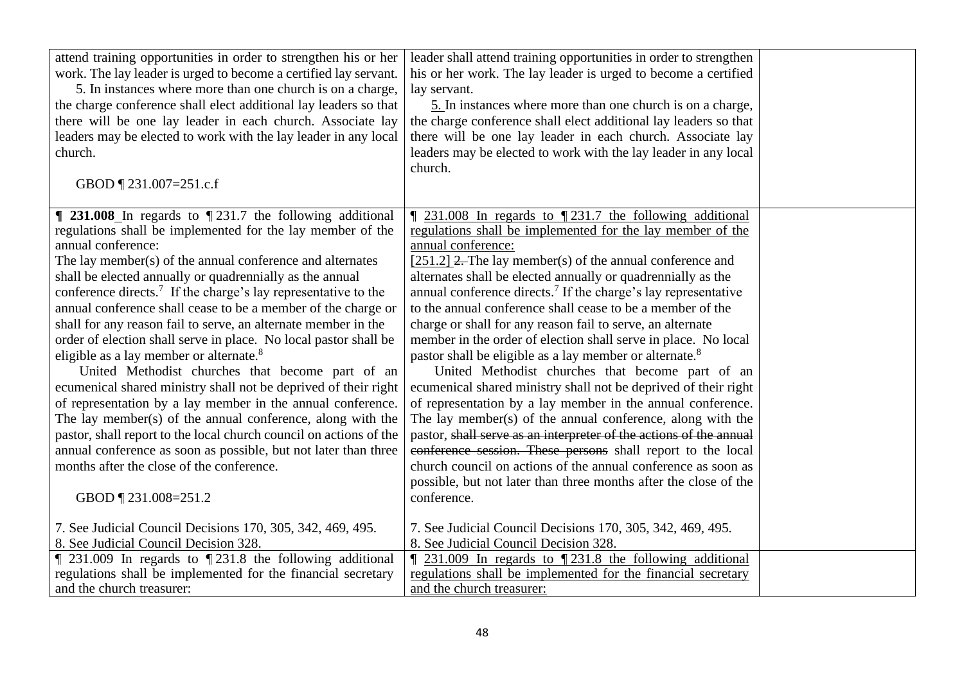| attend training opportunities in order to strengthen his or her<br>work. The lay leader is urged to become a certified lay servant.<br>5. In instances where more than one church is on a charge,<br>the charge conference shall elect additional lay leaders so that<br>there will be one lay leader in each church. Associate lay<br>leaders may be elected to work with the lay leader in any local<br>church.<br>GBOD 1231.007=251.c.f                                                                                                                                                                                                                                                                                                                                                                                                                                                                                                                                                                                                                                         | leader shall attend training opportunities in order to strengthen<br>his or her work. The lay leader is urged to become a certified<br>lay servant.<br>5. In instances where more than one church is on a charge,<br>the charge conference shall elect additional lay leaders so that<br>there will be one lay leader in each church. Associate lay<br>leaders may be elected to work with the lay leader in any local<br>church.                                                                                                                                                                                                                                                                                                                                                                                                                                                                                                                                                                                                                                                                                                                                            |  |
|------------------------------------------------------------------------------------------------------------------------------------------------------------------------------------------------------------------------------------------------------------------------------------------------------------------------------------------------------------------------------------------------------------------------------------------------------------------------------------------------------------------------------------------------------------------------------------------------------------------------------------------------------------------------------------------------------------------------------------------------------------------------------------------------------------------------------------------------------------------------------------------------------------------------------------------------------------------------------------------------------------------------------------------------------------------------------------|------------------------------------------------------------------------------------------------------------------------------------------------------------------------------------------------------------------------------------------------------------------------------------------------------------------------------------------------------------------------------------------------------------------------------------------------------------------------------------------------------------------------------------------------------------------------------------------------------------------------------------------------------------------------------------------------------------------------------------------------------------------------------------------------------------------------------------------------------------------------------------------------------------------------------------------------------------------------------------------------------------------------------------------------------------------------------------------------------------------------------------------------------------------------------|--|
|                                                                                                                                                                                                                                                                                                                                                                                                                                                                                                                                                                                                                                                                                                                                                                                                                                                                                                                                                                                                                                                                                    |                                                                                                                                                                                                                                                                                                                                                                                                                                                                                                                                                                                                                                                                                                                                                                                                                                                                                                                                                                                                                                                                                                                                                                              |  |
| 1 231.008 In regards to 1 231.7 the following additional<br>regulations shall be implemented for the lay member of the<br>annual conference:<br>The lay member(s) of the annual conference and alternates<br>shall be elected annually or quadrennially as the annual<br>conference directs. <sup>7</sup> If the charge's lay representative to the<br>annual conference shall cease to be a member of the charge or<br>shall for any reason fail to serve, an alternate member in the<br>order of election shall serve in place. No local pastor shall be<br>eligible as a lay member or alternate. <sup>8</sup><br>United Methodist churches that become part of an<br>ecumenical shared ministry shall not be deprived of their right<br>of representation by a lay member in the annual conference.<br>The lay member(s) of the annual conference, along with the<br>pastor, shall report to the local church council on actions of the<br>annual conference as soon as possible, but not later than three<br>months after the close of the conference.<br>GBOD 1231.008=251.2 | 231.008 In regards to $\P$ 231.7 the following additional<br>regulations shall be implemented for the lay member of the<br>annual conference:<br>$[251.2]$ 2. The lay member(s) of the annual conference and<br>alternates shall be elected annually or quadrennially as the<br>annual conference directs. <sup>7</sup> If the charge's lay representative<br>to the annual conference shall cease to be a member of the<br>charge or shall for any reason fail to serve, an alternate<br>member in the order of election shall serve in place. No local<br>pastor shall be eligible as a lay member or alternate. <sup>8</sup><br>United Methodist churches that become part of an<br>ecumenical shared ministry shall not be deprived of their right<br>of representation by a lay member in the annual conference.<br>The lay member(s) of the annual conference, along with the<br>pastor, shall serve as an interpreter of the actions of the annual<br>conference session. These persons shall report to the local<br>church council on actions of the annual conference as soon as<br>possible, but not later than three months after the close of the<br>conference. |  |
| 7. See Judicial Council Decisions 170, 305, 342, 469, 495.<br>8. See Judicial Council Decision 328.                                                                                                                                                                                                                                                                                                                                                                                                                                                                                                                                                                                                                                                                                                                                                                                                                                                                                                                                                                                | 7. See Judicial Council Decisions 170, 305, 342, 469, 495.<br>8. See Judicial Council Decision 328.                                                                                                                                                                                                                                                                                                                                                                                                                                                                                                                                                                                                                                                                                                                                                                                                                                                                                                                                                                                                                                                                          |  |
| $\parallel$ 231.009 In regards to $\parallel$ 231.8 the following additional                                                                                                                                                                                                                                                                                                                                                                                                                                                                                                                                                                                                                                                                                                                                                                                                                                                                                                                                                                                                       | 231.009 In regards to $\P$ 231.8 the following additional                                                                                                                                                                                                                                                                                                                                                                                                                                                                                                                                                                                                                                                                                                                                                                                                                                                                                                                                                                                                                                                                                                                    |  |
| regulations shall be implemented for the financial secretary<br>and the church treasurer:                                                                                                                                                                                                                                                                                                                                                                                                                                                                                                                                                                                                                                                                                                                                                                                                                                                                                                                                                                                          | regulations shall be implemented for the financial secretary<br>and the church treasurer:                                                                                                                                                                                                                                                                                                                                                                                                                                                                                                                                                                                                                                                                                                                                                                                                                                                                                                                                                                                                                                                                                    |  |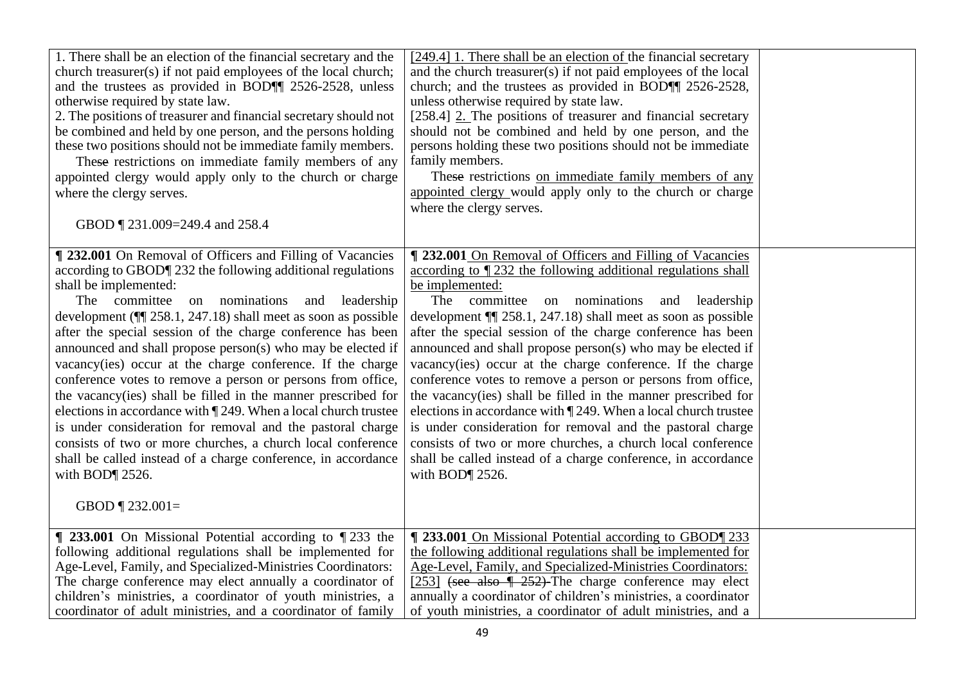| 1. There shall be an election of the financial secretary and the<br>church treasurer(s) if not paid employees of the local church;<br>and the trustees as provided in BOD¶¶ 2526-2528, unless<br>otherwise required by state law.<br>2. The positions of treasurer and financial secretary should not<br>be combined and held by one person, and the persons holding<br>these two positions should not be immediate family members.<br>These restrictions on immediate family members of any<br>appointed clergy would apply only to the church or charge<br>where the clergy serves.<br>GBOD   231.009=249.4 and 258.4                                                                                                                                                                                                                                                                                                        | [249.4] 1. There shall be an election of the financial secretary<br>and the church treasurer(s) if not paid employees of the local<br>church; and the trustees as provided in BOD¶ 2526-2528,<br>unless otherwise required by state law.<br>[258.4] 2. The positions of treasurer and financial secretary<br>should not be combined and held by one person, and the<br>persons holding these two positions should not be immediate<br>family members.<br>These restrictions on immediate family members of any<br>appointed clergy would apply only to the church or charge<br>where the clergy serves.                                                                                                                                                                                                                                                                                                 |  |
|--------------------------------------------------------------------------------------------------------------------------------------------------------------------------------------------------------------------------------------------------------------------------------------------------------------------------------------------------------------------------------------------------------------------------------------------------------------------------------------------------------------------------------------------------------------------------------------------------------------------------------------------------------------------------------------------------------------------------------------------------------------------------------------------------------------------------------------------------------------------------------------------------------------------------------|---------------------------------------------------------------------------------------------------------------------------------------------------------------------------------------------------------------------------------------------------------------------------------------------------------------------------------------------------------------------------------------------------------------------------------------------------------------------------------------------------------------------------------------------------------------------------------------------------------------------------------------------------------------------------------------------------------------------------------------------------------------------------------------------------------------------------------------------------------------------------------------------------------|--|
| <b>1 232.001</b> On Removal of Officers and Filling of Vacancies<br>according to GBOD¶ 232 the following additional regulations<br>shall be implemented:<br>The committee<br>on nominations<br>and leadership<br>development $(\P\P 258.1, 247.18)$ shall meet as soon as possible<br>after the special session of the charge conference has been<br>announced and shall propose person(s) who may be elected if<br>vacancy(ies) occur at the charge conference. If the charge<br>conference votes to remove a person or persons from office,<br>the vacancy(ies) shall be filled in the manner prescribed for<br>elections in accordance with $\P$ 249. When a local church trustee<br>is under consideration for removal and the pastoral charge<br>consists of two or more churches, a church local conference<br>shall be called instead of a charge conference, in accordance<br>with BOD¶ $2526$ .<br>GBOD $\P$ 232.001= | <b>1232.001 On Removal of Officers and Filling of Vacancies</b><br>according to $\P$ 232 the following additional regulations shall<br>be implemented:<br>The committee<br>on nominations<br>and<br>leadership<br>development $\P$ [258.1, 247.18) shall meet as soon as possible<br>after the special session of the charge conference has been<br>announced and shall propose person(s) who may be elected if<br>vacancy(ies) occur at the charge conference. If the charge<br>conference votes to remove a person or persons from office,<br>the vacancy(ies) shall be filled in the manner prescribed for<br>elections in accordance with $\P$ 249. When a local church trustee<br>is under consideration for removal and the pastoral charge<br>consists of two or more churches, a church local conference<br>shall be called instead of a charge conference, in accordance<br>with BOD¶ $2526$ . |  |
| 233.001 On Missional Potential according to $\P$ 233 the<br>following additional regulations shall be implemented for<br>Age-Level, Family, and Specialized-Ministries Coordinators:<br>The charge conference may elect annually a coordinator of<br>children's ministries, a coordinator of youth ministries, a<br>coordinator of adult ministries, and a coordinator of family                                                                                                                                                                                                                                                                                                                                                                                                                                                                                                                                               | <b>1 233.001 On Missional Potential according to GBOD1 233</b><br>the following additional regulations shall be implemented for<br>Age-Level, Family, and Specialized-Ministries Coordinators:<br>[253] (see also $\sqrt{252}$ )-The charge conference may elect<br>annually a coordinator of children's ministries, a coordinator<br>of youth ministries, a coordinator of adult ministries, and a                                                                                                                                                                                                                                                                                                                                                                                                                                                                                                     |  |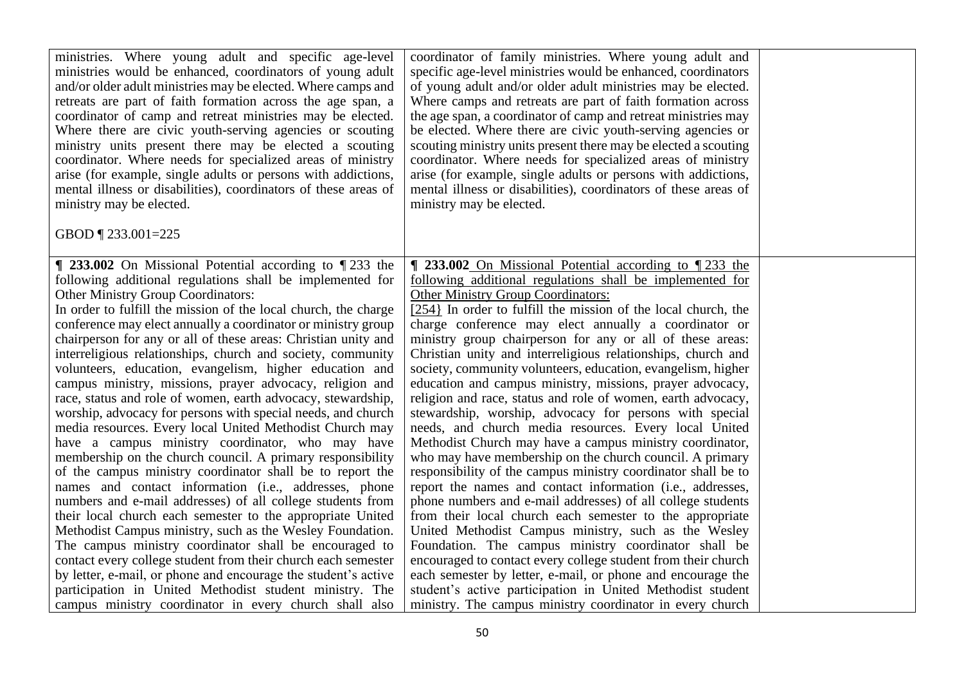| ministries. Where young adult and specific age-level<br>ministries would be enhanced, coordinators of young adult<br>and/or older adult ministries may be elected. Where camps and<br>retreats are part of faith formation across the age span, a<br>coordinator of camp and retreat ministries may be elected.<br>Where there are civic youth-serving agencies or scouting<br>ministry units present there may be elected a scouting<br>coordinator. Where needs for specialized areas of ministry<br>arise (for example, single adults or persons with addictions,<br>mental illness or disabilities), coordinators of these areas of<br>ministry may be elected.                                                                                                                                                                                                                                                                                                                                                                                                                                                                                                                                                                                                                                                                                                                     | coordinator of family ministries. Where young adult and<br>specific age-level ministries would be enhanced, coordinators<br>of young adult and/or older adult ministries may be elected.<br>Where camps and retreats are part of faith formation across<br>the age span, a coordinator of camp and retreat ministries may<br>be elected. Where there are civic youth-serving agencies or<br>scouting ministry units present there may be elected a scouting<br>coordinator. Where needs for specialized areas of ministry<br>arise (for example, single adults or persons with addictions,<br>mental illness or disabilities), coordinators of these areas of<br>ministry may be elected.                                                                                                                                                                                                                                                                                                                                                                                                                                                                                                                                                                                                                                                                                           |  |
|-----------------------------------------------------------------------------------------------------------------------------------------------------------------------------------------------------------------------------------------------------------------------------------------------------------------------------------------------------------------------------------------------------------------------------------------------------------------------------------------------------------------------------------------------------------------------------------------------------------------------------------------------------------------------------------------------------------------------------------------------------------------------------------------------------------------------------------------------------------------------------------------------------------------------------------------------------------------------------------------------------------------------------------------------------------------------------------------------------------------------------------------------------------------------------------------------------------------------------------------------------------------------------------------------------------------------------------------------------------------------------------------|-------------------------------------------------------------------------------------------------------------------------------------------------------------------------------------------------------------------------------------------------------------------------------------------------------------------------------------------------------------------------------------------------------------------------------------------------------------------------------------------------------------------------------------------------------------------------------------------------------------------------------------------------------------------------------------------------------------------------------------------------------------------------------------------------------------------------------------------------------------------------------------------------------------------------------------------------------------------------------------------------------------------------------------------------------------------------------------------------------------------------------------------------------------------------------------------------------------------------------------------------------------------------------------------------------------------------------------------------------------------------------------|--|
| GBOD 1233.001=225                                                                                                                                                                                                                                                                                                                                                                                                                                                                                                                                                                                                                                                                                                                                                                                                                                                                                                                                                                                                                                                                                                                                                                                                                                                                                                                                                                       |                                                                                                                                                                                                                                                                                                                                                                                                                                                                                                                                                                                                                                                                                                                                                                                                                                                                                                                                                                                                                                                                                                                                                                                                                                                                                                                                                                                     |  |
| <b>1 233.002</b> On Missional Potential according to 1 233 the<br>following additional regulations shall be implemented for<br>Other Ministry Group Coordinators:<br>In order to fulfill the mission of the local church, the charge<br>conference may elect annually a coordinator or ministry group<br>chairperson for any or all of these areas: Christian unity and<br>interreligious relationships, church and society, community<br>volunteers, education, evangelism, higher education and<br>campus ministry, missions, prayer advocacy, religion and<br>race, status and role of women, earth advocacy, stewardship,<br>worship, advocacy for persons with special needs, and church<br>media resources. Every local United Methodist Church may<br>have a campus ministry coordinator, who may have<br>membership on the church council. A primary responsibility<br>of the campus ministry coordinator shall be to report the<br>names and contact information (i.e., addresses, phone<br>numbers and e-mail addresses) of all college students from<br>their local church each semester to the appropriate United<br>Methodist Campus ministry, such as the Wesley Foundation.<br>The campus ministry coordinator shall be encouraged to<br>contact every college student from their church each semester<br>by letter, e-mail, or phone and encourage the student's active | <b>1 233.002</b> On Missional Potential according to 1 233 the<br>following additional regulations shall be implemented for<br><b>Other Ministry Group Coordinators:</b><br>[254] In order to fulfill the mission of the local church, the<br>charge conference may elect annually a coordinator or<br>ministry group chairperson for any or all of these areas:<br>Christian unity and interreligious relationships, church and<br>society, community volunteers, education, evangelism, higher<br>education and campus ministry, missions, prayer advocacy,<br>religion and race, status and role of women, earth advocacy,<br>stewardship, worship, advocacy for persons with special<br>needs, and church media resources. Every local United<br>Methodist Church may have a campus ministry coordinator,<br>who may have membership on the church council. A primary<br>responsibility of the campus ministry coordinator shall be to<br>report the names and contact information (i.e., addresses,<br>phone numbers and e-mail addresses) of all college students<br>from their local church each semester to the appropriate<br>United Methodist Campus ministry, such as the Wesley<br>Foundation. The campus ministry coordinator shall be<br>encouraged to contact every college student from their church<br>each semester by letter, e-mail, or phone and encourage the |  |
| participation in United Methodist student ministry. The<br>campus ministry coordinator in every church shall also                                                                                                                                                                                                                                                                                                                                                                                                                                                                                                                                                                                                                                                                                                                                                                                                                                                                                                                                                                                                                                                                                                                                                                                                                                                                       | student's active participation in United Methodist student<br>ministry. The campus ministry coordinator in every church                                                                                                                                                                                                                                                                                                                                                                                                                                                                                                                                                                                                                                                                                                                                                                                                                                                                                                                                                                                                                                                                                                                                                                                                                                                             |  |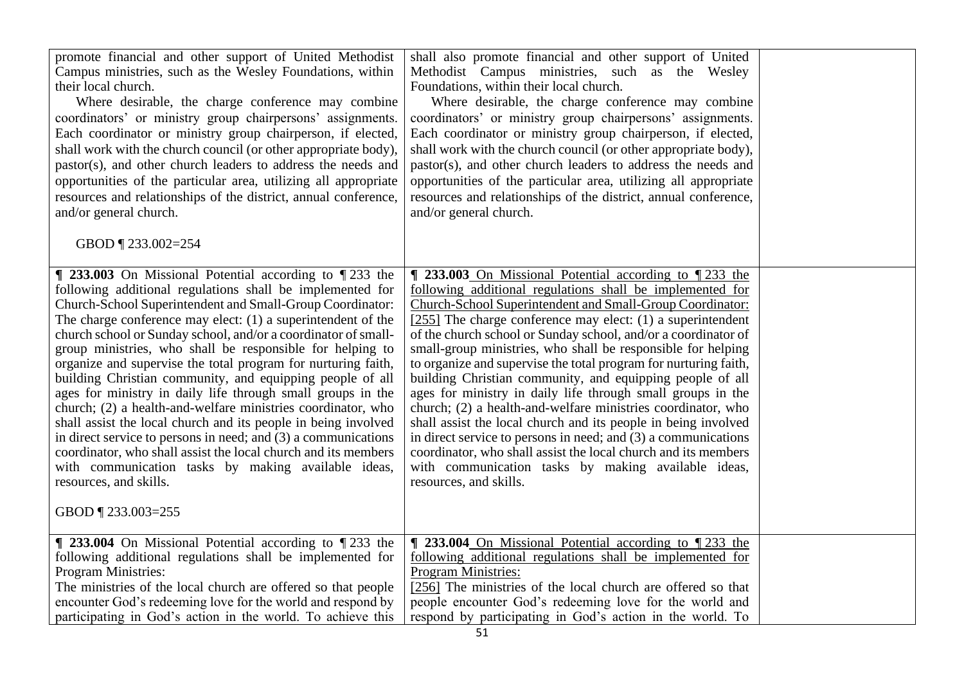| promote financial and other support of United Methodist<br>Campus ministries, such as the Wesley Foundations, within<br>their local church.<br>Where desirable, the charge conference may combine<br>coordinators' or ministry group chairpersons' assignments.<br>Each coordinator or ministry group chairperson, if elected,<br>shall work with the church council (or other appropriate body),<br>pastor(s), and other church leaders to address the needs and<br>opportunities of the particular area, utilizing all appropriate<br>resources and relationships of the district, annual conference,<br>and/or general church.<br>GBOD 1233.002=254                                                                                                                                                                                                                                                                                         | shall also promote financial and other support of United<br>Methodist Campus ministries, such as the Wesley<br>Foundations, within their local church.<br>Where desirable, the charge conference may combine<br>coordinators' or ministry group chairpersons' assignments.<br>Each coordinator or ministry group chairperson, if elected,<br>shall work with the church council (or other appropriate body),<br>pastor(s), and other church leaders to address the needs and<br>opportunities of the particular area, utilizing all appropriate<br>resources and relationships of the district, annual conference,<br>and/or general church.                                                                                                                                                                                                                                                                                                 |  |
|------------------------------------------------------------------------------------------------------------------------------------------------------------------------------------------------------------------------------------------------------------------------------------------------------------------------------------------------------------------------------------------------------------------------------------------------------------------------------------------------------------------------------------------------------------------------------------------------------------------------------------------------------------------------------------------------------------------------------------------------------------------------------------------------------------------------------------------------------------------------------------------------------------------------------------------------|----------------------------------------------------------------------------------------------------------------------------------------------------------------------------------------------------------------------------------------------------------------------------------------------------------------------------------------------------------------------------------------------------------------------------------------------------------------------------------------------------------------------------------------------------------------------------------------------------------------------------------------------------------------------------------------------------------------------------------------------------------------------------------------------------------------------------------------------------------------------------------------------------------------------------------------------|--|
| <b>1 233.003</b> On Missional Potential according to 1233 the<br>following additional regulations shall be implemented for<br>Church-School Superintendent and Small-Group Coordinator:<br>The charge conference may elect: $(1)$ a superintendent of the<br>church school or Sunday school, and/or a coordinator of small-<br>group ministries, who shall be responsible for helping to<br>organize and supervise the total program for nurturing faith,<br>building Christian community, and equipping people of all<br>ages for ministry in daily life through small groups in the<br>church; (2) a health-and-welfare ministries coordinator, who<br>shall assist the local church and its people in being involved<br>in direct service to persons in need; and $(3)$ a communications<br>coordinator, who shall assist the local church and its members<br>with communication tasks by making available ideas,<br>resources, and skills. | 1 233.003 On Missional Potential according to 1233 the<br>following additional regulations shall be implemented for<br>Church-School Superintendent and Small-Group Coordinator:<br>[255] The charge conference may elect: $(1)$ a superintendent<br>of the church school or Sunday school, and/or a coordinator of<br>small-group ministries, who shall be responsible for helping<br>to organize and supervise the total program for nurturing faith,<br>building Christian community, and equipping people of all<br>ages for ministry in daily life through small groups in the<br>church; (2) a health-and-welfare ministries coordinator, who<br>shall assist the local church and its people in being involved<br>in direct service to persons in need; and $(3)$ a communications<br>coordinator, who shall assist the local church and its members<br>with communication tasks by making available ideas,<br>resources, and skills. |  |
| GBOD ¶ 233.003=255                                                                                                                                                                                                                                                                                                                                                                                                                                                                                                                                                                                                                                                                                                                                                                                                                                                                                                                             |                                                                                                                                                                                                                                                                                                                                                                                                                                                                                                                                                                                                                                                                                                                                                                                                                                                                                                                                              |  |
| <b>1 233.004</b> On Missional Potential according to 1 233 the<br>following additional regulations shall be implemented for<br><b>Program Ministries:</b><br>The ministries of the local church are offered so that people<br>encounter God's redeeming love for the world and respond by<br>participating in God's action in the world. To achieve this                                                                                                                                                                                                                                                                                                                                                                                                                                                                                                                                                                                       | <b>1 233.004</b> On Missional Potential according to 1233 the<br>following additional regulations shall be implemented for<br><b>Program Ministries:</b><br>[256] The ministries of the local church are offered so that<br>people encounter God's redeeming love for the world and<br>respond by participating in God's action in the world. To                                                                                                                                                                                                                                                                                                                                                                                                                                                                                                                                                                                             |  |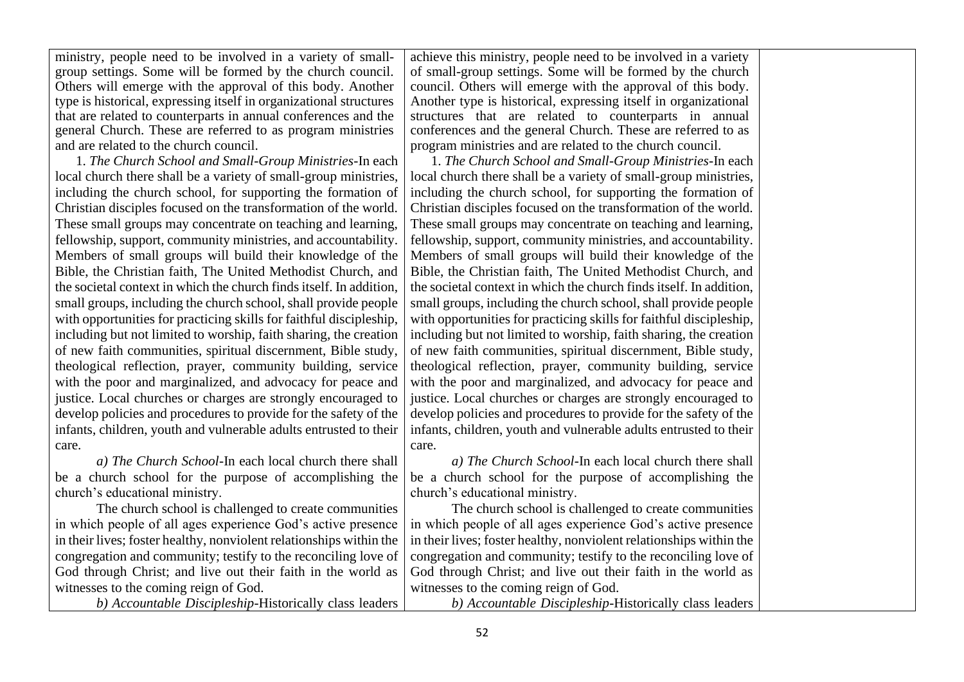ministry, people need to be involved in a variety of smallgroup settings. Some will be formed by the church council. Others will emerge with the approval of this body. Another type is historical, expressing itself in organizational structures that are related to counterparts in annual conferences and the general Church. These are referred to as program ministries and are related to the church council.

1. *The Church School and Small-Group Ministries*-In each local church there shall be a variety of small-group ministries, including the church school, for supporting the formation of Christian disciples focused on the transformation of the world. These small groups may concentrate on teaching and learning, fellowship, support, community ministries, and accountability. Members of small groups will build their knowledge of the Bible, the Christian faith, The United Methodist Church, and the societal context in which the church finds itself. In addition, small groups, including the church school, shall provide people with opportunities for practicing skills for faithful discipleship, including but not limited to worship, faith sharing, the creation of new faith communities, spiritual discernment, Bible study, theological reflection, prayer, community building, service with the poor and marginalized, and advocacy for peace and justice. Local churches or charges are strongly encouraged to develop policies and procedures to provide for the safety of the infants, children, youth and vulnerable adults entrusted to their care.

*a) The Church School*-In each local church there shall be a church school for the purpose of accomplishing the church's educational ministry.

The church school is challenged to create communities in which people of all ages experience God's active presence in their lives; foster healthy, nonviolent relationships within the congregation and community; testify to the reconciling love of God through Christ; and live out their faith in the world as witnesses to the coming reign of God.

*b) Accountable Discipleship*-Historically class leaders

achieve this ministry, people need to be involved in a variety of small-group settings. Some will be formed by the church council. Others will emerge with the approval of this body. Another type is historical, expressing itself in organizational structures that are related to counterparts in annual conferences and the general Church. These are referred to as program ministries and are related to the church council.

1. *The Church School and Small-Group Ministries*-In each local church there shall be a variety of small-group ministries, including the church school, for supporting the formation of Christian disciples focused on the transformation of the world. These small groups may concentrate on teaching and learning, fellowship, support, community ministries, and accountability. Members of small groups will build their knowledge of the Bible, the Christian faith, The United Methodist Church, and the societal context in which the church finds itself. In addition, small groups, including the church school, shall provide people with opportunities for practicing skills for faithful discipleship, including but not limited to worship, faith sharing, the creation of new faith communities, spiritual discernment, Bible study, theological reflection, prayer, community building, service with the poor and marginalized, and advocacy for peace and justice. Local churches or charges are strongly encouraged to develop policies and procedures to provide for the safety of the infants, children, youth and vulnerable adults entrusted to their care.

*a) The Church School*-In each local church there shall be a church school for the purpose of accomplishing the church's educational ministry.

The church school is challenged to create communities in which people of all ages experience God's active presence in their lives; foster healthy, nonviolent relationships within the congregation and community; testify to the reconciling love of God through Christ; and live out their faith in the world as witnesses to the coming reign of God.

*b) Accountable Discipleship*-Historically class leaders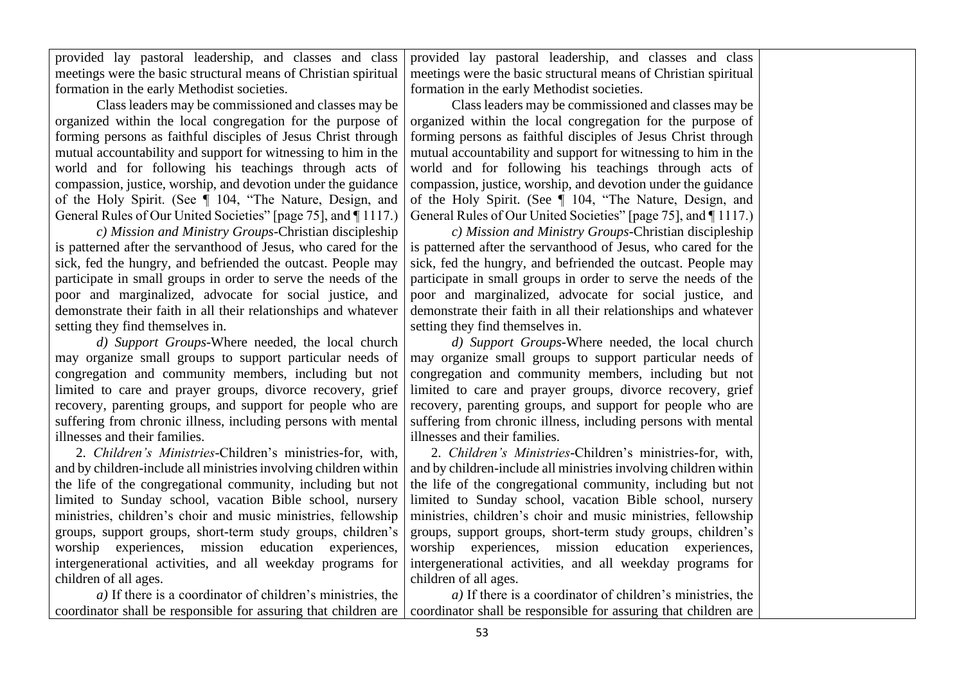provided lay pastoral leadership, and classes and class meetings were the basic structural means of Christian spiritual formation in the early Methodist societies.

Class leaders may be commissioned and classes may be organized within the local congregation for the purpose of forming persons as faithful disciples of Jesus Christ through mutual accountability and support for witnessing to him in the world and for following his teachings through acts of compassion, justice, worship, and devotion under the guidance of the Holy Spirit. (See ¶ 104, "The Nature, Design, and General Rules of Our United Societies" [page 75], and ¶ 1117.)

*c) Mission and Ministry Groups*-Christian discipleship is patterned after the servanthood of Jesus, who cared for the sick, fed the hungry, and befriended the outcast. People may participate in small groups in order to serve the needs of the poor and marginalized, advocate for social justice, and demonstrate their faith in all their relationships and whatever setting they find themselves in.

*d) Support Groups*-Where needed, the local church may organize small groups to support particular needs of congregation and community members, including but not limited to care and prayer groups, divorce recovery, grief recovery, parenting groups, and support for people who are suffering from chronic illness, including persons with mental illnesses and their families.

2. *Children's Ministries*-Children's ministries-for, with, and by children-include all ministries involving children within the life of the congregational community, including but not limited to Sunday school, vacation Bible school, nursery ministries, children's choir and music ministries, fellowship groups, support groups, short-term study groups, children's worship experiences, mission education experiences, intergenerational activities, and all weekday programs for children of all ages.

*a)* If there is a coordinator of children's ministries, the coordinator shall be responsible for assuring that children are provided lay pastoral leadership, and classes and class meetings were the basic structural means of Christian spiritual formation in the early Methodist societies.

Class leaders may be commissioned and classes may be organized within the local congregation for the purpose of forming persons as faithful disciples of Jesus Christ through mutual accountability and support for witnessing to him in the world and for following his teachings through acts of compassion, justice, worship, and devotion under the guidance of the Holy Spirit. (See ¶ 104, "The Nature, Design, and General Rules of Our United Societies" [page 75], and ¶ 1117.)

*c) Mission and Ministry Groups*-Christian discipleship is patterned after the servanthood of Jesus, who cared for the sick, fed the hungry, and befriended the outcast. People may participate in small groups in order to serve the needs of the poor and marginalized, advocate for social justice, and demonstrate their faith in all their relationships and whatever setting they find themselves in.

*d) Support Groups*-Where needed, the local church may organize small groups to support particular needs of congregation and community members, including but not limited to care and prayer groups, divorce recovery, grief recovery, parenting groups, and support for people who are suffering from chronic illness, including persons with mental illnesses and their families.

2. *Children's Ministries*-Children's ministries-for, with, and by children-include all ministries involving children within the life of the congregational community, including but not limited to Sunday school, vacation Bible school, nursery ministries, children's choir and music ministries, fellowship groups, support groups, short-term study groups, children's worship experiences, mission education experiences, intergenerational activities, and all weekday programs for children of all ages.

*a)* If there is a coordinator of children's ministries, the coordinator shall be responsible for assuring that children are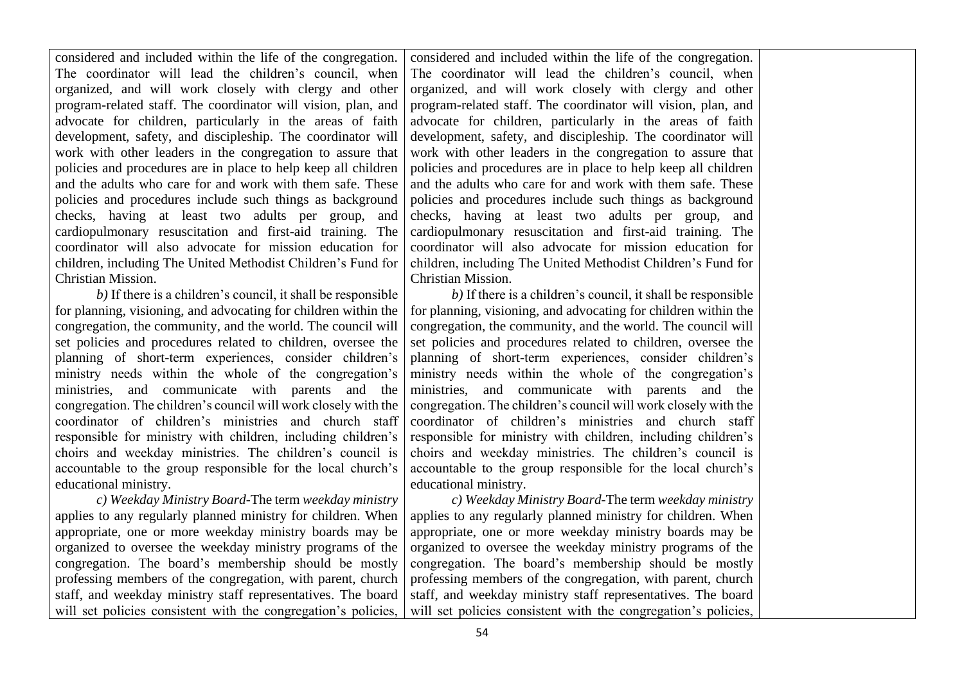considered and included within the life of the congregation. The coordinator will lead the children's council, when organized, and will work closely with clergy and other program-related staff. The coordinator will vision, plan, and advocate for children, particularly in the areas of faith development, safety, and discipleship. The coordinator will work with other leaders in the congregation to assure that policies and procedures are in place to help keep all children and the adults who care for and work with them safe. These policies and procedures include such things as background checks, having at least two adults per group, and cardiopulmonary resuscitation and first-aid training. The coordinator will also advocate for mission education for children, including The United Methodist Children's Fund for Christian Mission.

*b)* If there is a children's council, it shall be responsible for planning, visioning, and advocating for children within the congregation, the community, and the world. The council will set policies and procedures related to children, oversee the planning of short-term experiences, consider children's ministry needs within the whole of the congregation's ministries, and communicate with parents and the congregation. The children's council will work closely with the coordinator of children's ministries and church staff responsible for ministry with children, including children's choirs and weekday ministries. The children's council is accountable to the group responsible for the local church's educational ministry.

*c) Weekday Ministry Board*-The term *weekday ministry*  applies to any regularly planned ministry for children. When appropriate, one or more weekday ministry boards may be organized to oversee the weekday ministry programs of the congregation. The board's membership should be mostly professing members of the congregation, with parent, church staff, and weekday ministry staff representatives. The board will set policies consistent with the congregation's policies.

considered and included within the life of the congregation. The coordinator will lead the children's council, when organized, and will work closely with clergy and other program-related staff. The coordinator will vision, plan, and advocate for children, particularly in the areas of faith development, safety, and discipleship. The coordinator will work with other leaders in the congregation to assure that policies and procedures are in place to help keep all children and the adults who care for and work with them safe. These policies and procedures include such things as background checks, having at least two adults per group, and cardiopulmonary resuscitation and first-aid training. The coordinator will also advocate for mission education for children, including The United Methodist Children's Fund for Christian Mission.

*b)* If there is a children's council, it shall be responsible for planning, visioning, and advocating for children within the congregation, the community, and the world. The council will set policies and procedures related to children, oversee the planning of short-term experiences, consider children's ministry needs within the whole of the congregation's ministries, and communicate with parents and the congregation. The children's council will work closely with the coordinator of children's ministries and church staff responsible for ministry with children, including children's choirs and weekday ministries. The children's council is accountable to the group responsible for the local church's educational ministry.

*c) Weekday Ministry Board*-The term *weekday ministry*  applies to any regularly planned ministry for children. When appropriate, one or more weekday ministry boards may be organized to oversee the weekday ministry programs of the congregation. The board's membership should be mostly professing members of the congregation, with parent, church staff, and weekday ministry staff representatives. The board will set policies consistent with the congregation's policies.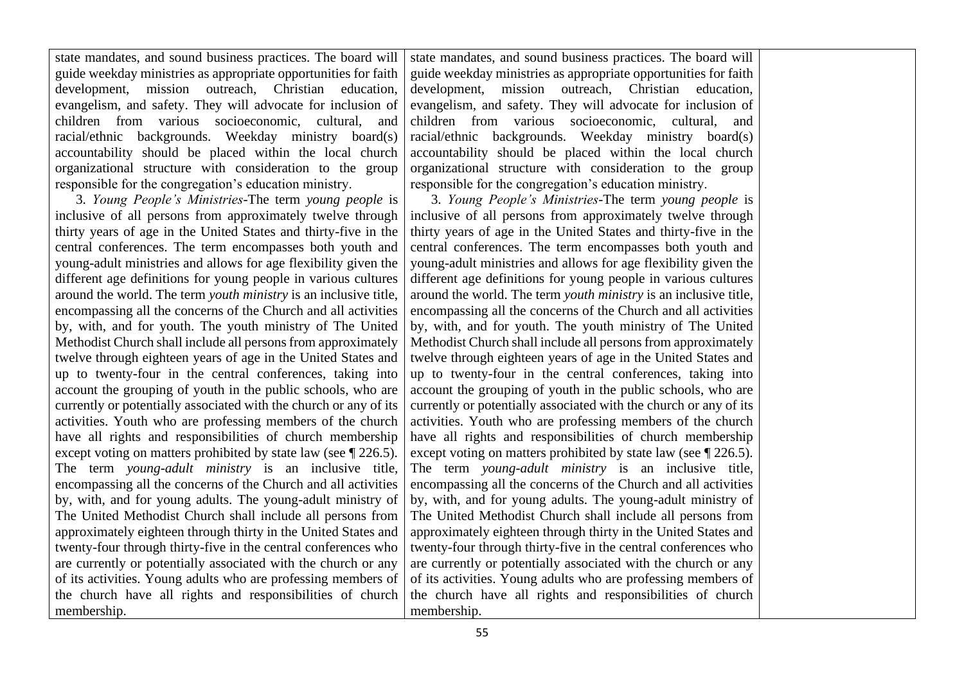state mandates, and sound business practices. The board will guide weekday ministries as appropriate opportunities for faith development, mission outreach, Christian education, evangelism, and safety. They will advocate for inclusion of children from various socioeconomic, cultural, and racial/ethnic backgrounds. Weekday ministry board(s) accountability should be placed within the local church organizational structure with consideration to the group responsible for the congregation's education ministry.

3. *Young People's Ministries*-The term *young people* is inclusive of all persons from approximately twelve through thirty years of age in the United States and thirty-five in the central conferences. The term encompasses both youth and young-adult ministries and allows for age flexibility given the different age definitions for young people in various cultures around the world. The term *youth ministry* is an inclusive title, encompassing all the concerns of the Church and all activities by, with, and for youth. The youth ministry of The United Methodist Church shall include all persons from approximately twelve through eighteen years of age in the United States and up to twenty-four in the central conferences, taking into account the grouping of youth in the public schools, who are currently or potentially associated with the church or any of its activities. Youth who are professing members of the church have all rights and responsibilities of church membership except voting on matters prohibited by state law (see  $\P$  226.5). The term *young-adult ministry* is an inclusive title, encompassing all the concerns of the Church and all activities by, with, and for young adults. The young-adult ministry of The United Methodist Church shall include all persons from approximately eighteen through thirty in the United States and twenty-four through thirty-five in the central conferences who are currently or potentially associated with the church or any of its activities. Young adults who are professing members of the church have all rights and responsibilities of church membership.

state mandates, and sound business practices. The board will guide weekday ministries as appropriate opportunities for faith development, mission outreach, Christian education, evangelism, and safety. They will advocate for inclusion of children from various socioeconomic, cultural, and racial/ethnic backgrounds. Weekday ministry board(s) accountability should be placed within the local church organizational structure with consideration to the group responsible for the congregation's education ministry.

3. *Young People's Ministries*-The term *young people* is inclusive of all persons from approximately twelve through thirty years of age in the United States and thirty-five in the central conferences. The term encompasses both youth and young-adult ministries and allows for age flexibility given the different age definitions for young people in various cultures around the world. The term *youth ministry* is an inclusive title, encompassing all the concerns of the Church and all activities by, with, and for youth. The youth ministry of The United Methodist Church shall include all persons from approximately twelve through eighteen years of age in the United States and up to twenty-four in the central conferences, taking into account the grouping of youth in the public schools, who are currently or potentially associated with the church or any of its activities. Youth who are professing members of the church have all rights and responsibilities of church membership except voting on matters prohibited by state law (see ¶ 226.5). The term *young-adult ministry* is an inclusive title, encompassing all the concerns of the Church and all activities by, with, and for young adults. The young-adult ministry of The United Methodist Church shall include all persons from approximately eighteen through thirty in the United States and twenty-four through thirty-five in the central conferences who are currently or potentially associated with the church or any of its activities. Young adults who are professing members of the church have all rights and responsibilities of church membership.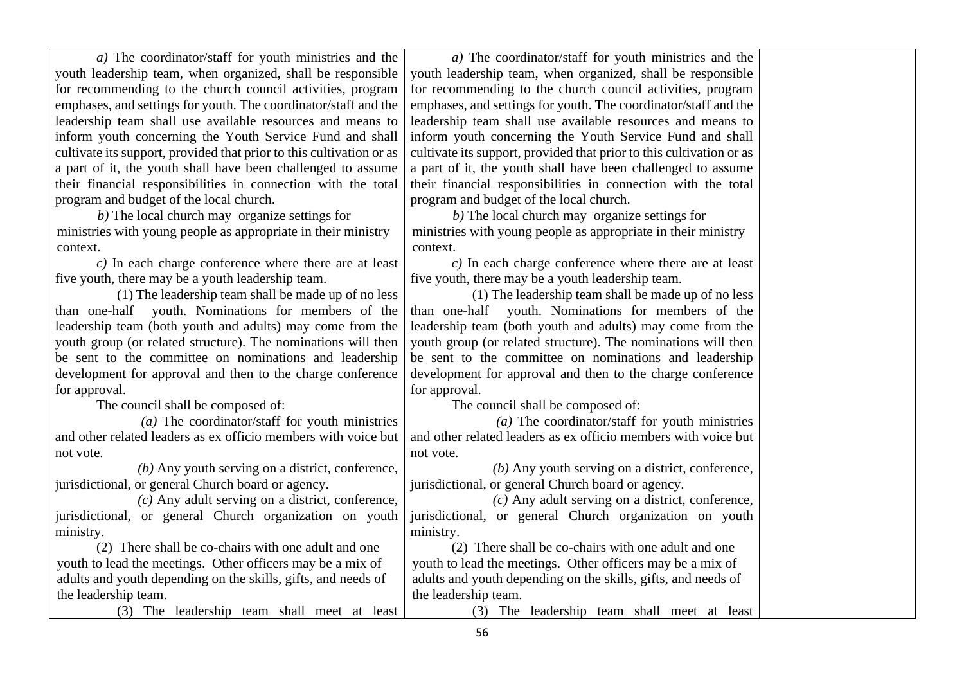*a)* The coordinator/staff for youth ministries and the youth leadership team, when organized, shall be responsible for recommending to the church council activities, program emphases, and settings for youth. The coordinator/staff and the leadership team shall use available resources and means to inform youth concerning the Youth Service Fund and shall cultivate its support, provided that prior to this cultivation or as a part of it, the youth shall have been challenged to assume their financial responsibilities in connection with the total program and budget of the local church.

*b)* The local church may organize settings for ministries with young people as appropriate in their ministry context.

*c)* In each charge conference where there are at least five youth, there may be a youth leadership team.

(1) The leadership team shall be made up of no less than one-half youth. Nominations for members of the leadership team (both youth and adults) may come from the youth group (or related structure). The nominations will then be sent to the committee on nominations and leadership development for approval and then to the charge conference for approval.

The council shall be composed of:

*(a)* The coordinator/staff for youth ministries and other related leaders as ex officio members with voice but not vote.

*(b)* Any youth serving on a district, conference, jurisdictional, or general Church board or agency.

*(c)* Any adult serving on a district, conference, jurisdictional, or general Church organization on youth ministry.

(2) There shall be co-chairs with one adult and one youth to lead the meetings. Other officers may be a mix of adults and youth depending on the skills, gifts, and needs of the leadership team.

(3) The leadership team shall meet at least

*a)* The coordinator/staff for youth ministries and the youth leadership team, when organized, shall be responsible for recommending to the church council activities, program emphases, and settings for youth. The coordinator/staff and the leadership team shall use available resources and means to inform youth concerning the Youth Service Fund and shall cultivate its support, provided that prior to this cultivation or as a part of it, the youth shall have been challenged to assume their financial responsibilities in connection with the total program and budget of the local church.

*b)* The local church may organize settings for ministries with young people as appropriate in their ministry context.

*c)* In each charge conference where there are at least five youth, there may be a youth leadership team.

(1) The leadership team shall be made up of no less than one-half youth. Nominations for members of the leadership team (both youth and adults) may come from the youth group (or related structure). The nominations will then be sent to the committee on nominations and leadership development for approval and then to the charge conference for approval.

The council shall be composed of:

*(a)* The coordinator/staff for youth ministries and other related leaders as ex officio members with voice but not vote.

*(b)* Any youth serving on a district, conference, jurisdictional, or general Church board or agency.

*(c)* Any adult serving on a district, conference, jurisdictional, or general Church organization on youth ministry.

(2) There shall be co-chairs with one adult and one youth to lead the meetings. Other officers may be a mix of adults and youth depending on the skills, gifts, and needs of the leadership team.

(3) The leadership team shall meet at least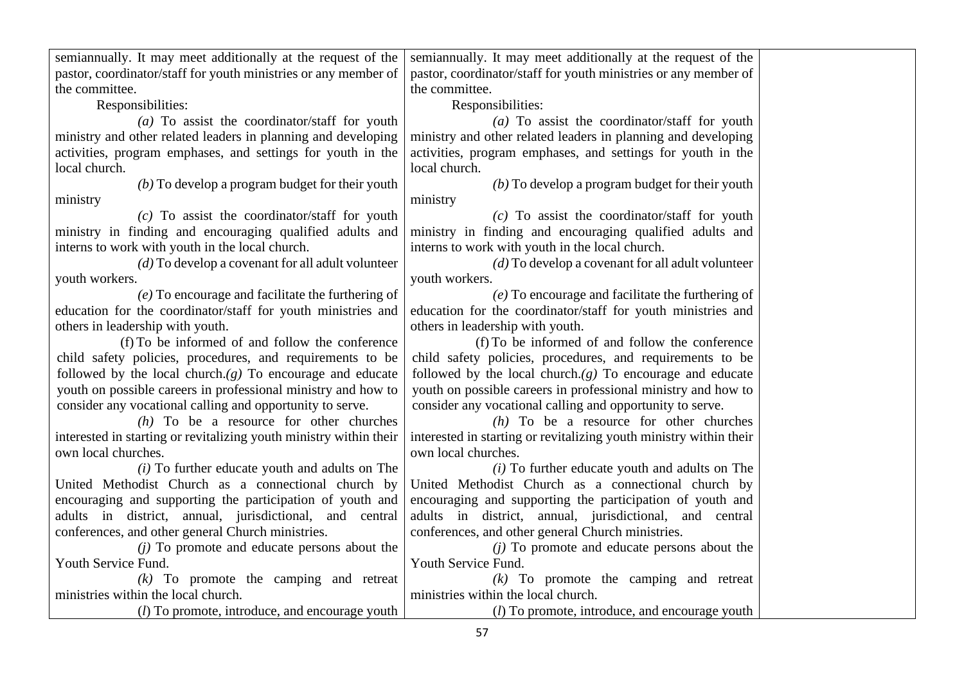| semiannually. It may meet additionally at the request of the       | semiannually. It may meet additionally at the request of the       |  |
|--------------------------------------------------------------------|--------------------------------------------------------------------|--|
| pastor, coordinator/staff for youth ministries or any member of    | pastor, coordinator/staff for youth ministries or any member of    |  |
| the committee.                                                     | the committee.                                                     |  |
| Responsibilities:                                                  | Responsibilities:                                                  |  |
| (a) To assist the coordinator/staff for youth                      | $(a)$ To assist the coordinator/staff for youth                    |  |
| ministry and other related leaders in planning and developing      | ministry and other related leaders in planning and developing      |  |
| activities, program emphases, and settings for youth in the        | activities, program emphases, and settings for youth in the        |  |
| local church.                                                      | local church.                                                      |  |
| $(b)$ To develop a program budget for their youth                  | $(b)$ To develop a program budget for their youth                  |  |
| ministry                                                           | ministry                                                           |  |
| $(c)$ To assist the coordinator/staff for youth                    | $(c)$ To assist the coordinator/staff for youth                    |  |
| ministry in finding and encouraging qualified adults and           | ministry in finding and encouraging qualified adults and           |  |
| interns to work with youth in the local church.                    | interns to work with youth in the local church.                    |  |
| $(d)$ To develop a covenant for all adult volunteer                | $(d)$ To develop a covenant for all adult volunteer                |  |
| youth workers.                                                     | youth workers.                                                     |  |
| $(e)$ To encourage and facilitate the furthering of                | $(e)$ To encourage and facilitate the furthering of                |  |
| education for the coordinator/staff for youth ministries and       | education for the coordinator/staff for youth ministries and       |  |
| others in leadership with youth.                                   | others in leadership with youth.                                   |  |
| (f) To be informed of and follow the conference                    | (f) To be informed of and follow the conference                    |  |
| child safety policies, procedures, and requirements to be          | child safety policies, procedures, and requirements to be          |  |
| followed by the local church. $(g)$ To encourage and educate       | followed by the local church. $(g)$ To encourage and educate       |  |
| youth on possible careers in professional ministry and how to      | youth on possible careers in professional ministry and how to      |  |
| consider any vocational calling and opportunity to serve.          | consider any vocational calling and opportunity to serve.          |  |
| $(h)$ To be a resource for other churches                          | $(h)$ To be a resource for other churches                          |  |
| interested in starting or revitalizing youth ministry within their | interested in starting or revitalizing youth ministry within their |  |
| own local churches.                                                | own local churches.                                                |  |
| $(i)$ To further educate youth and adults on The                   | $(i)$ To further educate youth and adults on The                   |  |
| United Methodist Church as a connectional church by                | United Methodist Church as a connectional church by                |  |
| encouraging and supporting the participation of youth and          | encouraging and supporting the participation of youth and          |  |
| adults in district, annual, jurisdictional, and central            | adults in district, annual, jurisdictional, and central            |  |
| conferences, and other general Church ministries.                  | conferences, and other general Church ministries.                  |  |
| $(j)$ To promote and educate persons about the                     | $(j)$ To promote and educate persons about the                     |  |
| Youth Service Fund.                                                | Youth Service Fund.                                                |  |
| $(k)$ To promote the camping and retreat                           | $(k)$ To promote the camping and retreat                           |  |
| ministries within the local church.                                | ministries within the local church.                                |  |
| ( <i>l</i> ) To promote, introduce, and encourage youth            | ( <i>l</i> ) To promote, introduce, and encourage youth            |  |
|                                                                    |                                                                    |  |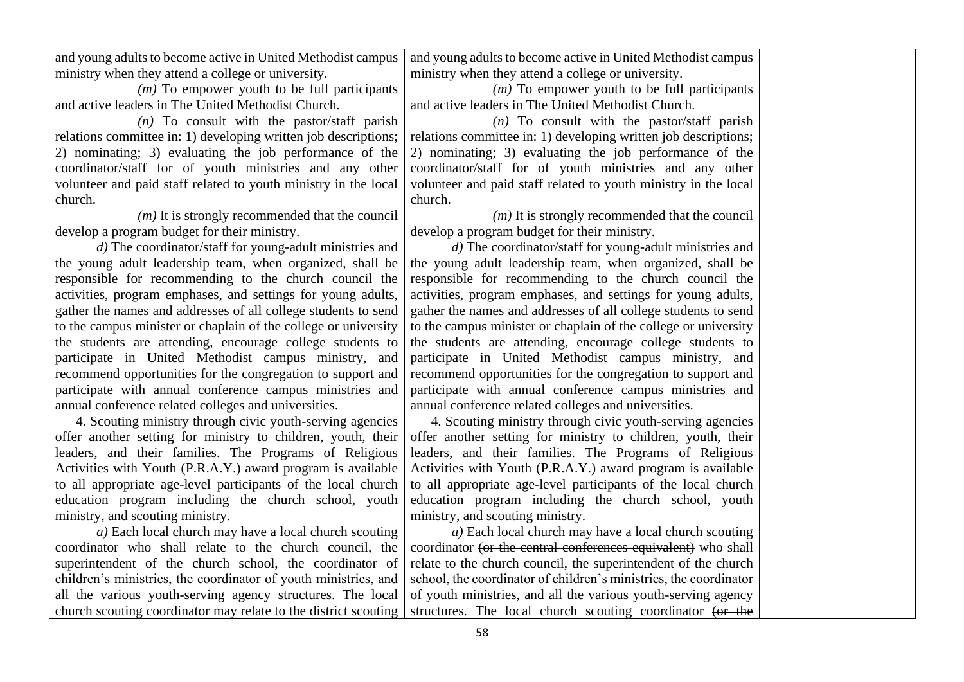and young adults to become active in United Methodist campus ministry when they attend a college or university. and young adults to become active in United Methodist campus ministry when they attend a college or university.

*(m)* To empower youth to be full participants and active leaders in The United Methodist Church.

*(n)* To consult with the pastor/staff parish relations committee in: 1) developing written job descriptions; 2) nominating; 3) evaluating the job performance of the coordinator/staff for of youth ministries and any other volunteer and paid staff related to youth ministry in the local church.

*(m)* It is strongly recommended that the council develop a program budget for their ministry.

*d)* The coordinator/staff for young-adult ministries and the young adult leadership team, when organized, shall be responsible for recommending to the church council the activities, program emphases, and settings for young adults, gather the names and addresses of all college students to send to the campus minister or chaplain of the college or university the students are attending, encourage college students to participate in United Methodist campus ministry, and recommend opportunities for the congregation to support and participate with annual conference campus ministries and annual conference related colleges and universities.

4. Scouting ministry through civic youth-serving agencies offer another setting for ministry to children, youth, their leaders, and their families. The Programs of Religious Activities with Youth (P.R.A.Y.) award program is available to all appropriate age-level participants of the local church education program including the church school, youth ministry, and scouting ministry.

*a)* Each local church may have a local church scouting coordinator who shall relate to the church council, the superintendent of the church school, the coordinator of children's ministries, the coordinator of youth ministries, and all the various youth-serving agency structures. The local church scouting coordinator may relate to the district scouting

*(m)* To empower youth to be full participants and active leaders in The United Methodist Church.

*(n)* To consult with the pastor/staff parish relations committee in: 1) developing written job descriptions; 2) nominating; 3) evaluating the job performance of the coordinator/staff for of youth ministries and any other volunteer and paid staff related to youth ministry in the local church.

*(m)* It is strongly recommended that the council develop a program budget for their ministry.

*d)* The coordinator/staff for young-adult ministries and the young adult leadership team, when organized, shall be responsible for recommending to the church council the activities, program emphases, and settings for young adults, gather the names and addresses of all college students to send to the campus minister or chaplain of the college or university the students are attending, encourage college students to participate in United Methodist campus ministry, and recommend opportunities for the congregation to support and participate with annual conference campus ministries and annual conference related colleges and universities.

4. Scouting ministry through civic youth-serving agencies offer another setting for ministry to children, youth, their leaders, and their families. The Programs of Religious Activities with Youth (P.R.A.Y.) award program is available to all appropriate age-level participants of the local church education program including the church school, youth ministry, and scouting ministry.

*a)* Each local church may have a local church scouting coordinator (or the central conferences equivalent) who shall relate to the church council, the superintendent of the church school, the coordinator of children's ministries, the coordinator of youth ministries, and all the various youth-serving agency structures. The local church scouting coordinator (or the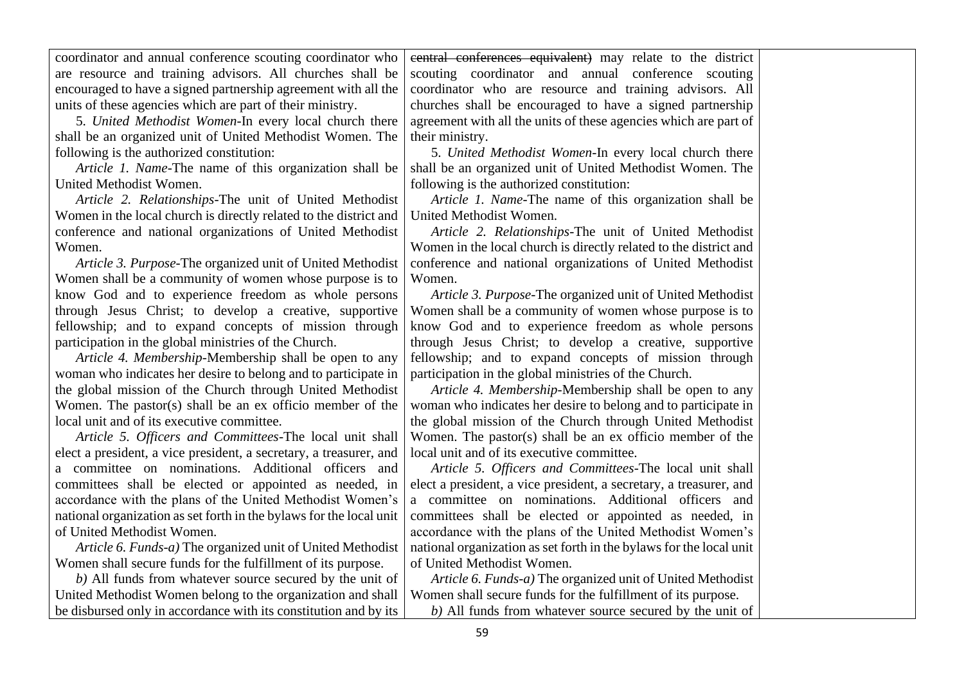coordinator and annual conference scouting coordinator who are resource and training advisors. All churches shall be encouraged to have a signed partnership agreement with all the units of these agencies which are part of their ministry.

5. *United Methodist Women*-In every local church there shall be an organized unit of United Methodist Women. The following is the authorized constitution:

*Article 1. Name*-The name of this organization shall be United Methodist Women.

*Article 2. Relationships*-The unit of United Methodist Women in the local church is directly related to the district and conference and national organizations of United Methodist Women.

*Article 3. Purpose*-The organized unit of United Methodist Women shall be a community of women whose purpose is to know God and to experience freedom as whole persons through Jesus Christ; to develop a creative, supportive fellowship; and to expand concepts of mission through participation in the global ministries of the Church.

*Article 4. Membership*-Membership shall be open to any woman who indicates her desire to belong and to participate in the global mission of the Church through United Methodist Women. The pastor(s) shall be an ex officio member of the local unit and of its executive committee.

*Article 5. Officers and Committees*-The local unit shall elect a president, a vice president, a secretary, a treasurer, and a committee on nominations. Additional officers and committees shall be elected or appointed as needed, in accordance with the plans of the United Methodist Women's national organization as set forth in the bylaws for the local unit of United Methodist Women.

*Article 6. Funds*-*a)* The organized unit of United Methodist Women shall secure funds for the fulfillment of its purpose.

*b)* All funds from whatever source secured by the unit of United Methodist Women belong to the organization and shall be disbursed only in accordance with its constitution and by its

central conferences equivalent) may relate to the district scouting coordinator and annual conference scouting coordinator who are resource and training advisors. All churches shall be encouraged to have a signed partnership agreement with all the units of these agencies which are part of their ministry.

5. *United Methodist Women*-In every local church there shall be an organized unit of United Methodist Women. The following is the authorized constitution:

*Article 1. Name*-The name of this organization shall be United Methodist Women.

*Article 2. Relationships*-The unit of United Methodist Women in the local church is directly related to the district and conference and national organizations of United Methodist Women.

*Article 3. Purpose*-The organized unit of United Methodist Women shall be a community of women whose purpose is to know God and to experience freedom as whole persons through Jesus Christ; to develop a creative, supportive fellowship; and to expand concepts of mission through participation in the global ministries of the Church.

*Article 4. Membership*-Membership shall be open to any woman who indicates her desire to belong and to participate in the global mission of the Church through United Methodist Women. The pastor(s) shall be an ex officio member of the local unit and of its executive committee.

*Article 5. Officers and Committees*-The local unit shall elect a president, a vice president, a secretary, a treasurer, and a committee on nominations. Additional officers and committees shall be elected or appointed as needed, in accordance with the plans of the United Methodist Women's national organization as set forth in the bylaws for the local unit of United Methodist Women.

*Article 6. Funds*-*a)* The organized unit of United Methodist Women shall secure funds for the fulfillment of its purpose. *b)* All funds from whatever source secured by the unit of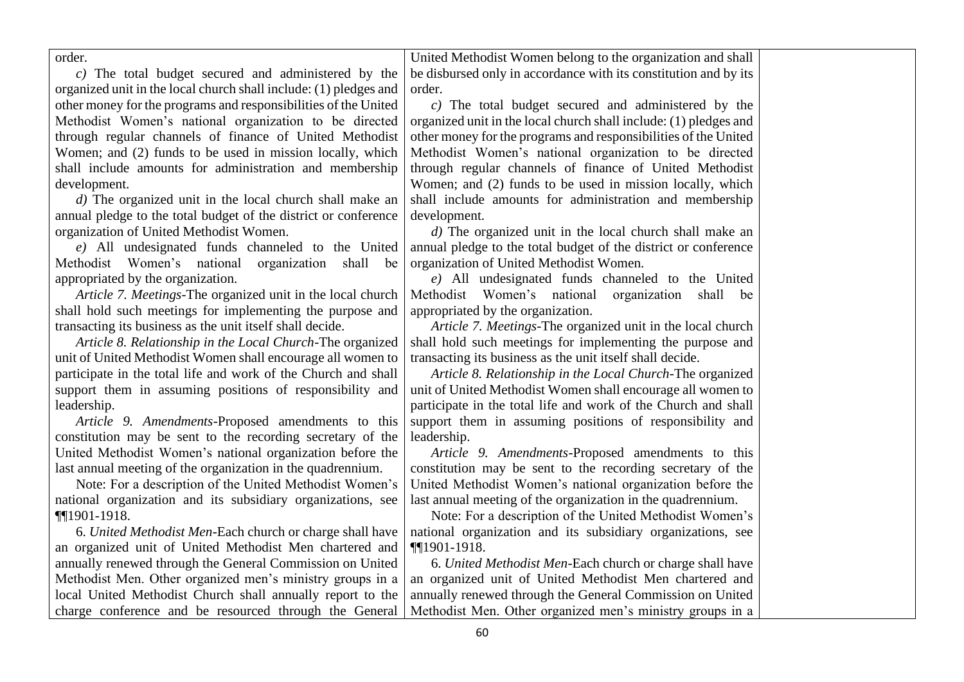60 *c)* The total budget secured and administered by the organized unit in the local church shall include: (1) pledges and other money for the programs and responsibilities of the United Methodist Women's national organization to be directed through regular channels of finance of United Methodist Women; and (2) funds to be used in mission locally, which shall include amounts for administration and membership development. *d*) The organized unit in the local church shall make an annual pledge to the total budget of the district or conference organization of United Methodist Women. *e)* All undesignated funds channeled to the United Methodist Women's national organization shall be appropriated by the organization. *Article 7. Meetings*-The organized unit in the local church shall hold such meetings for implementing the purpose and transacting its business as the unit itself shall decide. *Article 8. Relationship in the Local Church*-The organized unit of United Methodist Women shall encourage all women to participate in the total life and work of the Church and shall support them in assuming positions of responsibility and leadership. *Article 9. Amendments*-Proposed amendments to this constitution may be sent to the recording secretary of the United Methodist Women's national organization before the last annual meeting of the organization in the quadrennium. Note: For a description of the United Methodist Women's national organization and its subsidiary organizations, see ¶¶1901-1918. 6. *United Methodist Men*-Each church or charge shall have an organized unit of United Methodist Men chartered and annually renewed through the General Commission on United Methodist Men. Other organized men's ministry groups in a local United Methodist Church shall annually report to the charge conference and be resourced through the General be disbursed only in accordance with its constitution and by its order. *c)* The total budget secured and administered by the organized unit in the local church shall include: (1) pledges and other money for the programs and responsibilities of the United Methodist Women's national organization to be directed through regular channels of finance of United Methodist Women; and (2) funds to be used in mission locally, which shall include amounts for administration and membership development. *d*) The organized unit in the local church shall make an annual pledge to the total budget of the district or conference organization of United Methodist Women. *e)* All undesignated funds channeled to the United Methodist Women's national organization shall be appropriated by the organization. *Article 7. Meetings*-The organized unit in the local church shall hold such meetings for implementing the purpose and transacting its business as the unit itself shall decide. *Article 8. Relationship in the Local Church*-The organized unit of United Methodist Women shall encourage all women to participate in the total life and work of the Church and shall support them in assuming positions of responsibility and leadership. *Article 9. Amendments*-Proposed amendments to this constitution may be sent to the recording secretary of the United Methodist Women's national organization before the last annual meeting of the organization in the quadrennium. Note: For a description of the United Methodist Women's national organization and its subsidiary organizations, see ¶¶1901-1918. 6. *United Methodist Men*-Each church or charge shall have an organized unit of United Methodist Men chartered and annually renewed through the General Commission on United Methodist Men. Other organized men's ministry groups in a

United Methodist Women belong to the organization and shall

order.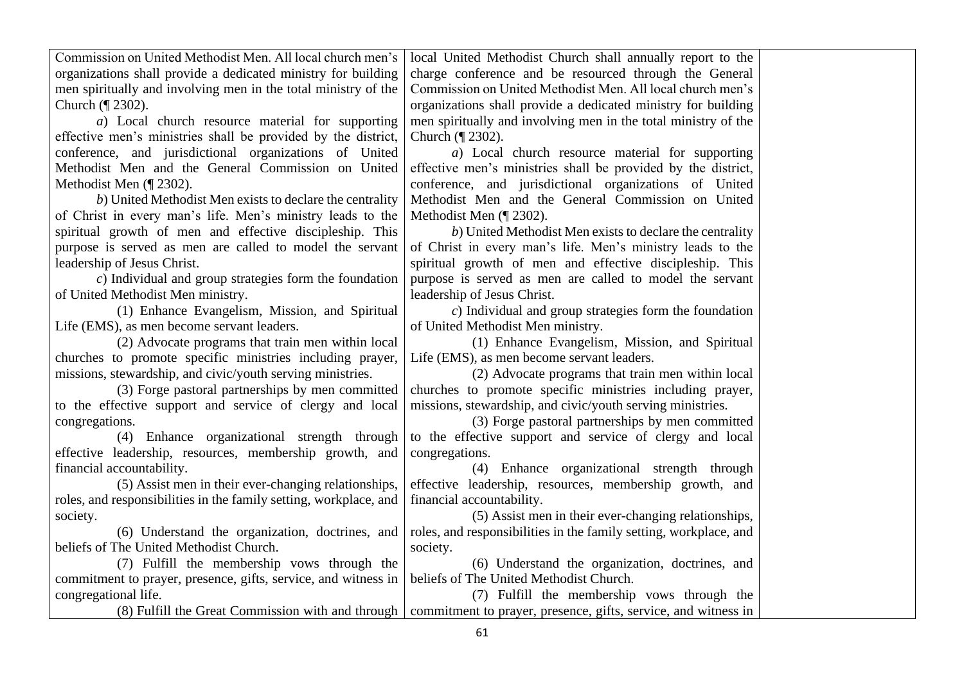| Commission on United Methodist Men. All local church men's        | local United Methodist Church shall annually report to the                                                         |  |
|-------------------------------------------------------------------|--------------------------------------------------------------------------------------------------------------------|--|
| organizations shall provide a dedicated ministry for building     | charge conference and be resourced through the General                                                             |  |
| men spiritually and involving men in the total ministry of the    | Commission on United Methodist Men. All local church men's                                                         |  |
| Church (¶ 2302).                                                  | organizations shall provide a dedicated ministry for building                                                      |  |
| a) Local church resource material for supporting                  | men spiritually and involving men in the total ministry of the                                                     |  |
| effective men's ministries shall be provided by the district,     | Church (¶ 2302).                                                                                                   |  |
| conference, and jurisdictional organizations of United            | a) Local church resource material for supporting                                                                   |  |
| Methodist Men and the General Commission on United                | effective men's ministries shall be provided by the district,                                                      |  |
| Methodist Men (¶ 2302).                                           | conference, and jurisdictional organizations of United                                                             |  |
| b) United Methodist Men exists to declare the centrality          | Methodist Men and the General Commission on United                                                                 |  |
| of Christ in every man's life. Men's ministry leads to the        | Methodist Men (¶ 2302).                                                                                            |  |
| spiritual growth of men and effective discipleship. This          | b) United Methodist Men exists to declare the centrality                                                           |  |
| purpose is served as men are called to model the servant          | of Christ in every man's life. Men's ministry leads to the                                                         |  |
| leadership of Jesus Christ.                                       | spiritual growth of men and effective discipleship. This                                                           |  |
| $c)$ Individual and group strategies form the foundation          | purpose is served as men are called to model the servant                                                           |  |
| of United Methodist Men ministry.                                 | leadership of Jesus Christ.                                                                                        |  |
| (1) Enhance Evangelism, Mission, and Spiritual                    | $c)$ Individual and group strategies form the foundation                                                           |  |
| Life (EMS), as men become servant leaders.                        | of United Methodist Men ministry.                                                                                  |  |
| (2) Advocate programs that train men within local                 | (1) Enhance Evangelism, Mission, and Spiritual                                                                     |  |
| churches to promote specific ministries including prayer,         | Life (EMS), as men become servant leaders.                                                                         |  |
| missions, stewardship, and civic/youth serving ministries.        | (2) Advocate programs that train men within local                                                                  |  |
| (3) Forge pastoral partnerships by men committed                  | churches to promote specific ministries including prayer,                                                          |  |
| to the effective support and service of clergy and local          | missions, stewardship, and civic/youth serving ministries.                                                         |  |
| congregations.                                                    | (3) Forge pastoral partnerships by men committed                                                                   |  |
| (4) Enhance organizational strength through                       | to the effective support and service of clergy and local                                                           |  |
| effective leadership, resources, membership growth, and           | congregations.                                                                                                     |  |
| financial accountability.                                         | (4) Enhance organizational strength through                                                                        |  |
| (5) Assist men in their ever-changing relationships,              | effective leadership, resources, membership growth, and                                                            |  |
| roles, and responsibilities in the family setting, workplace, and | financial accountability.                                                                                          |  |
| society.                                                          | (5) Assist men in their ever-changing relationships,                                                               |  |
| (6) Understand the organization, doctrines, and                   | roles, and responsibilities in the family setting, workplace, and                                                  |  |
| beliefs of The United Methodist Church.                           | society.                                                                                                           |  |
| (7) Fulfill the membership vows through the                       | (6) Understand the organization, doctrines, and                                                                    |  |
| commitment to prayer, presence, gifts, service, and witness in    | beliefs of The United Methodist Church.<br>(7) Fulfill the membership vows through the                             |  |
| congregational life.                                              |                                                                                                                    |  |
|                                                                   | (8) Fulfill the Great Commission with and through   commitment to prayer, presence, gifts, service, and witness in |  |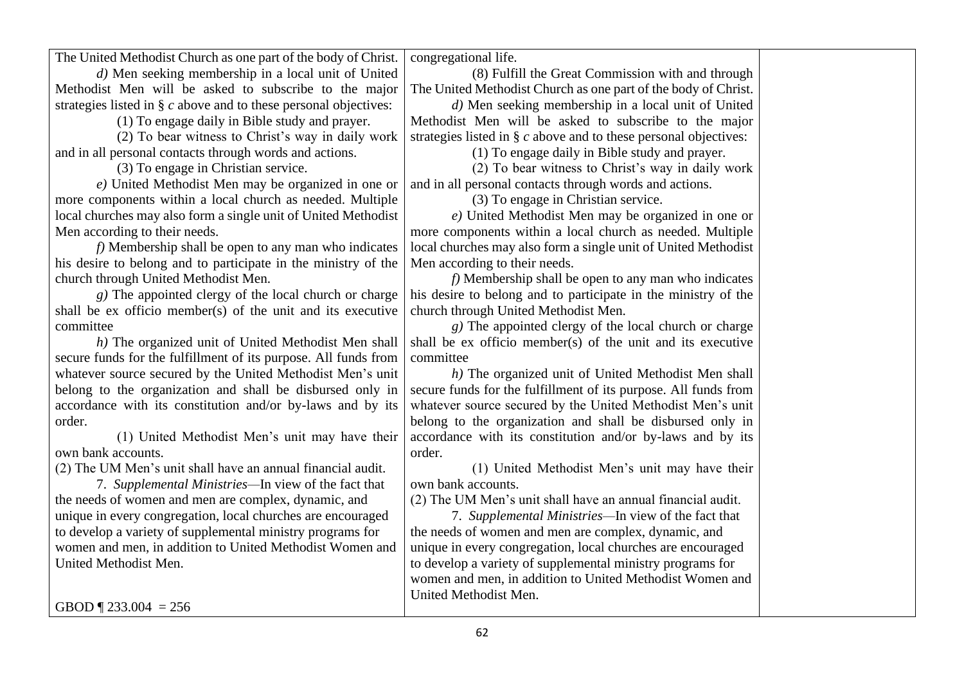The United Methodist Church as one part of the body of Christ.

*d)* Men seeking membership in a local unit of United Methodist Men will be asked to subscribe to the major strategies listed in § *c* above and to these personal objectives:

(1) To engage daily in Bible study and prayer.

(2) To bear witness to Christ's way in daily work and in all personal contacts through words and actions.

(3) To engage in Christian service.

*e)* United Methodist Men may be organized in one or more components within a local church as needed. Multiple local churches may also form a single unit of United Methodist Men according to their needs.

*f)* Membership shall be open to any man who indicates his desire to belong and to participate in the ministry of the church through United Methodist Men.

*g)* The appointed clergy of the local church or charge shall be ex officio member(s) of the unit and its executive committee

*h)* The organized unit of United Methodist Men shall secure funds for the fulfillment of its purpose. All funds from whatever source secured by the United Methodist Men's unit belong to the organization and shall be disbursed only in accordance with its constitution and/or by-laws and by its order.

(1) United Methodist Men's unit may have their own bank accounts.

(2) The UM Men's unit shall have an annual financial audit.

7. *Supplemental Ministries—*In view of the fact that the needs of women and men are complex, dynamic, and unique in every congregation, local churches are encouraged to develop a variety of supplemental ministry programs for women and men, in addition to United Methodist Women and United Methodist Men.

GBOD  $\P$  233.004 = 256

congregational life.

(8) Fulfill the Great Commission with and through The United Methodist Church as one part of the body of Christ.

*d)* Men seeking membership in a local unit of United Methodist Men will be asked to subscribe to the major strategies listed in § *c* above and to these personal objectives:

(1) To engage daily in Bible study and prayer.

(2) To bear witness to Christ's way in daily work and in all personal contacts through words and actions.

(3) To engage in Christian service.

*e)* United Methodist Men may be organized in one or more components within a local church as needed. Multiple local churches may also form a single unit of United Methodist Men according to their needs.

*f)* Membership shall be open to any man who indicates his desire to belong and to participate in the ministry of the church through United Methodist Men.

*g)* The appointed clergy of the local church or charge shall be ex officio member(s) of the unit and its executive committee

*h)* The organized unit of United Methodist Men shall secure funds for the fulfillment of its purpose. All funds from whatever source secured by the United Methodist Men's unit belong to the organization and shall be disbursed only in accordance with its constitution and/or by-laws and by its order.

(1) United Methodist Men's unit may have their own bank accounts.

(2) The UM Men's unit shall have an annual financial audit.

7. *Supplemental Ministries—*In view of the fact that the needs of women and men are complex, dynamic, and unique in every congregation, local churches are encouraged to develop a variety of supplemental ministry programs for women and men, in addition to United Methodist Women and United Methodist Men.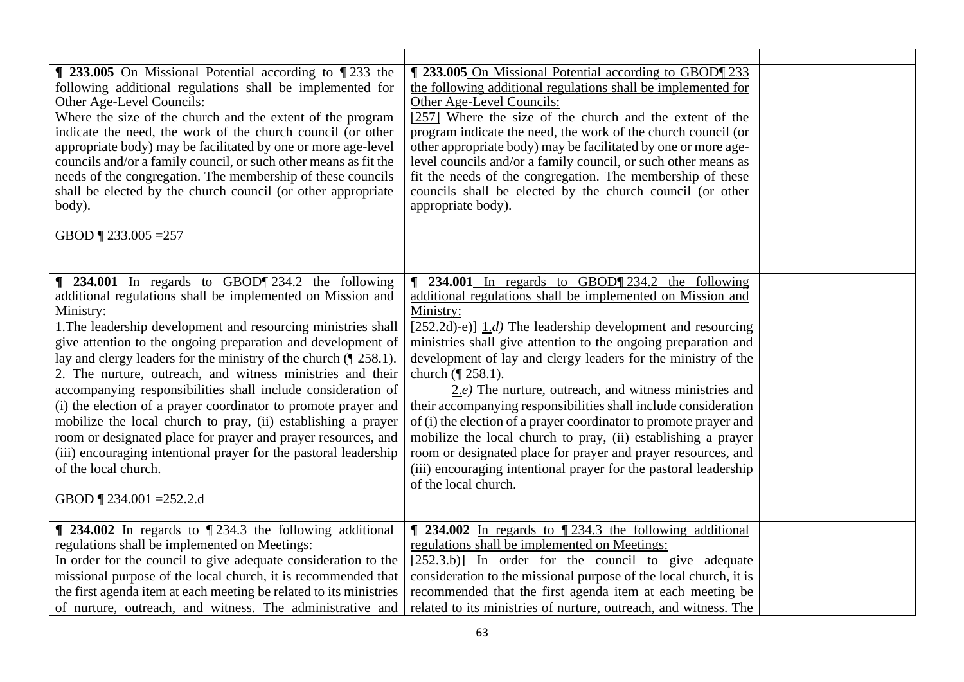| <b>1 233.005</b> On Missional Potential according to 1 233 the<br>following additional regulations shall be implemented for<br>Other Age-Level Councils:<br>Where the size of the church and the extent of the program<br>indicate the need, the work of the church council (or other<br>appropriate body) may be facilitated by one or more age-level<br>councils and/or a family council, or such other means as fit the<br>needs of the congregation. The membership of these councils<br>shall be elected by the church council (or other appropriate<br>body).<br>GBOD $\sqrt{233.005}$ = 257                                                                                                                                                                                                                                      | 233.005 On Missional Potential according to GBOD¶ 233<br>the following additional regulations shall be implemented for<br>Other Age-Level Councils:<br>[257] Where the size of the church and the extent of the<br>program indicate the need, the work of the church council (or<br>other appropriate body) may be facilitated by one or more age-<br>level councils and/or a family council, or such other means as<br>fit the needs of the congregation. The membership of these<br>councils shall be elected by the church council (or other<br>appropriate body).                                                                                                                                                                                                                   |  |
|-----------------------------------------------------------------------------------------------------------------------------------------------------------------------------------------------------------------------------------------------------------------------------------------------------------------------------------------------------------------------------------------------------------------------------------------------------------------------------------------------------------------------------------------------------------------------------------------------------------------------------------------------------------------------------------------------------------------------------------------------------------------------------------------------------------------------------------------|-----------------------------------------------------------------------------------------------------------------------------------------------------------------------------------------------------------------------------------------------------------------------------------------------------------------------------------------------------------------------------------------------------------------------------------------------------------------------------------------------------------------------------------------------------------------------------------------------------------------------------------------------------------------------------------------------------------------------------------------------------------------------------------------|--|
| $\parallel$ 234.001 In regards to GBOD $\parallel$ 234.2 the following<br>additional regulations shall be implemented on Mission and<br>Ministry:<br>1. The leadership development and resourcing ministries shall<br>give attention to the ongoing preparation and development of<br>lay and clergy leaders for the ministry of the church $(\sqrt{\phantom{a}} 258.1)$ .<br>2. The nurture, outreach, and witness ministries and their<br>accompanying responsibilities shall include consideration of<br>(i) the election of a prayer coordinator to promote prayer and<br>mobilize the local church to pray, (ii) establishing a prayer<br>room or designated place for prayer and prayer resources, and<br>(iii) encouraging intentional prayer for the pastoral leadership<br>of the local church.<br>GBOD $\P$ 234.001 = 252.2.d | 234.001 In regards to GBOD¶ 234.2 the following<br>additional regulations shall be implemented on Mission and<br>Ministry:<br>[252.2d)-e)] $1.d$ ) The leadership development and resourcing<br>ministries shall give attention to the ongoing preparation and<br>development of lay and clergy leaders for the ministry of the<br>church (¶ 258.1).<br>$2.e$ ) The nurture, outreach, and witness ministries and<br>their accompanying responsibilities shall include consideration<br>of (i) the election of a prayer coordinator to promote prayer and<br>mobilize the local church to pray, (ii) establishing a prayer<br>room or designated place for prayer and prayer resources, and<br>(iii) encouraging intentional prayer for the pastoral leadership<br>of the local church. |  |
| $\parallel$ 234.002 In regards to $\parallel$ 234.3 the following additional<br>regulations shall be implemented on Meetings:<br>In order for the council to give adequate consideration to the<br>missional purpose of the local church, it is recommended that<br>the first agenda item at each meeting be related to its ministries<br>of nurture, outreach, and witness. The administrative and                                                                                                                                                                                                                                                                                                                                                                                                                                     | $\parallel$ 234.002 In regards to $\parallel$ 234.3 the following additional<br>regulations shall be implemented on Meetings:<br>$[252.3.b]$ In order for the council to give adequate<br>consideration to the missional purpose of the local church, it is<br>recommended that the first agenda item at each meeting be<br>related to its ministries of nurture, outreach, and witness. The                                                                                                                                                                                                                                                                                                                                                                                            |  |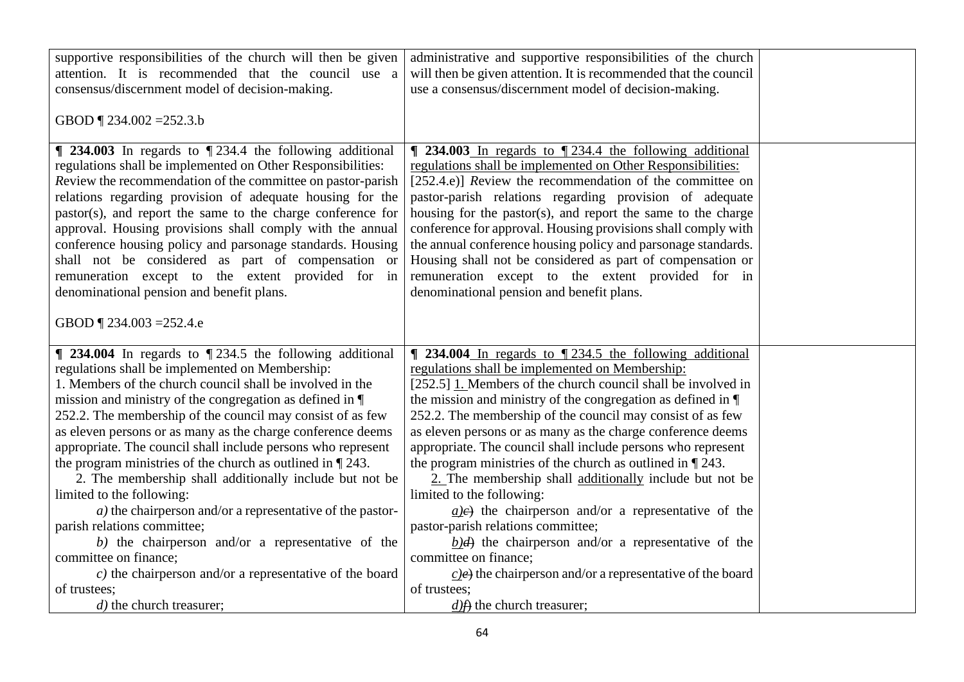| supportive responsibilities of the church will then be given<br>attention. It is recommended that the council use a<br>consensus/discernment model of decision-making.                                                                                                                                                                                                                                                                                                                                                                                                                                                                                                                                                                                                                                                                                                                                     | administrative and supportive responsibilities of the church<br>will then be given attention. It is recommended that the council<br>use a consensus/discernment model of decision-making.                                                                                                                                                                                                                                                                                                                                                                                                                                                                                                                                                                                                                                                                                                                                                     |  |
|------------------------------------------------------------------------------------------------------------------------------------------------------------------------------------------------------------------------------------------------------------------------------------------------------------------------------------------------------------------------------------------------------------------------------------------------------------------------------------------------------------------------------------------------------------------------------------------------------------------------------------------------------------------------------------------------------------------------------------------------------------------------------------------------------------------------------------------------------------------------------------------------------------|-----------------------------------------------------------------------------------------------------------------------------------------------------------------------------------------------------------------------------------------------------------------------------------------------------------------------------------------------------------------------------------------------------------------------------------------------------------------------------------------------------------------------------------------------------------------------------------------------------------------------------------------------------------------------------------------------------------------------------------------------------------------------------------------------------------------------------------------------------------------------------------------------------------------------------------------------|--|
| GBOD $\P$ 234.002 = 252.3.b                                                                                                                                                                                                                                                                                                                                                                                                                                                                                                                                                                                                                                                                                                                                                                                                                                                                                |                                                                                                                                                                                                                                                                                                                                                                                                                                                                                                                                                                                                                                                                                                                                                                                                                                                                                                                                               |  |
| $\P$ 234.003 In regards to $\P$ 234.4 the following additional<br>regulations shall be implemented on Other Responsibilities:<br>Review the recommendation of the committee on pastor-parish<br>relations regarding provision of adequate housing for the<br>pastor(s), and report the same to the charge conference for<br>approval. Housing provisions shall comply with the annual<br>conference housing policy and parsonage standards. Housing<br>shall not be considered as part of compensation or<br>remuneration except to the extent provided for in<br>denominational pension and benefit plans.                                                                                                                                                                                                                                                                                                | 234.003 In regards to $\P$ 234.4 the following additional<br>regulations shall be implemented on Other Responsibilities:<br>[252.4.e)] Review the recommendation of the committee on<br>pastor-parish relations regarding provision of adequate<br>housing for the pastor(s), and report the same to the charge<br>conference for approval. Housing provisions shall comply with<br>the annual conference housing policy and parsonage standards.<br>Housing shall not be considered as part of compensation or<br>remuneration except to the extent provided for in<br>denominational pension and benefit plans.                                                                                                                                                                                                                                                                                                                             |  |
| GBOD $\sqrt{234.003}$ =252.4.e                                                                                                                                                                                                                                                                                                                                                                                                                                                                                                                                                                                                                                                                                                                                                                                                                                                                             |                                                                                                                                                                                                                                                                                                                                                                                                                                                                                                                                                                                                                                                                                                                                                                                                                                                                                                                                               |  |
| $\parallel$ 234.004 In regards to $\parallel$ 234.5 the following additional<br>regulations shall be implemented on Membership:<br>1. Members of the church council shall be involved in the<br>mission and ministry of the congregation as defined in $\P$<br>252.2. The membership of the council may consist of as few<br>as eleven persons or as many as the charge conference deems<br>appropriate. The council shall include persons who represent<br>the program ministries of the church as outlined in $\P$ 243.<br>2. The membership shall additionally include but not be<br>limited to the following:<br>$a)$ the chairperson and/or a representative of the pastor-<br>parish relations committee;<br>b) the chairperson and/or a representative of the<br>committee on finance;<br>$c$ ) the chairperson and/or a representative of the board<br>of trustees;<br>$d$ ) the church treasurer; | $\parallel$ 234.004 In regards to $\parallel$ 234.5 the following additional<br>regulations shall be implemented on Membership:<br>[252.5] 1. Members of the church council shall be involved in<br>the mission and ministry of the congregation as defined in $\P$<br>252.2. The membership of the council may consist of as few<br>as eleven persons or as many as the charge conference deems<br>appropriate. The council shall include persons who represent<br>the program ministries of the church as outlined in $\P$ 243.<br>2. The membership shall additionally include but not be<br>limited to the following:<br>$a$ ) $\leftrightarrow$ the chairperson and/or a representative of the<br>pastor-parish relations committee;<br>$b$ ) $d$ ) the chairperson and/or a representative of the<br>committee on finance;<br>$c$ ) e the chairperson and/or a representative of the board<br>of trustees;<br>$d$ the church treasurer; |  |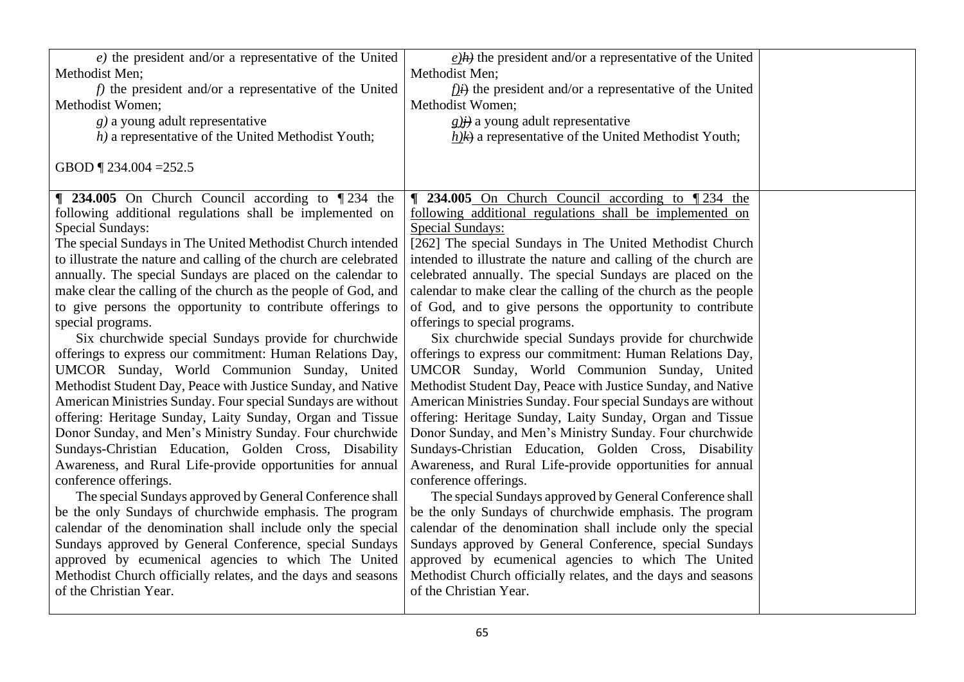| $e$ ) the president and/or a representative of the United                                                                          | $e$ /h the president and/or a representative of the United                                                                   |  |
|------------------------------------------------------------------------------------------------------------------------------------|------------------------------------------------------------------------------------------------------------------------------|--|
| Methodist Men;                                                                                                                     | Methodist Men;                                                                                                               |  |
| $f$ ) the president and/or a representative of the United                                                                          | $f\rightarrow \hat{f}$ the president and/or a representative of the United                                                   |  |
| Methodist Women;                                                                                                                   | Methodist Women;                                                                                                             |  |
| $g$ ) a young adult representative                                                                                                 | $g$ j a young adult representative                                                                                           |  |
| $h$ ) a representative of the United Methodist Youth;                                                                              | $h/k$ ) a representative of the United Methodist Youth;                                                                      |  |
| GBOD $\P$ 234.004 = 252.5                                                                                                          |                                                                                                                              |  |
| $\parallel$ 234.005 On Church Council according to $\parallel$ 234 the<br>following additional regulations shall be implemented on | 234.005 On Church Council according to $\P$ 234 the<br>following additional regulations shall be implemented on              |  |
| Special Sundays:                                                                                                                   | <b>Special Sundays:</b>                                                                                                      |  |
| The special Sundays in The United Methodist Church intended                                                                        | [262] The special Sundays in The United Methodist Church                                                                     |  |
| to illustrate the nature and calling of the church are celebrated                                                                  | intended to illustrate the nature and calling of the church are                                                              |  |
| annually. The special Sundays are placed on the calendar to<br>make clear the calling of the church as the people of God, and      | celebrated annually. The special Sundays are placed on the<br>calendar to make clear the calling of the church as the people |  |
| to give persons the opportunity to contribute offerings to                                                                         | of God, and to give persons the opportunity to contribute                                                                    |  |
| special programs.                                                                                                                  | offerings to special programs.                                                                                               |  |
| Six churchwide special Sundays provide for churchwide                                                                              | Six churchwide special Sundays provide for churchwide                                                                        |  |
| offerings to express our commitment: Human Relations Day,                                                                          | offerings to express our commitment: Human Relations Day,                                                                    |  |
| UMCOR Sunday, World Communion Sunday, United                                                                                       | UMCOR Sunday, World Communion Sunday, United                                                                                 |  |
| Methodist Student Day, Peace with Justice Sunday, and Native                                                                       | Methodist Student Day, Peace with Justice Sunday, and Native                                                                 |  |
| American Ministries Sunday. Four special Sundays are without                                                                       | American Ministries Sunday. Four special Sundays are without                                                                 |  |
| offering: Heritage Sunday, Laity Sunday, Organ and Tissue                                                                          | offering: Heritage Sunday, Laity Sunday, Organ and Tissue                                                                    |  |
| Donor Sunday, and Men's Ministry Sunday. Four churchwide                                                                           | Donor Sunday, and Men's Ministry Sunday. Four churchwide                                                                     |  |
| Sundays-Christian Education, Golden Cross, Disability                                                                              | Sundays-Christian Education, Golden Cross, Disability                                                                        |  |
| Awareness, and Rural Life-provide opportunities for annual                                                                         | Awareness, and Rural Life-provide opportunities for annual                                                                   |  |
| conference offerings.                                                                                                              | conference offerings.                                                                                                        |  |
| The special Sundays approved by General Conference shall                                                                           | The special Sundays approved by General Conference shall                                                                     |  |
| be the only Sundays of churchwide emphasis. The program                                                                            | be the only Sundays of churchwide emphasis. The program                                                                      |  |
| calendar of the denomination shall include only the special                                                                        | calendar of the denomination shall include only the special                                                                  |  |
| Sundays approved by General Conference, special Sundays                                                                            | Sundays approved by General Conference, special Sundays                                                                      |  |
| approved by ecumenical agencies to which The United                                                                                | approved by ecumenical agencies to which The United                                                                          |  |
| Methodist Church officially relates, and the days and seasons                                                                      | Methodist Church officially relates, and the days and seasons                                                                |  |
| of the Christian Year.                                                                                                             | of the Christian Year.                                                                                                       |  |
|                                                                                                                                    |                                                                                                                              |  |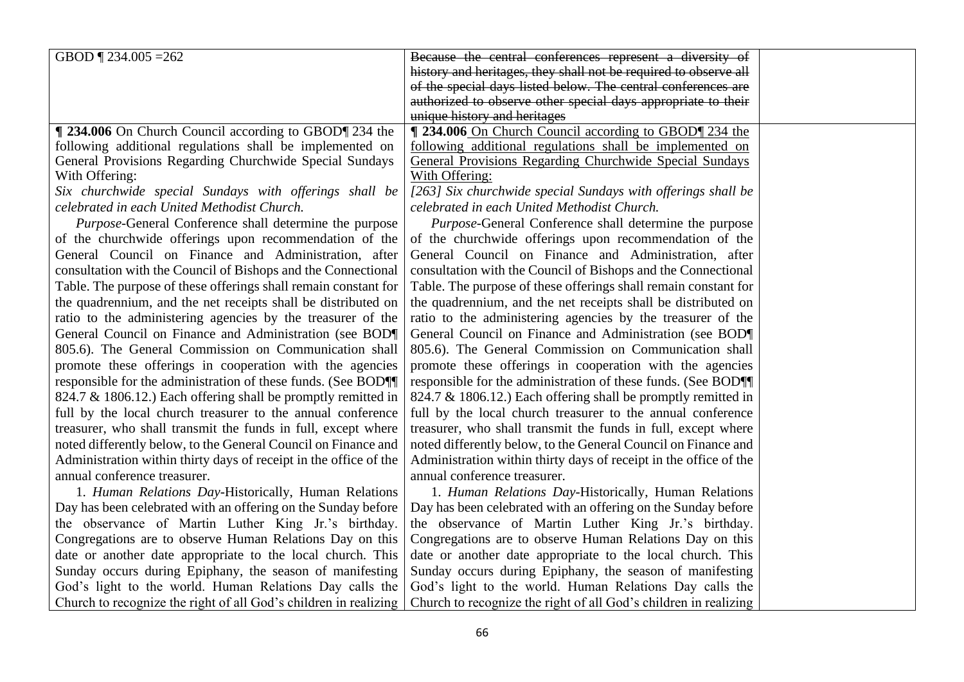| GBOD $\P$ 234.005 = 262                                           | Because the central conferences represent a diversity of          |  |
|-------------------------------------------------------------------|-------------------------------------------------------------------|--|
|                                                                   | history and heritages, they shall not be required to observe all  |  |
|                                                                   | of the special days listed below. The central conferences are     |  |
|                                                                   | authorized to observe other special days appropriate to their     |  |
|                                                                   | unique history and heritages                                      |  |
| <b>1 234.006</b> On Church Council according to GBOD1 234 the     | <b>1 234.006 On Church Council according to GBOD1 234 the</b>     |  |
| following additional regulations shall be implemented on          | following additional regulations shall be implemented on          |  |
| General Provisions Regarding Churchwide Special Sundays           | <b>General Provisions Regarding Churchwide Special Sundays</b>    |  |
| With Offering:                                                    | With Offering:                                                    |  |
| Six churchwide special Sundays with offerings shall be            | [263] Six churchwide special Sundays with offerings shall be      |  |
| celebrated in each United Methodist Church.                       | celebrated in each United Methodist Church.                       |  |
| <i>Purpose-General Conference shall determine the purpose</i>     | <i>Purpose-General Conference shall determine the purpose</i>     |  |
| of the churchwide offerings upon recommendation of the            | of the churchwide offerings upon recommendation of the            |  |
| General Council on Finance and Administration, after              | General Council on Finance and Administration, after              |  |
| consultation with the Council of Bishops and the Connectional     | consultation with the Council of Bishops and the Connectional     |  |
| Table. The purpose of these offerings shall remain constant for   | Table. The purpose of these offerings shall remain constant for   |  |
| the quadrennium, and the net receipts shall be distributed on     | the quadrennium, and the net receipts shall be distributed on     |  |
| ratio to the administering agencies by the treasurer of the       | ratio to the administering agencies by the treasurer of the       |  |
| General Council on Finance and Administration (see BOD            | General Council on Finance and Administration (see BOD¶           |  |
| 805.6). The General Commission on Communication shall             | 805.6). The General Commission on Communication shall             |  |
| promote these offerings in cooperation with the agencies          | promote these offerings in cooperation with the agencies          |  |
| responsible for the administration of these funds. (See BOD       | responsible for the administration of these funds. (See BOD       |  |
| 824.7 & 1806.12.) Each offering shall be promptly remitted in     | 824.7 & 1806.12.) Each offering shall be promptly remitted in     |  |
| full by the local church treasurer to the annual conference       | full by the local church treasurer to the annual conference       |  |
| treasurer, who shall transmit the funds in full, except where     | treasurer, who shall transmit the funds in full, except where     |  |
| noted differently below, to the General Council on Finance and    | noted differently below, to the General Council on Finance and    |  |
| Administration within thirty days of receipt in the office of the | Administration within thirty days of receipt in the office of the |  |
| annual conference treasurer.                                      | annual conference treasurer.                                      |  |
| 1. Human Relations Day-Historically, Human Relations              | 1. Human Relations Day-Historically, Human Relations              |  |
| Day has been celebrated with an offering on the Sunday before     | Day has been celebrated with an offering on the Sunday before     |  |
| the observance of Martin Luther King Jr.'s birthday.              | the observance of Martin Luther King Jr.'s birthday.              |  |
| Congregations are to observe Human Relations Day on this          | Congregations are to observe Human Relations Day on this          |  |
| date or another date appropriate to the local church. This        | date or another date appropriate to the local church. This        |  |
| Sunday occurs during Epiphany, the season of manifesting          | Sunday occurs during Epiphany, the season of manifesting          |  |
| God's light to the world. Human Relations Day calls the           | God's light to the world. Human Relations Day calls the           |  |
| Church to recognize the right of all God's children in realizing  | Church to recognize the right of all God's children in realizing  |  |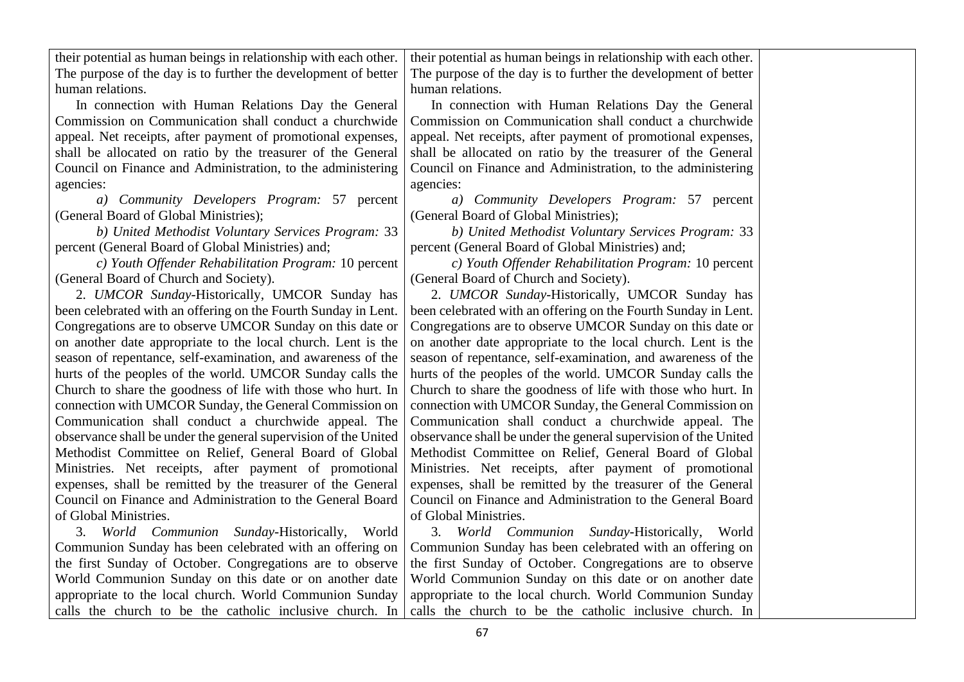their potential as human beings in relationship with each other. The purpose of the day is to further the development of better human relations. In connection with Human Relations Day the General Commission on Communication shall conduct a churchwide appeal. Net receipts, after payment of promotional expenses, shall be allocated on ratio by the treasurer of the General Council on Finance and Administration, to the administering agencies: *a) Community Developers Program:* 57 percent (General Board of Global Ministries); *b) United Methodist Voluntary Services Program:* 33 percent (General Board of Global Ministries) and; *c) Youth Offender Rehabilitation Program:* 10 percent (General Board of Church and Society). 2. *UMCOR Sunday*-Historically, UMCOR Sunday has been celebrated with an offering on the Fourth Sunday in Lent. Congregations are to observe UMCOR Sunday on this date or on another date appropriate to the local church. Lent is the season of repentance, self-examination, and awareness of the hurts of the peoples of the world. UMCOR Sunday calls the Church to share the goodness of life with those who hurt. In connection with UMCOR Sunday, the General Commission on Communication shall conduct a churchwide appeal. The observance shall be under the general supervision of the United Methodist Committee on Relief, General Board of Global Ministries. Net receipts, after payment of promotional expenses, shall be remitted by the treasurer of the General Council on Finance and Administration to the General Board of Global Ministries. 3. *World Communion Sunday*-Historically, World Communion Sunday has been celebrated with an offering on the first Sunday of October. Congregations are to observe World Communion Sunday on this date or on another date appropriate to the local church. World Communion Sunday calls the church to be the catholic inclusive church. In their potential as human beings in relationship with each other. The purpose of the day is to further the development of better human relations. In connection with Human Relations Day the General Commission on Communication shall conduct a churchwide appeal. Net receipts, after payment of promotional expenses, shall be allocated on ratio by the treasurer of the General Council on Finance and Administration, to the administering agencies: *a) Community Developers Program:* 57 percent (General Board of Global Ministries); *b) United Methodist Voluntary Services Program:* 33 percent (General Board of Global Ministries) and; *c) Youth Offender Rehabilitation Program:* 10 percent (General Board of Church and Society). 2. *UMCOR Sunday*-Historically, UMCOR Sunday has been celebrated with an offering on the Fourth Sunday in Lent. Congregations are to observe UMCOR Sunday on this date or on another date appropriate to the local church. Lent is the season of repentance, self-examination, and awareness of the hurts of the peoples of the world. UMCOR Sunday calls the Church to share the goodness of life with those who hurt. In connection with UMCOR Sunday, the General Commission on Communication shall conduct a churchwide appeal. The observance shall be under the general supervision of the United Methodist Committee on Relief, General Board of Global Ministries. Net receipts, after payment of promotional expenses, shall be remitted by the treasurer of the General Council on Finance and Administration to the General Board of Global Ministries. 3. *World Communion Sunday*-Historically, World Communion Sunday has been celebrated with an offering on the first Sunday of October. Congregations are to observe World Communion Sunday on this date or on another date appropriate to the local church. World Communion Sunday calls the church to be the catholic inclusive church. In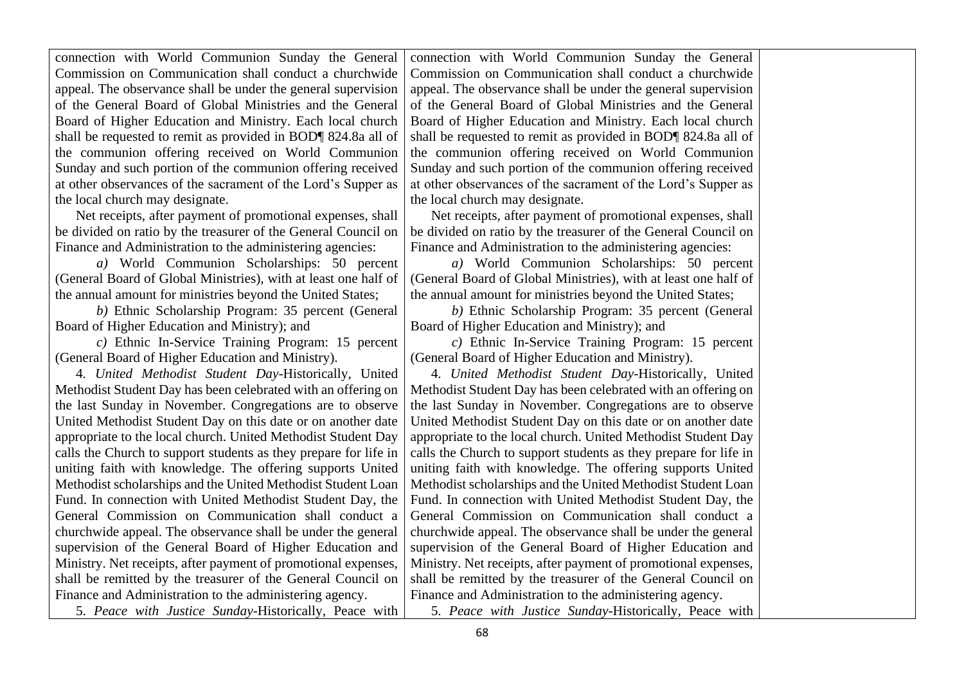connection with World Communion Sunday the General Commission on Communication shall conduct a churchwide appeal. The observance shall be under the general supervision of the General Board of Global Ministries and the General Board of Higher Education and Ministry. Each local church shall be requested to remit as provided in BOD¶ 824.8a all of the communion offering received on World Communion Sunday and such portion of the communion offering received at other observances of the sacrament of the Lord's Supper as the local church may designate.

Net receipts, after payment of promotional expenses, shall be divided on ratio by the treasurer of the General Council on Finance and Administration to the administering agencies:

*a)* World Communion Scholarships: 50 percent (General Board of Global Ministries), with at least one half of the annual amount for ministries beyond the United States;

*b)* Ethnic Scholarship Program: 35 percent (General Board of Higher Education and Ministry); and

*c)* Ethnic In-Service Training Program: 15 percent (General Board of Higher Education and Ministry).

4. *United Methodist Student Day*-Historically, United Methodist Student Day has been celebrated with an offering on the last Sunday in November. Congregations are to observe United Methodist Student Day on this date or on another date appropriate to the local church. United Methodist Student Day calls the Church to support students as they prepare for life in uniting faith with knowledge. The offering supports United Methodist scholarships and the United Methodist Student Loan Fund. In connection with United Methodist Student Day, the General Commission on Communication shall conduct a churchwide appeal. The observance shall be under the general supervision of the General Board of Higher Education and Ministry. Net receipts, after payment of promotional expenses, shall be remitted by the treasurer of the General Council on Finance and Administration to the administering agency.

5. *Peace with Justice Sunday*-Historically, Peace with

connection with World Communion Sunday the General Commission on Communication shall conduct a churchwide appeal. The observance shall be under the general supervision of the General Board of Global Ministries and the General Board of Higher Education and Ministry. Each local church shall be requested to remit as provided in BOD¶ 824.8a all of the communion offering received on World Communion Sunday and such portion of the communion offering received at other observances of the sacrament of the Lord's Supper as the local church may designate.

Net receipts, after payment of promotional expenses, shall be divided on ratio by the treasurer of the General Council on Finance and Administration to the administering agencies:

*a)* World Communion Scholarships: 50 percent (General Board of Global Ministries), with at least one half of the annual amount for ministries beyond the United States;

*b)* Ethnic Scholarship Program: 35 percent (General Board of Higher Education and Ministry); and

*c)* Ethnic In-Service Training Program: 15 percent (General Board of Higher Education and Ministry).

4. *United Methodist Student Day*-Historically, United Methodist Student Day has been celebrated with an offering on the last Sunday in November. Congregations are to observe United Methodist Student Day on this date or on another date appropriate to the local church. United Methodist Student Day calls the Church to support students as they prepare for life in uniting faith with knowledge. The offering supports United Methodist scholarships and the United Methodist Student Loan Fund. In connection with United Methodist Student Day, the General Commission on Communication shall conduct a churchwide appeal. The observance shall be under the general supervision of the General Board of Higher Education and Ministry. Net receipts, after payment of promotional expenses, shall be remitted by the treasurer of the General Council on Finance and Administration to the administering agency. 5. *Peace with Justice Sunday*-Historically, Peace with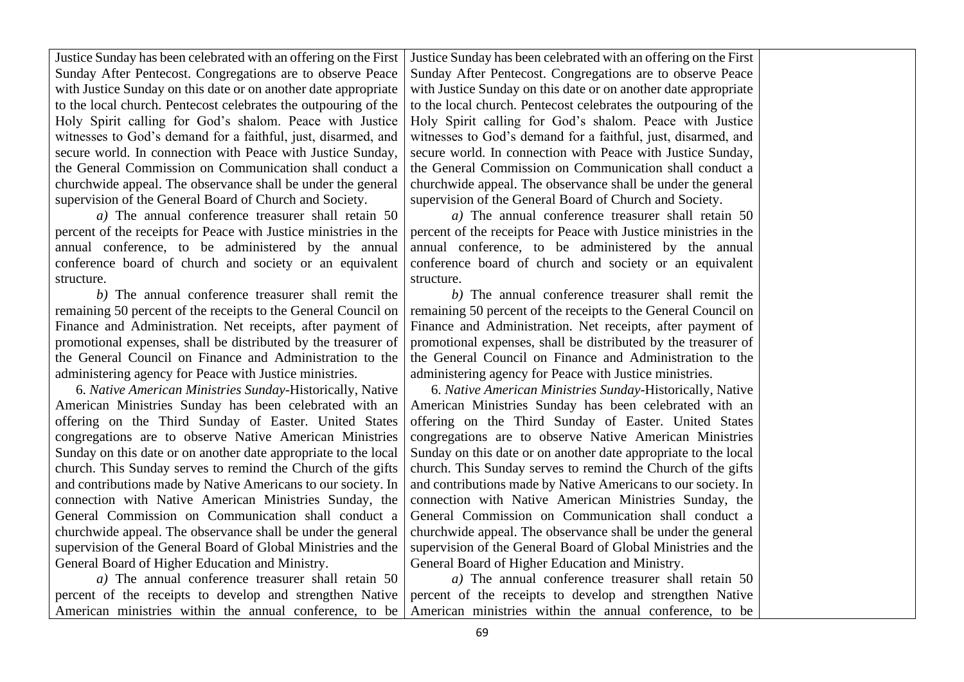Justice Sunday has been celebrated with an offering on the First Sunday After Pentecost. Congregations are to observe Peace with Justice Sunday on this date or on another date appropriate to the local church. Pentecost celebrates the outpouring of the Holy Spirit calling for God's shalom. Peace with Justice witnesses to God's demand for a faithful, just, disarmed, and secure world. In connection with Peace with Justice Sunday, the General Commission on Communication shall conduct a churchwide appeal. The observance shall be under the general supervision of the General Board of Church and Society.

*a)* The annual conference treasurer shall retain 50 percent of the receipts for Peace with Justice ministries in the annual conference, to be administered by the annual conference board of church and society or an equivalent structure.

*b)* The annual conference treasurer shall remit the remaining 50 percent of the receipts to the General Council on Finance and Administration. Net receipts, after payment of promotional expenses, shall be distributed by the treasurer of the General Council on Finance and Administration to the administering agency for Peace with Justice ministries.

6. *Native American Ministries Sunday*-Historically, Native American Ministries Sunday has been celebrated with an offering on the Third Sunday of Easter. United States congregations are to observe Native American Ministries Sunday on this date or on another date appropriate to the local church. This Sunday serves to remind the Church of the gifts and contributions made by Native Americans to our society. In connection with Native American Ministries Sunday, the General Commission on Communication shall conduct a churchwide appeal. The observance shall be under the general supervision of the General Board of Global Ministries and the General Board of Higher Education and Ministry.

*a)* The annual conference treasurer shall retain 50 percent of the receipts to develop and strengthen Native American ministries within the annual conference, to be

Justice Sunday has been celebrated with an offering on the First Sunday After Pentecost. Congregations are to observe Peace with Justice Sunday on this date or on another date appropriate to the local church. Pentecost celebrates the outpouring of the Holy Spirit calling for God's shalom. Peace with Justice witnesses to God's demand for a faithful, just, disarmed, and secure world. In connection with Peace with Justice Sunday, the General Commission on Communication shall conduct a churchwide appeal. The observance shall be under the general supervision of the General Board of Church and Society.

*a)* The annual conference treasurer shall retain 50 percent of the receipts for Peace with Justice ministries in the annual conference, to be administered by the annual conference board of church and society or an equivalent structure.

*b)* The annual conference treasurer shall remit the remaining 50 percent of the receipts to the General Council on Finance and Administration. Net receipts, after payment of promotional expenses, shall be distributed by the treasurer of the General Council on Finance and Administration to the administering agency for Peace with Justice ministries.

6. *Native American Ministries Sunday*-Historically, Native American Ministries Sunday has been celebrated with an offering on the Third Sunday of Easter. United States congregations are to observe Native American Ministries Sunday on this date or on another date appropriate to the local church. This Sunday serves to remind the Church of the gifts and contributions made by Native Americans to our society. In connection with Native American Ministries Sunday, the General Commission on Communication shall conduct a churchwide appeal. The observance shall be under the general supervision of the General Board of Global Ministries and the General Board of Higher Education and Ministry.

*a)* The annual conference treasurer shall retain 50 percent of the receipts to develop and strengthen Native American ministries within the annual conference, to be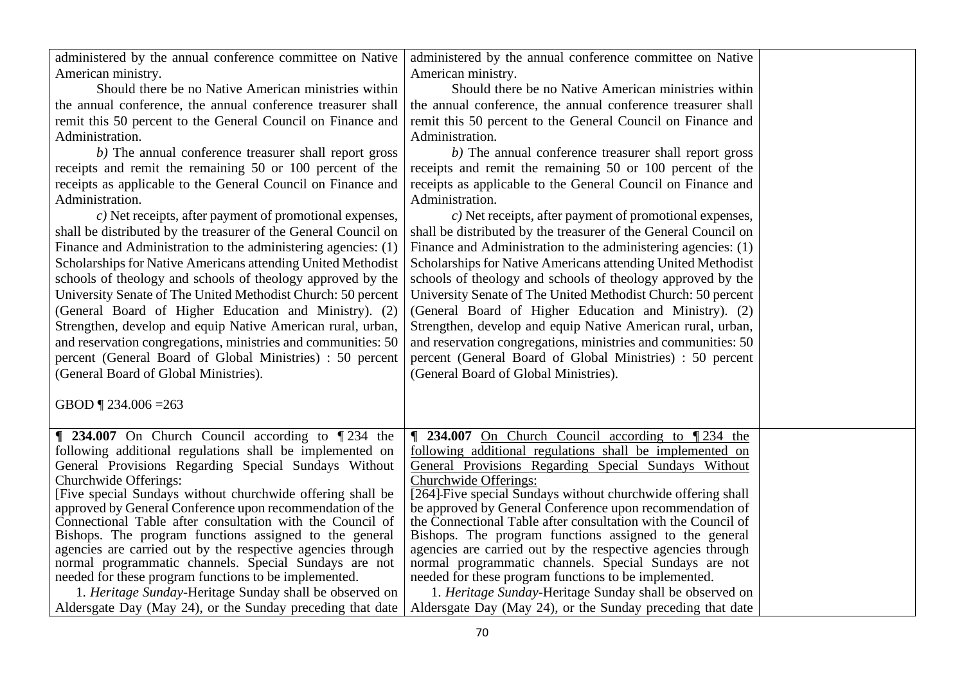| administered by the annual conference committee on Native<br>American ministry.<br>Should there be no Native American ministries within<br>the annual conference, the annual conference treasurer shall<br>remit this 50 percent to the General Council on Finance and<br>Administration.<br>b) The annual conference treasurer shall report gross<br>receipts and remit the remaining 50 or 100 percent of the<br>receipts as applicable to the General Council on Finance and<br>Administration.<br>$c$ ) Net receipts, after payment of promotional expenses,<br>shall be distributed by the treasurer of the General Council on<br>Finance and Administration to the administering agencies: (1)<br>Scholarships for Native Americans attending United Methodist<br>schools of theology and schools of theology approved by the<br>University Senate of The United Methodist Church: 50 percent<br>(General Board of Higher Education and Ministry). (2) | administered by the annual conference committee on Native<br>American ministry.<br>Should there be no Native American ministries within<br>the annual conference, the annual conference treasurer shall<br>remit this 50 percent to the General Council on Finance and<br>Administration.<br>b) The annual conference treasurer shall report gross<br>receipts and remit the remaining 50 or 100 percent of the<br>receipts as applicable to the General Council on Finance and<br>Administration.<br>$c$ ) Net receipts, after payment of promotional expenses,<br>shall be distributed by the treasurer of the General Council on<br>Finance and Administration to the administering agencies: (1)<br>Scholarships for Native Americans attending United Methodist<br>schools of theology and schools of theology approved by the<br>University Senate of The United Methodist Church: 50 percent<br>(General Board of Higher Education and Ministry). (2) |  |
|--------------------------------------------------------------------------------------------------------------------------------------------------------------------------------------------------------------------------------------------------------------------------------------------------------------------------------------------------------------------------------------------------------------------------------------------------------------------------------------------------------------------------------------------------------------------------------------------------------------------------------------------------------------------------------------------------------------------------------------------------------------------------------------------------------------------------------------------------------------------------------------------------------------------------------------------------------------|--------------------------------------------------------------------------------------------------------------------------------------------------------------------------------------------------------------------------------------------------------------------------------------------------------------------------------------------------------------------------------------------------------------------------------------------------------------------------------------------------------------------------------------------------------------------------------------------------------------------------------------------------------------------------------------------------------------------------------------------------------------------------------------------------------------------------------------------------------------------------------------------------------------------------------------------------------------|--|
| Strengthen, develop and equip Native American rural, urban,                                                                                                                                                                                                                                                                                                                                                                                                                                                                                                                                                                                                                                                                                                                                                                                                                                                                                                  | Strengthen, develop and equip Native American rural, urban,                                                                                                                                                                                                                                                                                                                                                                                                                                                                                                                                                                                                                                                                                                                                                                                                                                                                                                  |  |
| and reservation congregations, ministries and communities: 50<br>percent (General Board of Global Ministries) : 50 percent                                                                                                                                                                                                                                                                                                                                                                                                                                                                                                                                                                                                                                                                                                                                                                                                                                   | and reservation congregations, ministries and communities: 50<br>percent (General Board of Global Ministries) : 50 percent                                                                                                                                                                                                                                                                                                                                                                                                                                                                                                                                                                                                                                                                                                                                                                                                                                   |  |
| (General Board of Global Ministries).                                                                                                                                                                                                                                                                                                                                                                                                                                                                                                                                                                                                                                                                                                                                                                                                                                                                                                                        | (General Board of Global Ministries).                                                                                                                                                                                                                                                                                                                                                                                                                                                                                                                                                                                                                                                                                                                                                                                                                                                                                                                        |  |
| GBOD $\P$ 234.006 = 263                                                                                                                                                                                                                                                                                                                                                                                                                                                                                                                                                                                                                                                                                                                                                                                                                                                                                                                                      |                                                                                                                                                                                                                                                                                                                                                                                                                                                                                                                                                                                                                                                                                                                                                                                                                                                                                                                                                              |  |
| <b>1 234.007</b> On Church Council according to 1234 the<br>following additional regulations shall be implemented on<br>General Provisions Regarding Special Sundays Without<br>Churchwide Offerings:<br>[Five special Sundays without churchwide offering shall be<br>approved by General Conference upon recommendation of the                                                                                                                                                                                                                                                                                                                                                                                                                                                                                                                                                                                                                             | $\parallel$ 234.007 On Church Council according to $\parallel$ 234 the<br>following additional regulations shall be implemented on<br>General Provisions Regarding Special Sundays Without<br>Churchwide Offerings:<br>[264] Five special Sundays without churchwide offering shall<br>be approved by General Conference upon recommendation of                                                                                                                                                                                                                                                                                                                                                                                                                                                                                                                                                                                                              |  |
| Connectional Table after consultation with the Council of<br>Bishops. The program functions assigned to the general<br>agencies are carried out by the respective agencies through<br>normal programmatic channels. Special Sundays are not                                                                                                                                                                                                                                                                                                                                                                                                                                                                                                                                                                                                                                                                                                                  | the Connectional Table after consultation with the Council of<br>Bishops. The program functions assigned to the general<br>agencies are carried out by the respective agencies through<br>normal programmatic channels. Special Sundays are not                                                                                                                                                                                                                                                                                                                                                                                                                                                                                                                                                                                                                                                                                                              |  |
| needed for these program functions to be implemented.<br>1. Heritage Sunday-Heritage Sunday shall be observed on                                                                                                                                                                                                                                                                                                                                                                                                                                                                                                                                                                                                                                                                                                                                                                                                                                             | needed for these program functions to be implemented.<br>1. Heritage Sunday-Heritage Sunday shall be observed on                                                                                                                                                                                                                                                                                                                                                                                                                                                                                                                                                                                                                                                                                                                                                                                                                                             |  |
| Aldersgate Day (May 24), or the Sunday preceding that date                                                                                                                                                                                                                                                                                                                                                                                                                                                                                                                                                                                                                                                                                                                                                                                                                                                                                                   | Aldersgate Day (May 24), or the Sunday preceding that date                                                                                                                                                                                                                                                                                                                                                                                                                                                                                                                                                                                                                                                                                                                                                                                                                                                                                                   |  |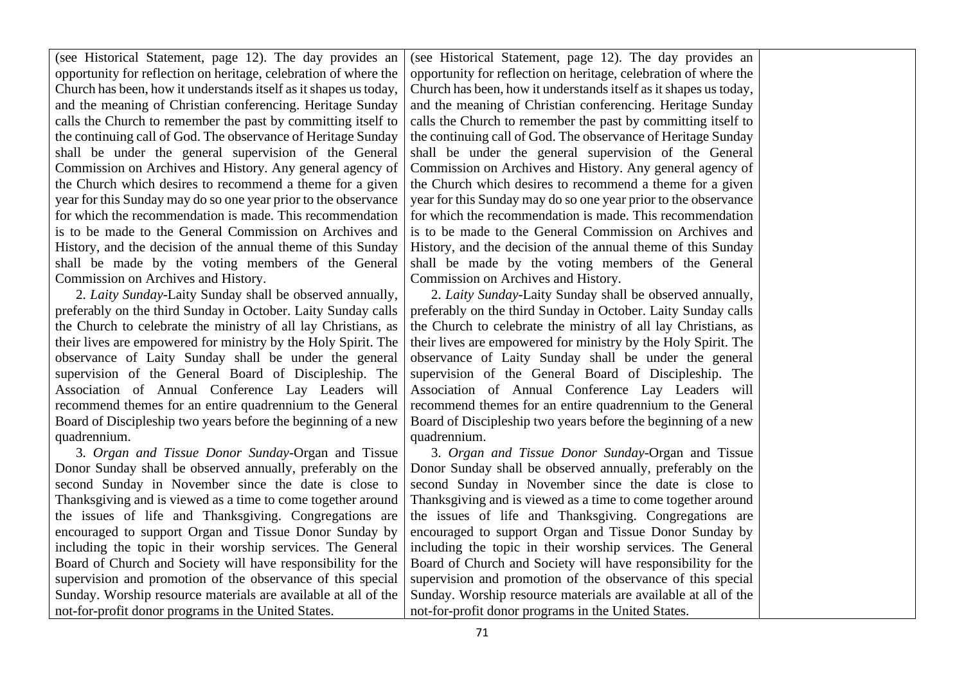(see Historical Statement, page 12). The day provides an opportunity for reflection on heritage, celebration of where the Church has been, how it understands itself as it shapes us today, and the meaning of Christian conferencing. Heritage Sunday calls the Church to remember the past by committing itself to the continuing call of God. The observance of Heritage Sunday shall be under the general supervision of the General Commission on Archives and History. Any general agency of the Church which desires to recommend a theme for a given year for this Sunday may do so one year prior to the observance for which the recommendation is made. This recommendation is to be made to the General Commission on Archives and History, and the decision of the annual theme of this Sunday shall be made by the voting members of the General Commission on Archives and History.

2. *Laity Sunday*-Laity Sunday shall be observed annually, preferably on the third Sunday in October. Laity Sunday calls the Church to celebrate the ministry of all lay Christians, as their lives are empowered for ministry by the Holy Spirit. The observance of Laity Sunday shall be under the general supervision of the General Board of Discipleship. The Association of Annual Conference Lay Leaders will recommend themes for an entire quadrennium to the General Board of Discipleship two years before the beginning of a new quadrennium.

3. *Organ and Tissue Donor Sunday*-Organ and Tissue Donor Sunday shall be observed annually, preferably on the second Sunday in November since the date is close to Thanksgiving and is viewed as a time to come together around the issues of life and Thanksgiving. Congregations are encouraged to support Organ and Tissue Donor Sunday by including the topic in their worship services. The General Board of Church and Society will have responsibility for the supervision and promotion of the observance of this special Sunday. Worship resource materials are available at all of the not-for-profit donor programs in the United States.

(see Historical Statement, page 12). The day provides an opportunity for reflection on heritage, celebration of where the Church has been, how it understands itself as it shapes us today, and the meaning of Christian conferencing. Heritage Sunday calls the Church to remember the past by committing itself to the continuing call of God. The observance of Heritage Sunday shall be under the general supervision of the General Commission on Archives and History. Any general agency of the Church which desires to recommend a theme for a given year for this Sunday may do so one year prior to the observance for which the recommendation is made. This recommendation is to be made to the General Commission on Archives and History, and the decision of the annual theme of this Sunday shall be made by the voting members of the General Commission on Archives and History.

2. *Laity Sunday*-Laity Sunday shall be observed annually, preferably on the third Sunday in October. Laity Sunday calls the Church to celebrate the ministry of all lay Christians, as their lives are empowered for ministry by the Holy Spirit. The observance of Laity Sunday shall be under the general supervision of the General Board of Discipleship. The Association of Annual Conference Lay Leaders will recommend themes for an entire quadrennium to the General Board of Discipleship two years before the beginning of a new quadrennium.

3. *Organ and Tissue Donor Sunday*-Organ and Tissue Donor Sunday shall be observed annually, preferably on the second Sunday in November since the date is close to Thanksgiving and is viewed as a time to come together around the issues of life and Thanksgiving. Congregations are encouraged to support Organ and Tissue Donor Sunday by including the topic in their worship services. The General Board of Church and Society will have responsibility for the supervision and promotion of the observance of this special Sunday. Worship resource materials are available at all of the not-for-profit donor programs in the United States.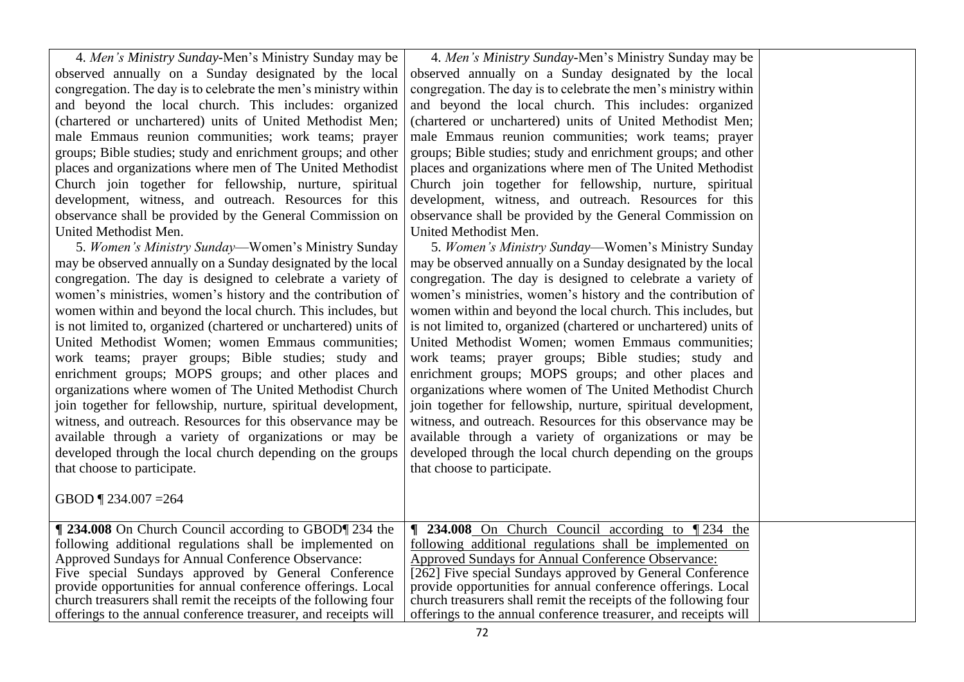4. *Men's Ministry Sunday*-Men's Ministry Sunday may be observed annually on a Sunday designated by the local congregation. The day is to celebrate the men's ministry within and beyond the local church. This includes: organized (chartered or unchartered) units of United Methodist Men; male Emmaus reunion communities; work teams; prayer groups; Bible studies; study and enrichment groups; and other places and organizations where men of The United Methodist Church join together for fellowship, nurture, spiritual development, witness, and outreach. Resources for this observance shall be provided by the General Commission on United Methodist Men.

5. *Women's Ministry Sunday*—Women's Ministry Sunday may be observed annually on a Sunday designated by the local congregation. The day is designed to celebrate a variety of women's ministries, women's history and the contribution of women within and beyond the local church. This includes, but is not limited to, organized (chartered or unchartered) units of United Methodist Women; women Emmaus communities; work teams; prayer groups; Bible studies; study and enrichment groups; MOPS groups; and other places and organizations where women of The United Methodist Church join together for fellowship, nurture, spiritual development, witness, and outreach. Resources for this observance may be available through a variety of organizations or may be developed through the local church depending on the groups that choose to participate.

GBOD ¶ 234.007 =264

4. *Men's Ministry Sunday*-Men's Ministry Sunday may be observed annually on a Sunday designated by the local congregation. The day is to celebrate the men's ministry within and beyond the local church. This includes: organized (chartered or unchartered) units of United Methodist Men; male Emmaus reunion communities; work teams; prayer groups; Bible studies; study and enrichment groups; and other places and organizations where men of The United Methodist Church join together for fellowship, nurture, spiritual development, witness, and outreach. Resources for this observance shall be provided by the General Commission on United Methodist Men.

5. *Women's Ministry Sunday*—Women's Ministry Sunday may be observed annually on a Sunday designated by the local congregation. The day is designed to celebrate a variety of women's ministries, women's history and the contribution of women within and beyond the local church. This includes, but is not limited to, organized (chartered or unchartered) units of United Methodist Women; women Emmaus communities; work teams; prayer groups; Bible studies; study and enrichment groups; MOPS groups; and other places and organizations where women of The United Methodist Church join together for fellowship, nurture, spiritual development, witness, and outreach. Resources for this observance may be available through a variety of organizations or may be developed through the local church depending on the groups that choose to participate.

| <b>T</b> 234.008 On Church Council according to GBODT 234 the    | $\parallel \P$ 234.008 On Church Council according to $\P$ 234 the |  |
|------------------------------------------------------------------|--------------------------------------------------------------------|--|
| following additional regulations shall be implemented on         | following additional regulations shall be implemented on           |  |
| Approved Sundays for Annual Conference Observance:               | Approved Sundays for Annual Conference Observance:                 |  |
| Five special Sundays approved by General Conference              | [262] Five special Sundays approved by General Conference          |  |
| provide opportunities for annual conference offerings. Local     | provide opportunities for annual conference offerings. Local       |  |
| church treasurers shall remit the receipts of the following four | church treasurers shall remit the receipts of the following four   |  |
| offerings to the annual conference treasurer, and receipts will  | offerings to the annual conference treasurer, and receipts will    |  |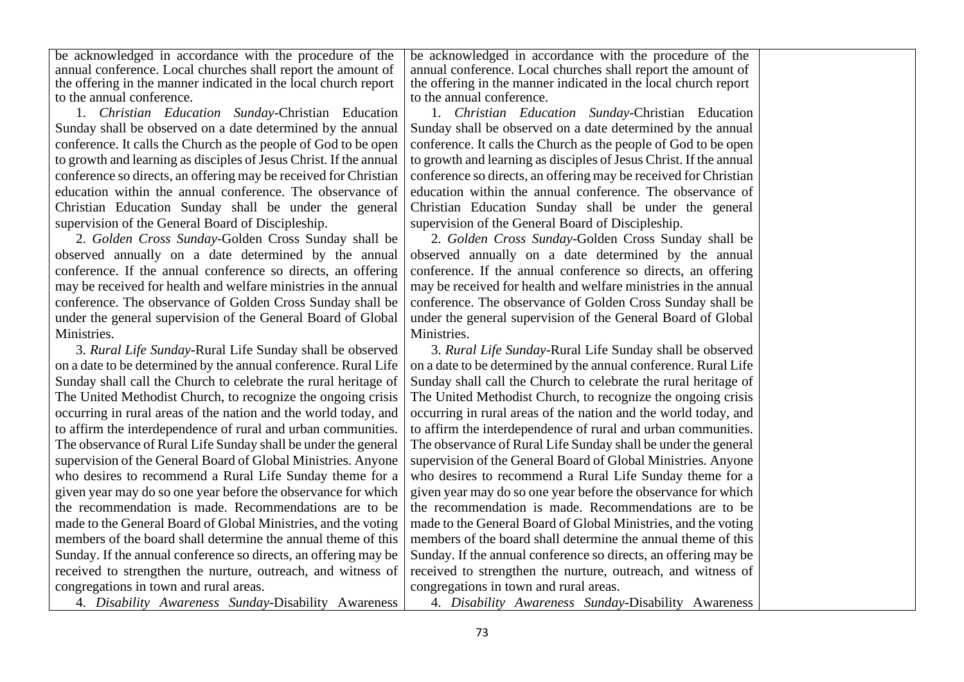be acknowledged in accordance with the procedure of the annual conference. Local churches shall report the amount of the offering in the manner indicated in the local church report to the annual conference.

1. *Christian Education Sunday*-Christian Education Sunday shall be observed on a date determined by the annual conference. It calls the Church as the people of God to be open to growth and learning as disciples of Jesus Christ. If the annual conference so directs, an offering may be received for Christian education within the annual conference. The observance of Christian Education Sunday shall be under the general supervision of the General Board of Discipleship.

2. *Golden Cross Sunday*-Golden Cross Sunday shall be observed annually on a date determined by the annual conference. If the annual conference so directs, an offering may be received for health and welfare ministries in the annual conference. The observance of Golden Cross Sunday shall be under the general supervision of the General Board of Global Ministries.

3. *Rural Life Sunday*-Rural Life Sunday shall be observed on a date to be determined by the annual conference. Rural Life Sunday shall call the Church to celebrate the rural heritage of The United Methodist Church, to recognize the ongoing crisis occurring in rural areas of the nation and the world today, and to affirm the interdependence of rural and urban communities. The observance of Rural Life Sunday shall be under the general supervision of the General Board of Global Ministries. Anyone who desires to recommend a Rural Life Sunday theme for a given year may do so one year before the observance for which the recommendation is made. Recommendations are to be made to the General Board of Global Ministries, and the voting members of the board shall determine the annual theme of this Sunday. If the annual conference so directs, an offering may be received to strengthen the nurture, outreach, and witness of congregations in town and rural areas.

4. *Disability Awareness Sunday*-Disability Awareness

be acknowledged in accordance with the procedure of the annual conference. Local churches shall report the amount of the offering in the manner indicated in the local church report to the annual conference.

1. *Christian Education Sunday*-Christian Education Sunday shall be observed on a date determined by the annual conference. It calls the Church as the people of God to be open to growth and learning as disciples of Jesus Christ. If the annual conference so directs, an offering may be received for Christian education within the annual conference. The observance of Christian Education Sunday shall be under the general supervision of the General Board of Discipleship.

2. *Golden Cross Sunday*-Golden Cross Sunday shall be observed annually on a date determined by the annual conference. If the annual conference so directs, an offering may be received for health and welfare ministries in the annual conference. The observance of Golden Cross Sunday shall be under the general supervision of the General Board of Global Ministries.

3. *Rural Life Sunday*-Rural Life Sunday shall be observed on a date to be determined by the annual conference. Rural Life Sunday shall call the Church to celebrate the rural heritage of The United Methodist Church, to recognize the ongoing crisis occurring in rural areas of the nation and the world today, and to affirm the interdependence of rural and urban communities. The observance of Rural Life Sunday shall be under the general supervision of the General Board of Global Ministries. Anyone who desires to recommend a Rural Life Sunday theme for a given year may do so one year before the observance for which the recommendation is made. Recommendations are to be made to the General Board of Global Ministries, and the voting members of the board shall determine the annual theme of this Sunday. If the annual conference so directs, an offering may be received to strengthen the nurture, outreach, and witness of congregations in town and rural areas.

4. *Disability Awareness Sunday*-Disability Awareness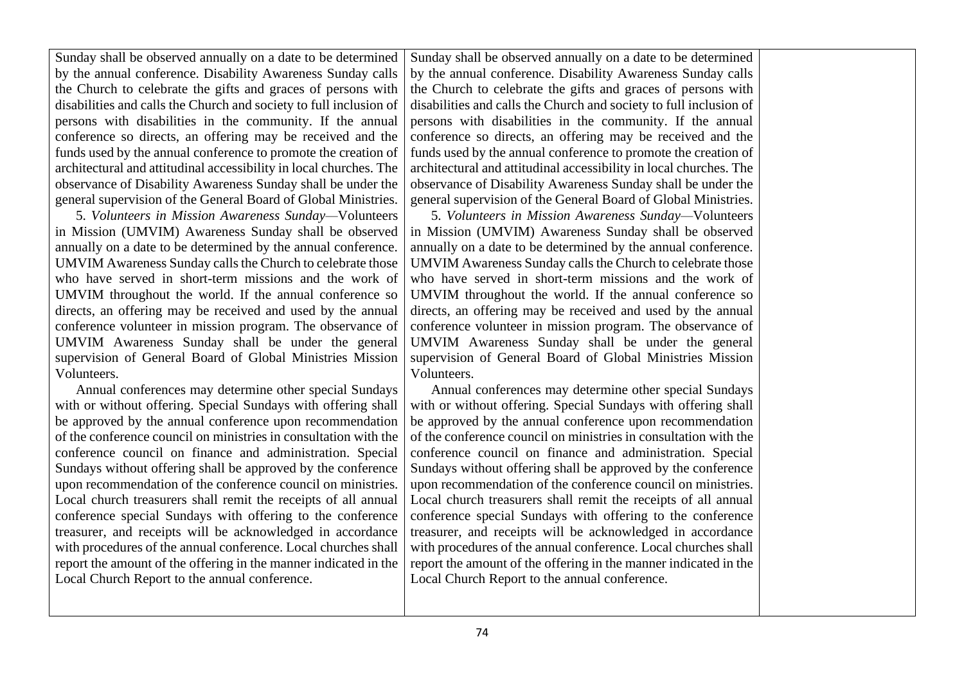Sunday shall be observed annually on a date to be determined by the annual conference. Disability Awareness Sunday calls the Church to celebrate the gifts and graces of persons with disabilities and calls the Church and society to full inclusion of persons with disabilities in the community. If the annual conference so directs, an offering may be received and the funds used by the annual conference to promote the creation of architectural and attitudinal accessibility in local churches. The observance of Disability Awareness Sunday shall be under the general supervision of the General Board of Global Ministries.

5. *Volunteers in Mission Awareness Sunday—*Volunteers in Mission (UMVIM) Awareness Sunday shall be observed annually on a date to be determined by the annual conference. UMVIM Awareness Sunday calls the Church to celebrate those who have served in short-term missions and the work of UMVIM throughout the world. If the annual conference so directs, an offering may be received and used by the annual conference volunteer in mission program. The observance of UMVIM Awareness Sunday shall be under the general supervision of General Board of Global Ministries Mission Volunteers.

Annual conferences may determine other special Sundays with or without offering. Special Sundays with offering shall be approved by the annual conference upon recommendation of the conference council on ministries in consultation with the conference council on finance and administration. Special Sundays without offering shall be approved by the conference upon recommendation of the conference council on ministries. Local church treasurers shall remit the receipts of all annual conference special Sundays with offering to the conference treasurer, and receipts will be acknowledged in accordance with procedures of the annual conference. Local churches shall report the amount of the offering in the manner indicated in the Local Church Report to the annual conference.

Sunday shall be observed annually on a date to be determined by the annual conference. Disability Awareness Sunday calls the Church to celebrate the gifts and graces of persons with disabilities and calls the Church and society to full inclusion of persons with disabilities in the community. If the annual conference so directs, an offering may be received and the funds used by the annual conference to promote the creation of architectural and attitudinal accessibility in local churches. The observance of Disability Awareness Sunday shall be under the general supervision of the General Board of Global Ministries.

5. *Volunteers in Mission Awareness Sunday—*Volunteers in Mission (UMVIM) Awareness Sunday shall be observed annually on a date to be determined by the annual conference. UMVIM Awareness Sunday calls the Church to celebrate those who have served in short-term missions and the work of UMVIM throughout the world. If the annual conference so directs, an offering may be received and used by the annual conference volunteer in mission program. The observance of UMVIM Awareness Sunday shall be under the general supervision of General Board of Global Ministries Mission Volunteers.

Annual conferences may determine other special Sundays with or without offering. Special Sundays with offering shall be approved by the annual conference upon recommendation of the conference council on ministries in consultation with the conference council on finance and administration. Special Sundays without offering shall be approved by the conference upon recommendation of the conference council on ministries. Local church treasurers shall remit the receipts of all annual conference special Sundays with offering to the conference treasurer, and receipts will be acknowledged in accordance with procedures of the annual conference. Local churches shall report the amount of the offering in the manner indicated in the Local Church Report to the annual conference.